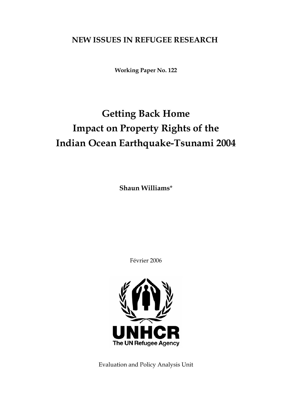## **NEW ISSUES IN REFUGEE RESEARCH**

**Working Paper No. 122** 

# **Getting Back Home Impact on Property Rights of the Indian Ocean Earthquake-Tsunami 2004**

**Shaun Williams**\*

Février 2006



Evaluation and Policy Analysis Unit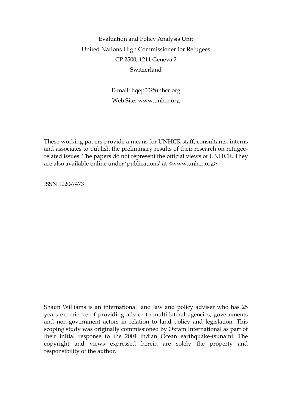## Evaluation and Policy Analysis Unit United Nations High Commissioner for Refugees CP 2500, 1211 Geneva 2 Switzerland

E-mail: hqep00@unhcr.org Web Site: www.unhcr.org

These working papers provide a means for UNHCR staff, consultants, interns and associates to publish the preliminary results of their research on refugeerelated issues. The papers do not represent the official views of UNHCR. They are also available online under 'publications' at <www.unhcr.org>.

ISSN 1020-7473

Shaun Williams is an international land law and policy adviser who has 25 years experience of providing advice to multi-lateral agencies, governments and non-government actors in relation to land policy and legislation. This scoping study was originally commissioned by Oxfam International as part of their initial response to the 2004 Indian Ocean earthquake-tsunami. The copyright and views expressed herein are solely the property and responsibility of the author.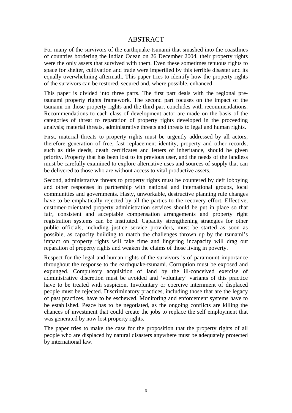## ABSTRACT

For many of the survivors of the earthquake-tsunami that smashed into the coastlines of countries bordering the Indian Ocean on 26 December 2004, their property rights were the only assets that survived with them. Even these sometimes tenuous rights to space for shelter, cultivation and trade were imperilled by this terrible disaster and its equally overwhelming aftermath. This paper tries to identify how the property rights of the survivors can be restored, secured and, where possible, enhanced.

This paper is divided into three parts. The first part deals with the regional pretsunami property rights framework. The second part focuses on the impact of the tsunami on those property rights and the third part concludes with recommendations. Recommendations to each class of development actor are made on the basis of the categories of threat to reparation of property rights developed in the proceeding analysis; material threats, administrative threats and threats to legal and human rights.

First, material threats to property rights must be urgently addressed by all actors, therefore generation of free, fast replacement identity, property and other records, such as title deeds, death certificates and letters of inheritance, should be given priority. Property that has been lost to its previous user, and the needs of the landless must be carefully examined to explore alternative uses and sources of supply that can be delivered to those who are without access to vital productive assets.

Second, administrative threats to property rights must be countered by deft lobbying and other responses in partnership with national and international groups, local communities and governments. Hasty, unworkable, destructive planning rule changes have to be emphatically rejected by all the parties to the recovery effort. Effective, customer-orientated property administration services should be put in place so that fair, consistent and acceptable compensation arrangements and property right registration systems can be instituted. Capacity strengthening strategies for other public officials, including justice service providers, must be started as soon as possible, as capacity building to match the challenges thrown up by the tsunami's impact on property rights will take time and lingering incapacity will drag out reparation of property rights and weaken the claims of those living in poverty.

Respect for the legal and human rights of the survivors is of paramount importance throughout the response to the earthquake-tsunami. Corruption must be exposed and expunged. Compulsory acquisition of land by the ill-conceived exercise of administrative discretion must be avoided and 'voluntary' variants of this practice have to be treated with suspicion. Involuntary or coercive internment of displaced people must be rejected. Discriminatory practices, including those that are the legacy of past practices, have to be eschewed. Monitoring and enforcement systems have to be established. Peace has to be negotiated, as the ongoing conflicts are killing the chances of investment that could create the jobs to replace the self employment that was generated by now lost property rights.

The paper tries to make the case for the proposition that the property rights of all people who are displaced by natural disasters anywhere must be adequately protected by international law.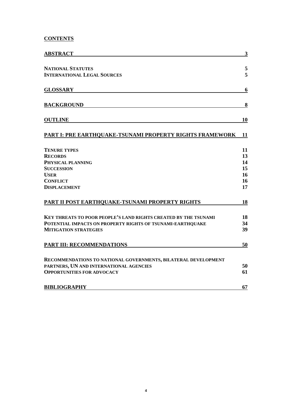## **CONTENTS**

| <b>ABSTRACT</b>                                                 | $\mathbf{3}$ |
|-----------------------------------------------------------------|--------------|
| <b>NATIONAL STATUTES</b>                                        | 5            |
| <b>INTERNATIONAL LEGAL SOURCES</b>                              | 5            |
|                                                                 |              |
| <b>GLOSSARY</b>                                                 | 6            |
| <b>BACKGROUND</b>                                               | 8            |
| <b>OUTLINE</b>                                                  | 10           |
| PART I: PRE EARTHQUAKE-TSUNAMI PROPERTY RIGHTS FRAMEWORK        | 11           |
| <b>TENURE TYPES</b>                                             | 11           |
| <b>RECORDS</b>                                                  | 13           |
| PHYSICAL PLANNING                                               | 14           |
| <b>SUCCESSION</b>                                               | 15           |
| <b>USER</b>                                                     | 16           |
| <b>CONFLICT</b>                                                 | 16           |
| <b>DISPLACEMENT</b>                                             | 17           |
| PART II POST EARTHQUAKE-TSUNAMI PROPERTY RIGHTS                 | 18           |
| KEY THREATS TO POOR PEOPLE'S LAND RIGHTS CREATED BY THE TSUNAMI | 18           |
| POTENTIAL IMPACTS ON PROPERTY RIGHTS OF TSUNAMI-EARTHQUAKE      | 34           |
| <b>MITIGATION STRATEGIES</b>                                    | 39           |
| <b>PART III: RECOMMENDATIONS</b>                                | 50           |
| RECOMMENDATIONS TO NATIONAL GOVERNMENTS, BILATERAL DEVELOPMENT  |              |
| PARTNERS, UN AND INTERNATIONAL AGENCIES                         | 50           |
| <b>OPPORTUNITIES FOR ADVOCACY</b>                               | 61           |
| <b>BIBLIOGRAPHY</b>                                             | 67           |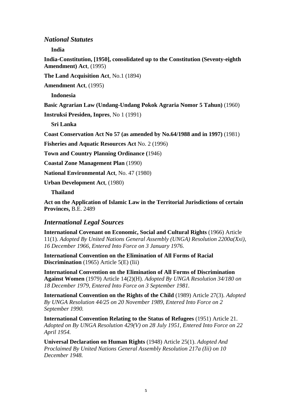## *National Statutes*

**India** 

**India-Constitution, [1950], consolidated up to the Constitution (Seventy-eighth Amendment) Act**, (1995)

**The Land Acquisition Act**, No.1 (1894)

**Amendment Act**, (1995)

**Indonesia** 

**Basic Agrarian Law (Undang-Undang Pokok Agraria Nomor 5 Tahun)** (1960)

**Instruksi Presiden, Inpres**, No 1 (1991)

**Sri Lanka** 

**Coast Conservation Act No 57 (as amended by No.64/1988 and in 1997)** (1981)

**Fisheries and Aquatic Resources Act** No. 2 (1996)

**Town and Country Planning Ordinance (**1946)

**Coastal Zone Management Plan** (1990)

**National Environmental Act**, No. 47 (1980)

**Urban Development Act**, (1980)

**Thailand** 

**Act on the Application of Islamic Law in the Territorial Jurisdictions of certain Provinces,** B.E. 2489

#### *International Legal Sources*

**International Covenant on Economic, Social and Cultural Rights** (1966) Article 11(1). *Adopted By United Nations General Assembly (UNGA) Resolution 2200a(Xxi), 16 December 1966, Entered Into Force on 3 January 1976.* 

**International Convention on the Elimination of All Forms of Racial Discrimination** (1965) Article 5(E) (Iii)

**International Convention on the Elimination of All Forms of Discrimination Against Women** (1979) Article 14(2)(H). *Adopted By UNGA Resolution 34/180 on 18 December 1979, Entered Into Force on 3 September 1981.* 

**International Convention on the Rights of the Child** (1989) Article 27(3). *Adopted By UNGA Resolution 44/25 on 20 November 1989, Entered Into Force on 2 September 1990.* 

**International Convention Relating to the Status of Refugees** (1951) Article 21. *Adopted on By UNGA Resolution 429(V) on 28 July 1951, Entered Into Force on 22 April 1954.* 

**Universal Declaration on Human Rights** (1948) Article 25(1). *Adopted And Proclaimed By United Nations General Assembly Resolution 217a (Iii) on 10 December 1948.*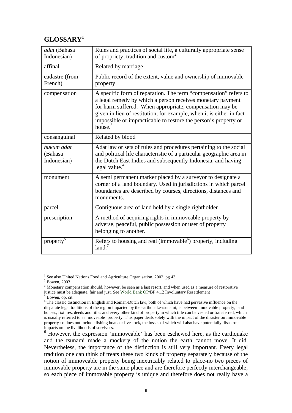## **GLOSSARY<sup>1</sup>**

| adat (Bahasa<br>Indonesian)          | Rules and practices of social life, a culturally appropriate sense<br>of propriety, tradition and custom <sup>2</sup>                                                                                                                                                                                                                               |
|--------------------------------------|-----------------------------------------------------------------------------------------------------------------------------------------------------------------------------------------------------------------------------------------------------------------------------------------------------------------------------------------------------|
| affinal                              | Related by marriage                                                                                                                                                                                                                                                                                                                                 |
| cadastre (from<br>French)            | Public record of the extent, value and ownership of immovable<br>property                                                                                                                                                                                                                                                                           |
| compensation                         | A specific form of reparation. The term "compensation" refers to<br>a legal remedy by which a person receives monetary payment<br>for harm suffered. When appropriate, compensation may be<br>given in lieu of restitution, for example, when it is either in fact<br>impossible or impracticable to restore the person's property or<br>house. $3$ |
| consanguinal                         | Related by blood                                                                                                                                                                                                                                                                                                                                    |
| hukum adat<br>(Bahasa<br>Indonesian) | Adat law or sets of rules and procedures pertaining to the social<br>and political life characteristic of a particular geographic area in<br>the Dutch East Indies and subsequently Indonesia, and having<br>legal value. $4$                                                                                                                       |
| monument                             | A semi permanent marker placed by a surveyor to designate a<br>corner of a land boundary. Used in jurisdictions in which parcel<br>boundaries are described by courses, directions, distances and<br>monuments.                                                                                                                                     |
| parcel                               | Contiguous area of land held by a single rightholder                                                                                                                                                                                                                                                                                                |
| prescription                         | A method of acquiring rights in immoveable property by<br>adverse, peaceful, public possession or user of property<br>belonging to another.                                                                                                                                                                                                         |
| property <sup>5</sup>                | Refers to housing and real (immovable <sup>6</sup> ) property, including<br>land. <sup>7</sup>                                                                                                                                                                                                                                                      |

<sup>&</sup>lt;sup>1</sup> See also United Nations Food and Agriculture Organisation, 2002, pg 43

<sup>2</sup> Bowen, 2003

 $3$  Monetary compensation should, however, be seen as a last resort, and when used as a measure of restorative justice must be adequate, fair and just. See World Bank OP/BP 4.12 Involuntary Resettlement 4 P

Bowen, op. cit

<sup>&</sup>lt;sup>5</sup> The classic distinction in English and Roman-Dutch law, both of which have had pervasive influence on the disparate legal traditions of the region impacted by the earthquake-tsunami, is between immovable property, land houses, fixtures, deeds and titles and every other kind of property in which title can be vested or transferred, which is usually referred to as 'moveable' property. This paper deals solely with the impact of the disaster on immovable property-so does not include fishing boats or livestock, the losses of which will also have potentially disastrous impacts on the livelihoods of survivors.

 $6$  However, the expression 'immoveable' has been eschewed here, as the earthquake and the tsunami made a mockery of the notion the earth cannot move. It did. Nevertheless, the importance of the distinction is still very important. Every legal tradition one can think of treats these two kinds of property separately because of the notion of immoveable property being inextricably related to place-no two pieces of immovable property are in the same place and are therefore perfectly interchangeable; so each piece of immovable property is unique and therefore does not really have a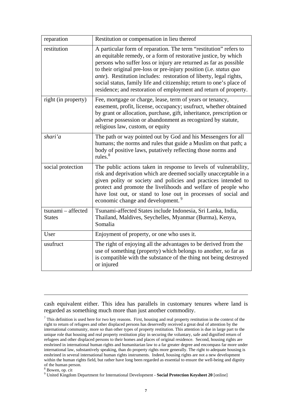| reparation                          | Restitution or compensation in lieu thereof                                                                                                                                                                                                                                                                                                                                                                                                                                                               |
|-------------------------------------|-----------------------------------------------------------------------------------------------------------------------------------------------------------------------------------------------------------------------------------------------------------------------------------------------------------------------------------------------------------------------------------------------------------------------------------------------------------------------------------------------------------|
| restitution                         | A particular form of reparation. The term "restitution" refers to<br>an equitable remedy, or a form of restorative justice, by which<br>persons who suffer loss or injury are returned as far as possible<br>to their original pre-loss or pre-injury position (i.e. status quo<br><i>ante</i> ). Restitution includes: restoration of liberty, legal rights,<br>social status, family life and citizenship; return to one's place of<br>residence; and restoration of employment and return of property. |
| right (in property)                 | Fee, mortgage or charge, lease, term of years or tenancy,<br>easement, profit, license, occupancy; usufruct, whether obtained<br>by grant or allocation, purchase, gift, inheritance, prescription or<br>adverse possession or abandonment as recognized by statute,<br>religious law, custom, or equity                                                                                                                                                                                                  |
| shari'a                             | The path or way pointed out by God and his Messengers for all<br>humans; the norms and rules that guide a Muslim on that path; a<br>body of positive laws, putatively reflecting those norms and<br>rules. <sup>8</sup>                                                                                                                                                                                                                                                                                   |
| social protection                   | The public actions taken in response to levels of vulnerability,<br>risk and deprivation which are deemed socially unacceptable in a<br>given polity or society and policies and practices intended to<br>protect and promote the livelihoods and welfare of people who<br>have lost out, or stand to lose out in processes of social and<br>economic change and development. <sup>9</sup>                                                                                                                |
| tsunami - affected<br><b>States</b> | Tsunami-affected States include Indonesia, Sri Lanka, India,<br>Thailand, Maldives, Seychelles, Myanmar (Burma), Kenya,<br>Somalia                                                                                                                                                                                                                                                                                                                                                                        |
| User                                | Enjoyment of property, or one who uses it.                                                                                                                                                                                                                                                                                                                                                                                                                                                                |
| usufruct                            | The right of enjoying all the advantages to be derived from the<br>use of something (property) which belongs to another, so far as<br>is compatible with the substance of the thing not being destroyed<br>or injured                                                                                                                                                                                                                                                                                     |

cash equivalent either. This idea has parallels in customary tenures where land is regarded as something much more than just another commodity.

 $<sup>7</sup>$  This definition is used here for two key reasons. First, housing and real property restitution in the context of the</sup> right to return of refugees and other displaced persons has deservedly received a great deal of attention by the international community, more so than other types of property restitution. This attention is due in large part to the unique role that housing and real property restitution play in securing the voluntary, safe and dignified return of refugees and other displaced persons to their homes and places of original residence. Second, housing rights are enshrined in international human rights and humanitarian law to a far greater degree and encompass far more under international law, substantively speaking, than do property rights more generally. The right to adequate housing is enshrined in several international human rights instruments. Indeed, housing rights are not a new development within the human rights field, but rather have long been regarded as essential to ensure the well-being and dignity of the human person.

8 Bowen, op. cit

9 United Kingdom Department for International Development - **Social Protection Keysheet 20** [online]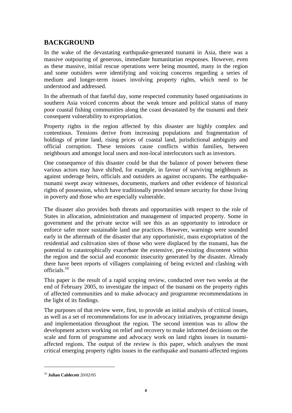## **BACKGROUND**

In the wake of the devastating earthquake-generated tsunami in Asia, there was a massive outpouring of generous, immediate humanitarian responses. However, even as these massive, initial rescue operations were being mounted, many in the region and some outsiders were identifying and voicing concerns regarding a series of medium and longer-term issues involving property rights, which need to be understood and addressed.

In the aftermath of that fateful day, some respected community based organisations in southern Asia voiced concerns about the weak tenure and political status of many poor coastal fishing communities along the coast devastated by the tsunami and their consequent vulnerability to expropriation.

Property rights in the region affected by this disaster are highly complex and contentious. Tensions derive from increasing populations and fragmentation of holdings of prime land, rising prices of coastal land, jurisdictional ambiguity and official corruption. These tensions cause conflicts within families, between neighbours and amongst local users and non-local interlocutors such as investors.

One consequence of this disaster could be that the balance of power between these various actors may have shifted, for example, in favour of surviving neighbours as against underage heirs, officials and outsiders as against occupants. The earthquaketsunami swept away witnesses, documents, markers and other evidence of historical rights of possession, which have traditionally provided tenure security for those living in poverty and those who are especially vulnerable.

The disaster also provides both threats and opportunities with respect to the role of States in allocation, administration and management of impacted property. Some in government and the private sector will see this as an opportunity to introduce or enforce safer more sustainable land use practices. However, warnings were sounded early in the aftermath of the disaster that any opportunistic, mass expropriation of the residential and cultivation sites of those who were displaced by the tsunami, has the potential to catastrophically exacerbate the extensive, pre-existing discontent within the region and the social and economic insecurity generated by the disaster. Already there have been reports of villagers complaining of being evicted and clashing with officials.10

This paper is the result of a rapid scoping review, conducted over two weeks at the end of February 2005, to investigate the impact of the tsunami on the property rights of affected communities and to make advocacy and programme recommendations in the light of its findings.

The purposes of that review were, first, to provide an initial analysis of critical issues, as well as a set of recommendations for use in advocacy initiatives, programme design and implementation throughout the region. The second intention was to allow the development actors working on relief and recovery to make informed decisions on the scale and form of programme and advocacy work on land rights issues in tsunamiaffected regions. The output of the review is this paper, which analyses the most critical emerging property rights issues in the earthquake and tsunami-affected regions

<sup>10</sup> **Julian Caldecott** 20/02/05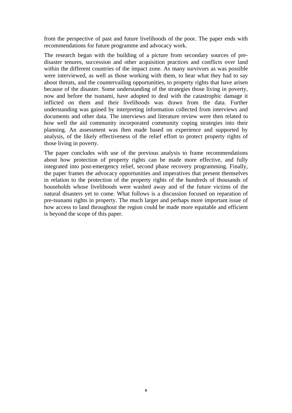from the perspective of past and future livelihoods of the poor. The paper ends with recommendations for future programme and advocacy work.

The research began with the building of a picture from secondary sources of predisaster tenures, succession and other acquisition practices and conflicts over land within the different countries of the impact zone. As many survivors as was possible were interviewed, as well as those working with them, to hear what they had to say about threats, and the countervailing opportunities, to property rights that have arisen because of the disaster. Some understanding of the strategies those living in poverty, now and before the tsunami, have adopted to deal with the catastrophic damage it inflicted on them and their livelihoods was drawn from the data. Further understanding was gained by interpreting information collected from interviews and documents and other data. The interviews and literature review were then related to how well the aid community incorporated community coping strategies into their planning. An assessment was then made based on experience and supported by analysis, of the likely effectiveness of the relief effort to protect property rights of those living in poverty.

The paper concludes with use of the previous analysis to frame recommendations about how protection of property rights can be made more effective, and fully integrated into post-emergency relief, second phase recovery programming. Finally, the paper frames the advocacy opportunities and imperatives that present themselves in relation to the protection of the property rights of the hundreds of thousands of households whose livelihoods were washed away and of the future victims of the natural disasters yet to come. What follows is a discussion focused on reparation of pre-tsunami rights in property. The much larger and perhaps more important issue of how access to land throughout the region could be made more equitable and efficient is beyond the scope of this paper.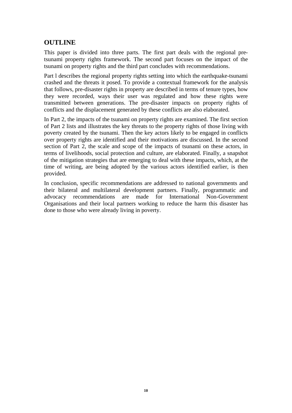## **OUTLINE**

This paper is divided into three parts. The first part deals with the regional pretsunami property rights framework. The second part focuses on the impact of the tsunami on property rights and the third part concludes with recommendations.

Part l describes the regional property rights setting into which the earthquake-tsunami crashed and the threats it posed. To provide a contextual framework for the analysis that follows, pre-disaster rights in property are described in terms of tenure types, how they were recorded, ways their user was regulated and how these rights were transmitted between generations. The pre-disaster impacts on property rights of conflicts and the displacement generated by these conflicts are also elaborated.

In Part 2, the impacts of the tsunami on property rights are examined. The first section of Part 2 lists and illustrates the key threats to the property rights of those living with poverty created by the tsunami. Then the key actors likely to be engaged in conflicts over property rights are identified and their motivations are discussed. In the second section of Part 2, the scale and scope of the impacts of tsunami on these actors, in terms of livelihoods, social protection and culture, are elaborated. Finally, a snapshot of the mitigation strategies that are emerging to deal with these impacts, which, at the time of writing, are being adopted by the various actors identified earlier, is then provided.

In conclusion, specific recommendations are addressed to national governments and their bilateral and multilateral development partners. Finally, programmatic and advocacy recommendations are made for International Non-Government Organisations and their local partners working to reduce the harm this disaster has done to those who were already living in poverty.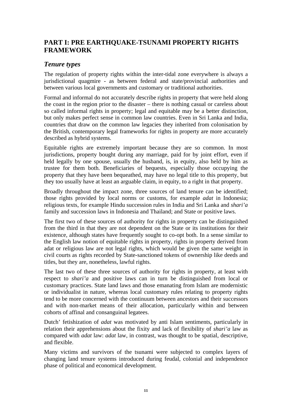## **PART I: PRE EARTHQUAKE-TSUNAMI PROPERTY RIGHTS FRAMEWORK**

## *Tenure types*

The regulation of property rights within the inter-tidal zone everywhere is always a jurisdictional quagmire - as between federal and state/provincial authorities and between various local governments and customary or traditional authorities.

Formal and informal do not accurately describe rights in property that were held along the coast in the region prior to the disaster – there is nothing casual or careless about so called informal rights in property; legal and equitable may be a better distinction, but only makes perfect sense in common law countries. Even in Sri Lanka and India, countries that draw on the common law legacies they inherited from colonisation by the British, contemporary legal frameworks for rights in property are more accurately described as hybrid systems.

Equitable rights are extremely important because they are so common. In most jurisdictions, property bought during any marriage, paid for by joint effort, even if held legally by one spouse, usually the husband, is, in equity, also held by him as trustee for them both. Beneficiaries of bequests, especially those occupying the property that they have been bequeathed, may have no legal title to this property, but they too usually have at least an arguable claim, in equity, to a right in that property.

Broadly throughout the impact zone, three sources of land tenure can be identified; those rights provided by local norms or customs, for example *adat* in Indonesia; religious texts, for example Hindu succession rules in India and Sri Lanka and *shari'a* family and succession laws in Indonesia and Thailand; and State or positive laws.

The first two of these sources of authority for rights in property can be distinguished from the third in that they are not dependent on the State or its institutions for their existence, although states have frequently sought to co-opt both. In a sense similar to the English law notion of equitable rights in property, rights in property derived from adat or religious law are not legal rights, which would be given the same weight in civil courts as rights recorded by State-sanctioned tokens of ownership like deeds and titles, but they are, nonetheless, lawful rights.

The last two of these three sources of authority for rights in property, at least with respect to *shari'a* and positive laws can in turn be distinguished from local or customary practices. State land laws and those emanating from Islam are modernistic or individualist in nature, whereas local customary rules relating to property rights tend to be more concerned with the continuum between ancestors and their successors and with non-market means of their allocation, particularly within and between cohorts of affinal and consanguinal legatees.

Dutch' fetishization of *adat* was motivated by anti Islam sentiments, particularly in relation their apprehensions about the fixity and lack of flexibility of *shari'a* law as compared with *adat* law: *adat* law, in contrast, was thought to be spatial, descriptive, and flexible.

Many victims and survivors of the tsunami were subjected to complex layers of changing land tenure systems introduced during feudal, colonial and independence phase of political and economical development.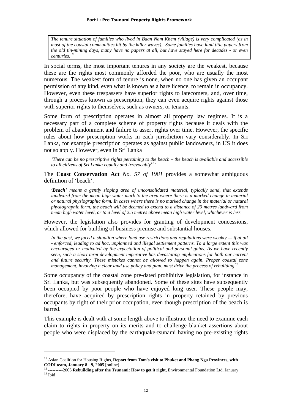*The tenure situation of families who lived in Baan Nam Khem (village) is very complicated (as in most of the coastal communities hit by the killer waves). Some families have land title papers from the old tin-mining days, many have no papers at all, but have stayed here for decades - or even centuries. 11*

In social terms, the most important tenures in any society are the weakest, because these are the rights most commonly afforded the poor, who are usually the most numerous. The weakest form of tenure is none, when no one has given an occupant permission of any kind, even what is known as a bare licence, to remain in occupancy. However, even these trespassers have superior rights to latecomers, and, over time, through a process known as prescription, they can even acquire rights against those with superior rights to themselves, such as owners, or tenants.

Some form of prescription operates in almost all property law regimes. It is a necessary part of a complete scheme of property rights because it deals with the problem of abandonment and failure to assert rights over time. However, the specific rules about how prescription works in each jurisdiction vary considerably. In Sri Lanka, for example prescription operates as against public landowners, in US it does not so apply. However, even in Sri Lanka

*'There can be no prescriptive rights pertaining to the beach – the beach is available and accessible*  to all citizens of Sri Lanka equally and irrevocably<sup>12</sup>'

The **Coast Conservation Act** *No. 57 of 1981* provides a somewhat ambiguous definition of 'beach'.

*'Beach' means a gently sloping area of unconsolidated material, typically sand, that extends landward from the mean high water mark to the area where there is a marked change in material or natural physiographic form. In cases where there is no marked change in the material or natural physiographic form, the beach will be deemed to extend to a distance of 20 metres landward from mean high water level, or to a level of 2.5 metres above mean high water level, whichever is less.* 

However, the legislation also provides for granting of development concessions, which allowed for building of business premise and substantial houses.

*In the past, we faced a situation where land use restrictions and regulations were weakly — if at all - enforced, leading to ad hoc, unplanned and illegal settlement patterns. To a large extent this was encouraged or motivated by the expectation of political and personal gains. As we have recently seen, such a short-term development imperative has devastating implications for both our current and future security. These mistakes cannot be allowed to happen again. Proper coastal zone management, involving a clear land use policy and plan, must drive the process of rebuilding13.* 

Some occupancy of the coastal zone pre-dated prohibitive legislation, for instance in Sri Lanka, but was subsequently abandoned. Some of these sites have subsequently been occupied by poor people who have enjoyed long user. These people may, therefore, have acquired by prescription rights in property retained by previous occupants by right of their prior occupation, even though prescription of the beach is barred.

This example is dealt with at some length above to illustrate the need to examine each claim to rights in property on its merits and to challenge blanket assertions about people who were displaced by the earthquake-tsunami having no pre-existing rights

<sup>&</sup>lt;sup>11</sup> Asian Coalition for Housing Rights, Report from Tom's visit to Phuket and Phang Nga Provinces, with

**CODI team, January 8 - 9, 2005** [online]<br><sup>12</sup> ----------2005 **Rebuilding after the Tsunami: How to get it right,** Environmental Foundation Ltd, January <sup>13</sup> Ibid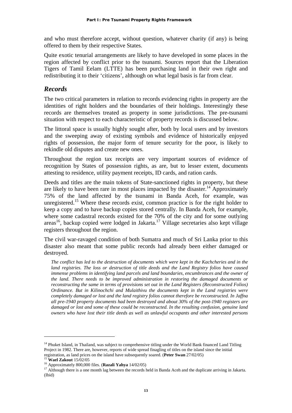and who must therefore accept, without question, whatever charity (if any) is being offered to them by their respective States.

Quite exotic tenurial arrangements are likely to have developed in some places in the region affected by conflict prior to the tsunami. Sources report that the Liberation Tigers of Tamil Eelam (LTTE) has been purchasing land in their own right and redistributing it to their 'citizens', although on what legal basis is far from clear.

## *Records*

The two critical parameters in relation to records evidencing rights in property are the identities of right holders and the boundaries of their holdings. Interestingly these records are themselves treated as property in some jurisdictions. The pre-tsunami situation with respect to each characteristic of property records is discussed below.

The littoral space is usually highly sought after, both by local users and by investors and the sweeping away of existing symbols and evidence of historically enjoyed rights of possession, the major form of tenure security for the poor, is likely to rekindle old disputes and create new ones.

Throughout the region tax receipts are very important sources of evidence of recognition by States of possession rights, as are, but to lesser extent, documents attesting to residence, utility payment receipts, ID cards, and ration cards.

Deeds and titles are the main tokens of State-sanctioned rights in property, but these are likely to have been rare in most places impacted by the disaster.<sup>14</sup> Approximately 75% of the land affected by the tsunami in Banda Aceh, for example, was unregistered.<sup>15</sup> Where these records exist, common practice is for the right holder to keep a copy and to have backup copies stored centrally. In Banda Aceh, for example, where some cadastral records existed for the 70% of the city and for some outlying  $\arccos^{16}$ , backup copied were lodged in Jakarta.<sup>17</sup> Village secretaries also kept village registers throughout the region.

The civil war-ravaged condition of both Sumatra and much of Sri Lanka prior to this disaster also meant that some public records had already been either damaged or destroyed.

*The conflict has led to the destruction of documents which were kept in the Kachcheries and in the land registries. The loss or destruction of title deeds and the Land Registry folios have caused immense problems in identifying land parcels and land boundaries, encumbrances and the owner of the land. There needs to be improved administration in restoring the damaged documents or reconstructing the same in terms of provisions set out in the Land Registers (Reconstructed Folios) Ordinance. But in Kilinochchi and Mulaithivu the documents kept in the Land registries were completely damaged or lost and the land registry folios cannot therefore be reconstructed. In Jaffna all pre-1940 property documents had been destroyed and about 30% of the post-1940 registers are damaged or lost and some of these could be reconstructed. In the resulting confusion, genuine land owners who have lost their title deeds as well as unlawful occupants and other interested persons* 

<sup>&</sup>lt;sup>14</sup> Phuket Island, in Thailand, was subject to comprehensive titling under the World Bank financed Land Titling Project in 1982. There are, however, reports of wide spread finagling of titles on the island since the initial registration, as land prices on the island have subsequently soared. (Peter Swan 27/02/05)<br><sup>15</sup> Wael Zakout 15/02/05<br><sup>16</sup> Approximately 800,000 files. (Razali Yahya 14/02/05)<br><sup>17</sup> Although there is a one month lag between

<sup>(</sup>Ibid)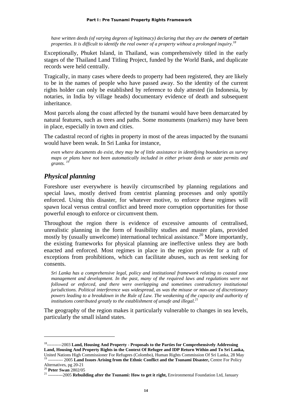*have written deeds (of varying degrees of legitimacy) declaring that they are the <i>owners of certain properties. It is difficult to identify the real owner of a property without a prolonged inquiry.18* 

Exceptionally, Phuket Island, in Thailand, was comprehensively titled in the early stages of the Thailand Land Titling Project, funded by the World Bank, and duplicate records were held centrally.

Tragically, in many cases where deeds to property had been registered, they are likely to be in the names of people who have passed away. So the identity of the current rights holder can only be established by reference to duly attested (in Indonesia, by notaries, in India by village heads) documentary evidence of death and subsequent inheritance.

Most parcels along the coast affected by the tsunami would have been demarcated by natural features, such as trees and paths. Some monuments (markers) may have been in place, especially in town and cities.

The cadastral record of rights in property in most of the areas impacted by the tsunami would have been weak. In Sri Lanka for instance,

*even where documents do exist, they may be of little assistance in identifying boundaries as survey maps or plans have not been automatically included in either private deeds or state permits and*  grants.<sup>1</sup>

## *Physical planning*

Foreshore user everywhere is heavily circumscribed by planning regulations and special laws, mostly derived from centrist planning processes and only spottily enforced. Using this disaster, for whatever motive, to enforce these regimes will spawn local versus central conflict and breed more corruption opportunities for those powerful enough to enforce or circumvent them.

Throughout the region there is evidence of excessive amounts of centralised, unrealistic planning in the form of feasibility studies and master plans, provided mostly by (usually unwelcome) international technical assistance.<sup>20</sup> More importantly, the existing frameworks for physical planning are ineffective unless they are both enacted and enforced. Most regimes in place in the region provide for a raft of exceptions from prohibitions, which can facilitate abuses, such as rent seeking for consents.

*Sri Lanka has a comprehensive legal, policy and institutional framework relating to coastal zone management and development. In the past, many of the required laws and regulations were not followed or enforced, and there were overlapping and sometimes contradictory institutional jurisdictions. Political interference was widespread, as was the misuse or non-use of discretionary powers leading to a breakdown in the Rule of Law. The weakening of the capacity and authority of institutions contributed greatly to the establishment of unsafe and illegal.*<sup>2</sup>

The geography of the region makes it particularly vulnerable to changes in sea levels, particularly the small island states.

<sup>18----------2003</sup> **Land, Housing And Property - Proposals to the Parties for Comprehensively Addressing Land, Housing And Property Rights in the Context Of Refugee and IDP Return Within and To Sri Lanka,** United Nations High Commissioner For Refugees (Colombo), Human Rights Commission Of Sri Lanka, 28 May 19 ---------- 2005 **Land Issues Arising from the Ethnic Conflict and the Tsunami Disaster,** Centre For Policy

Alternatives, pg 20-21<br><sup>20</sup> Peter Swan 2802/05

<sup>&</sup>lt;sup>21</sup> ----------2005 Rebuilding after the Tsunami: How to get it right, Environmental Foundation Ltd, January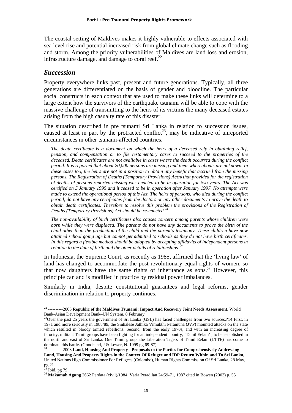The coastal setting of Maldives makes it highly vulnerable to effects associated with sea level rise and potential increased risk from global climate change such as flooding and storm. Among the priority vulnerabilities of Maldives are land loss and erosion, infrastructure damage, and damage to coral reef. $^{22}$ 

#### *Succession*

Property everywhere links past, present and future generations. Typically, all three generations are differentiated on the basis of gender and bloodline. The particular social constructs in each context that are used to make these links will determine to a large extent how the survivors of the earthquake tsunami will be able to cope with the massive challenge of transmitting to the heirs of its victims the many deceased estates arising from the high casualty rate of this disaster.

The situation described in pre tsunami Sri Lanka in relation to succession issues, caused at least in part by the protracted conflict<sup>23</sup>, may be indicative of unreported circumstances in other tsunami-affected countries.

*The death certificate is a document on which the heirs of a deceased rely in obtaining relief, pension, and compensation or to file testamentary cases to succeed to the properties of the deceased. Death certificates are not available in cases where the death occurred during the conflict period. It is reported that about 20,000 persons are missing and their whereabouts are unknown. In these cases too, the heirs are not in a position to obtain any benefit that accrued from the missing persons. The Registration of Deaths (Temporary Provisions) Act78 that provided for the registration of deaths of persons reported missing was enacted to be in operation for two years. The Act was certified on 5 January 1995 and it ceased to be in operation after January 1997. No attempts were made to extend the operational period of this Act. The heirs of persons, who died during the conflict period, do not have any certificates from the doctors or any other documents to prove the death to obtain death certificates. Therefore to resolve this problem the provisions of the Registration of Deaths (Temporary Provisions) Act should be re-enacted.24* 

*The non-availability of birth certificates also causes concern among parents whose children were born while they were displaced. The parents do not have any documents to prove the birth of the child other than the production of the child and the parent's testimony. These children have now attained school going age but cannot get admitted to schools as they do not have birth certificates. In this regard a flexible method should be adopted by accepting affidavits of independent persons in relation to the date of birth and the other details of relationships.* 

In Indonesia, the Supreme Court, as recently as 1985, affirmed that the 'living law' of land has changed to accommodate the post revolutionary equal rights of women, so that now daughters have the same rights of inheritance as sons.*<sup>26</sup>* However, this principle can and is modified in practice by residual power imbalances.

Similarly in India, despite constitutional guarantees and legal reforms, gender discrimination in relation to property continues.

<sup>22 ----------2005</sup> **Republic of the Maldives Tsunami: Impact And Recovery Joint Needs Assessment,** World Bank-Asian Development Bank–UN System, 8 February

<sup>&</sup>lt;sup>23</sup>Over the past 25 years the government of Sri Lanka (GSL) has faced challenges from two sources.?14 First, in 1971 and more seriously in 1988/89, the Sinhalese Jathika Vimukthi Peramuna (JVP) mounted attacks on the state which resulted in bloody armed rebellions. Second, from the early 1970s, and with an increasing degree of ferocity, militant Tamil groups have been fighting for an independent country, `Tamil Eelam' , to be established in the north and east of Sri Lanka. One Tamil group, the Liberation Tigers of Tamil Eelam (LTTE) has come to dominate this battle. (Goodhand, J & Lewer, N. 1999 pg 69-87)<br><sup>24</sup> ----------2003 **Land, Housing And Property - Proposals to the Parties for Comprehensively Addressing** 

**Land, Housing And Property Rights in the Context Of Refugee and IDP Return Within and To Sri Lanka,** United Nations High Commissioner For Refugees (Colombo), Human Rights Commission Of Sri Lanka, 28 May, pg 21

 $25$  Ibid. pg 79

<sup>26</sup> **Makamah Agung** 2662 Perdata (civil)/1984, Varia Peradilan 24:59-71, 1987 cited in Bowen (2003) p. 55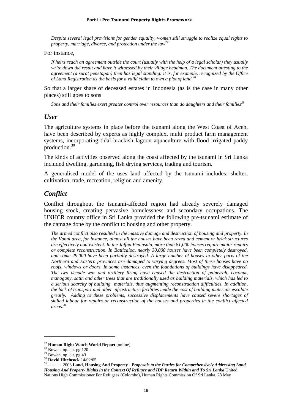*Despite several legal provisions for gender equality, women still struggle to realize equal rights to property, marriage, divorce, and protection under the law27*

#### For instance,

*If heirs reach an agreement outside the court (usually with the help of a legal scholar) they usually write down the result and have it witnessed by their village headman. The document attesting to the agreement (a surat penetapan) then has legal standing: it is, for example, recognized by the Office of Land Registration as the basis for a valid claim to own a plot of land.28*

So that a larger share of deceased estates in Indonesia (as is the case in many other places) still goes to sons

Sons and their families exert greater control over resources than do daughters and their families<sup>29</sup>

## *User*

The agriculture systems in place before the tsunami along the West Coast of Aceh, have been described by experts as highly complex, multi product farm management systems, incorporating tidal brackish lagoon aquaculture with flood irrigated paddy production.30

The kinds of activities observed along the coast affected by the tsunami in Sri Lanka included dwelling, gardening, fish drying services, trading and tourism.

A generalised model of the uses land affected by the tsunami includes: shelter, cultivation, trade, recreation, religion and amenity.

## *Conflict*

Conflict throughout the tsunami-affected region had already severely damaged housing stock, creating pervasive homelessness and secondary occupations. The UNHCR country office in Sri Lanka provided the following pre-tsunami estimate of the damage done by the conflict to housing and other property.

*The armed conflict also resulted in the massive damage and destruction of housing and property. In the Vanni area, for instance, almost all the houses have been razed and cement or brick structures are effectively non-existent. In the Jaffna Peninsula, more than 81,000 houses require major repairs or complete reconstruction. In Batticaloa, nearly 30,000 houses have been completely destroyed, and some 29,000 have been partially destroyed. A large number of houses in other parts of the Northern and Eastern provinces are damaged to varying degrees. Most of these houses have no roofs, windows or doors. In some instances, even the foundations of buildings have disappeared. The two decade war and artillery firing have caused the destruction of palmyrah, coconut, mahogany, satin and other trees that are traditionally used as building materials, which has led to a serious scarcity of building materials, thus augmenting reconstruction difficulties. In addition, the lack of transport and other infrastructure facilities made the cost of building materials escalate greatly. Adding to these problems, successive displacements have caused severe shortages of skilled labour for repairs or reconstruction of the houses and properties in the conflict affected areas.31* 

<sup>27</sup> **Human Right Watch World Report** [online] 28 Bowen, op. cit. pg 120

 $^{29}$  Bowen, op. cit. pg 43<br> $^{30}$  **David Hitchcock** 14/02/05

<sup>30</sup> **David Hitchcock** 14/02/05 31 ----------2003 **Land, Housing And Property -** *Proposals to the Parties for Comprehensively Addressing Land, Housing And Property Rights in the Context Of Refugee and IDP Return Within and To Sri Lanka* United Nations High Commissioner For Refugees (Colombo), Human Rights Commission Of Sri Lanka, 28 May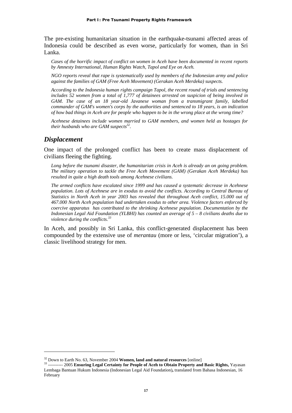The pre-existing humanitarian situation in the earthquake-tsunami affected areas of Indonesia could be described as even worse, particularly for women, than in Sri Lanka.

*Cases of the horrific impact of conflict on women in Aceh have been documented in recent reports by Amnesty International, Human Rights Watch, Tapol and Eye on Aceh.* 

*NGO reports reveal that rape is systematically used by members of the Indonesian army and police against the families of GAM (Free Aceh Movement) (Gerakan Aceh Merdeka) suspects.* 

*According to the Indonesia human rights campaign Tapol, the recent round of trials and sentencing includes 52 women from a total of 1,777 of detainees arrested on suspicion of being involved in GAM. The case of an 18 year-old Javanese woman from a transmigrant family, labelled commander of GAM's women's corps by the authorities and sentenced to 18 years, is an indication of how bad things in Aceh are for people who happen to be in the wrong place at the wrong time?* 

*Acehnese detainees include women married to GAM members, and women held as hostages for their husbands who are GAM suspects*<sup>32</sup>.

#### *Displacement*

 $\overline{a}$ 

One impact of the prolonged conflict has been to create mass displacement of civilians fleeing the fighting.

*Long before the tsunami disaster, the humanitarian crisis in Aceh is already an on going problem. The military operation to tackle the Free Aceh Movement (GAM) (Gerakan Aceh Merdeka) has resulted in quite a high death tools among Acehnese civilians.* 

*The armed conflicts have escalated since 1999 and has caused a systematic decrease in Acehnese population. Lots of Acehnese are in exodus to avoid the conflicts. According to Central Bureau of Statistics in North Aceh in year 2003 has revealed that throughout Aceh conflict, 15.000 out of 467.000 North Aceh population had undertaken exodus to other area. Violence factors enforced by coercive apparatus has contributed to the shrinking Acehnese population. Documentation by the Indonesian Legal Aid Foundation (YLBHI) has counted an average of 5 – 8 civilians deaths due to violence during the conflicts.<sup>33</sup>*

In Aceh, and possibly in Sri Lanka, this conflict-generated displacement has been compounded by the extensive use of *merantau* (more or less, 'circular migration'), a classic livelihood strategy for men.

<sup>32</sup> Down to Earth No. 63, November 2004 **Women, land and natural resources** [online] 33 ---------- 2005 **Ensuring Legal Certainty for People of Aceh to Obtain Property and Basic Rights,** Yayasan Lembaga Bantuan Hukum Indonesia (Indonesian Legal Aid Foundation)**,** translated from Bahasa Indonesian, 16 February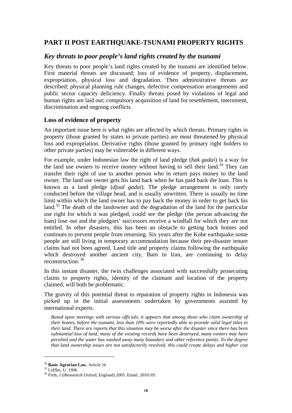## **PART II POST EARTHQUAKE-TSUNAMI PROPERTY RIGHTS**

## *Key threats to poor people's land rights created by the tsunami*

Key threats to poor people's land rights created by the tsunami are identified below. First material threats are discussed; loss of evidence of property, displacement, expropriation, physical loss and degradation. Then administrative threats are described; physical planning rule changes, defective compensation arrangements and public sector capacity deficiency. Finally threats posed by violations of legal and human rights are laid out; compulsory acquisition of land for resettlement, internment, discrimination and ongoing conflicts.

## **Loss of evidence of property**

An important issue here is what rights are affected by which threats. Primary rights in property (those granted by states to private parties) are most threatened by physical loss and expropriation. Derivative rights (those granted by primary right holders to other private parties) may be vulnerable in different ways.

For example, under Indonesian law the right of land pledge (*hak gadai*) is a way for the land use owners to receive money without having to sell their land.<sup>34</sup> They can transfer their right of use to another person who in return pays money to the land owner. The land use owner gets his land back when he has paid back the loan. This is known as a land pledge (*djual gadai*). The pledge arrangement is only rarely conducted before the village head, and is usually unwritten. There is usually no time limit within which the land owner has to pay back the money in order to get back his land.<sup>35</sup> The death of the landowner and the degradation of the land for the particular use right for which it was pledged, could see the pledge (the person advancing the loan) lose out and the pledgors' successors receive a windfall for which they are not entitled. In other disasters, this has been an obstacle to getting back homes and continues to prevent people from returning. Six years after the Kobe earthquake some people are still living in temporary accommodation because their pre-disaster tenure claims had not been agreed. Land title and property claims following the earthquake which destroyed another ancient city, Bam in Iran, are continuing to delay reconstruction. 36

In this instant disaster, the twin challenges associated with successfully prosecuting claims to property rights, identity of the claimant and location of the property claimed, will both be problematic.

The gravity of this potential threat to reparation of property rights in Indonesia was picked up in the initial assessments undertaken by governments assisted by international experts.

*Based upon meetings with various officials, it appears that among those who claim ownership of their homes, before the tsunami, less than 10% were reportedly able to provide valid legal titles to their land. There are reports that this situation may be worse after the disaster since there has been substantial loss of land, many of the existing records have been destroyed, many owners may have perished and the water has washed away many boundary and other reference points. To the degree that land ownership issues are not satisfactorily resolved, this could create delays and higher cost* 

<u>.</u>

<sup>&</sup>lt;sup>34</sup> Basic Agrarian Law, Article 16<br><sup>35</sup> Löffler, U. 1996

<sup>36</sup> Firth, J (iReasearch Oxford, England) 2005. Email. 20/01/05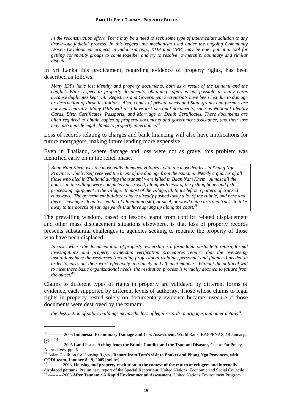*in the reconstruction effort. There may be a need to seek some type of intermediate solution to any drawn-out judicial process. In this regard, the mechanism used under the ongoing Community Driven Development projects in Indonesia (e.g., KDP and UPP) may be one potential tool for getting community groups to come together and try to resolve ownership, boundary and similar disputes. 37*

In Sri Lanka this predicament, regarding evidence of property rights, has been described as follows.

*Many IDPs have lost identity and property documents, both as a result of the tsunami and the conflict. With respect to property documents, obtaining copies is not possible in many cases because duplicates kept with Registries and Government Secretariats have been lost due to damage or destruction of these institutions. Also, copies of private deeds and State grants and permits are not kept centrally. Many IDPs will also have lost personal documents, such as National Identity Cards, Birth Certificates, Passports, and Marriage or Death Certificates. These documents are often required to obtain copies of property documents and government assistance, and their loss may also impede legal claims to property inheritance.38*

Loss of records relating to charges and bank financing will also have implications for future mortgagors, making future lending more expensive.

Even in Thailand, where damage and loss were not as grave, this problem was identified early on in the relief phase.

*Baan Nam Khem was the most badly damaged villages - with the most deaths - in Phang Nga Province, which itself received the brunt of the damage from the tsunami. Nearly a quarter of all those who died in Thailand during the tsunami were killed in Baan Nam Khem. Almost all the houses in the village were completely destroyed, along with most of the fishing boats and fishprocessing equipment in the village. In most of the village, all that's left is a pattern of cracked roadways. The government bulldozers have already pushed away a lot of the rubble, and here and there, scavengers load twisted bit of aluminium* (sic)*, or steel, or wood onto carts and trucks to take away to the dozens of salvage yards that have sprung up along the coast.39*

The prevailing wisdom, based on lessons learnt from conflict related displacement and other mass displacement situations elsewhere, is that loss of property records presents substantial challenges to agencies seeking to reparate the property of those who have been displaced.

*In cases where the documentation of property ownership is a formidable obstacle to return, formal investigations and property ownership verification procedures require that the overseeing institutions have the resources (including professional training, personnel and finances) needed in order to carry out their work effectively in a timely and efficient manner. Without the political will to meet these basic organizational needs, the restitution process is virtually doomed to failure from the outset.40*

Claims to different types of rights in property are validated by different forms of evidence, each supported by different levels of authority. Those whose claims to legal rights in property rested solely on documentary evidence became insecure if those documents were destroyed by the tsunami.

*the destruction of public buildings means the loss of legal records, mortgages and other details<sup>41</sup>.* 

<sup>37 ---------- 2005</sup> **Indonesia: Preliminary Damage and Loss Assessment,** World Bank, BAPPENAS, 19 January, page 44

<sup>38 ---------- 2005</sup> **Land Issues Arising from the Ethnic Conflict and the Tsunami Disaster,** Centre For Policy Alternatives, pg 25<br><sup>39</sup> Asian Coalition for Housing Rghts - **Report from Tom's visit to Phuket and Phang Nga Provinces, with** 

**CODI team, January 8 - 9, 2005** [online]<br><sup>40</sup>----------- 2003, **Housing and property restitution in the context of the return of refugees and internally** 

displaced persons, Preliminary report of the Special Rapporteur, United Nations, Economic and Social Councile <sup>41</sup> ----------2005 After Tsunami: A Rapid Environmental Assessment, United Nations Environment Program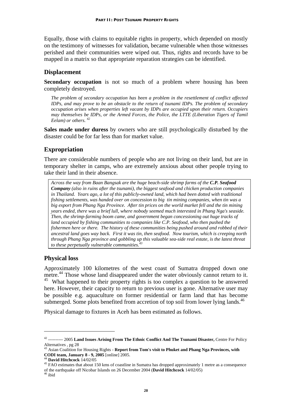Equally, those with claims to equitable rights in property, which depended on mostly on the testimony of witnesses for validation, became vulnerable when those witnesses perished and their communities were wiped out. Thus, rights and records have to be mapped in a matrix so that appropriate reparation strategies can be identified.

## **Displacement**

**Secondary occupation** is not so much of a problem where housing has been completely destroyed.

*The problem of secondary occupation has been a problem in the resettlement of conflict affected IDPs, and may prove to be an obstacle to the return of tsunami IDPs. The problem of secondary occupation arises when properties left vacant by IDPs are occupied upon their return. Occupiers may themselves be IDPs, or the Armed Forces, the Police, the LTTE (Liberation Tigers of Tamil Eelam) or others. 42*

**Sales made under duress** by owners who are still psychologically disturbed by the disaster could be for far less than for market value.

## **Expropriation**

There are considerable numbers of people who are not living on their land, but are in temporary shelter in camps, who are extremely anxious about other people trying to take their land in their absence.

*Across the way from Baan Bangsak are the huge beach-side shrimp farms of the C.P. Seafood Company (also in ruins after the tsunami), the biggest seafood and chicken production companies in Thailand. Years ago, a lot of this publicly-owned land, which had been dotted with traditional fishing settlements, was handed over on concession to big tin mining companies, when tin was a big export from Phang Nga Province. After tin prices on the world market fell and the tin mining years ended, there was a brief lull, where nobody seemed much interested in Phang Nga's seaside. Then, the shrimp-farming boom came, and government began concessioning out huge tracks of land occupied by fishing communities to companies like C.P. Seafood, who then pushed the fishermen here or there. The history of these communities being pushed around and robbed of their ancestral land goes way back. First it was tin, then seafood. Now tourism, which is creeping north through Phang Nga province and gobbling up this valuable sea-side real estate, is the latest threat to these perpetually vulnerable communities.43*

## **Physical loss**

Approximately 100 kilometres of the west coast of Sumatra dropped down one metre.<sup>44</sup> Those whose land disappeared under the water obviously cannot return to it.  $45$  What happened to their property rights is too complex a question to be answered here. However, their capacity to return to previous user is gone. Alternative user may be possible e.g. aquaculture on former residential or farm land that has become submerged. Some plots benefited from accretion of top soil from lower lying lands.<sup>46</sup>

Physical damage to fixtures in Aceh has been estimated as follows.

<sup>42 ---------- 2005</sup> **Land Issues Arising From The Ethnic Conflict And The Tsunami Disaster,** Centre For Policy Alternatives , pg 28

<sup>43</sup> Asian Coalition for Housing Rights - **Report from Tom's visit to Phuket and Phang Nga Provinces, with CODI team, January 8 - 9, 2005** [online] 2005.<br><sup>44</sup> **David Hitchcock** 14/02/05 **45** FAO estimates that about 150 kms of coastline in Sumatra has dropped approximately 1 metre as a consequence

of the earthquake off Nicobar Islands on 26 December 2004 (**David Hitchcock** 14/02/05) 46 ibid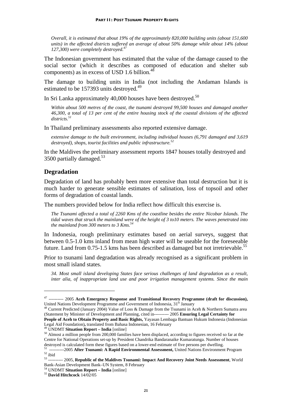*Overall, it is estimated that about 19% of the approximately 820,000 building units (about 151,600 units) in the affected districts suffered an average of about 50% damage while about 14% (about 127,300) were completely destroyed.47*

The Indonesian government has estimated that the value of the damage caused to the social sector (which it describes as composed of education and shelter sub components) as in excess of USD 1.6 billion. $4$ 

The damage to building units in India (not including the Andaman Islands is estimated to be 157393 units destroyed.<sup>49</sup>

In Sri Lanka approximately 40,000 houses have been destroyed.<sup>50</sup>

*Within about 500 metres of the coast, the tsunami destroyed 99,500 houses and damaged another 46,300, a total of 13 per cent of the entire housing stock of the coastal divisions of the affected districts.<sup>51</sup>*

In Thailand preliminary assessments also reported extensive damage.

*extensive damage to the built environment, including individual houses (6,791 damaged and 3,619 destroyed), shops, tourist facilities and public infrastructure.52*

In the Maldives the preliminary assessment reports 1847 houses totally destroyed and 3500 partially damaged.<sup>53</sup>

#### **Degradation**

<u>.</u>

Degradation of land has probably been more extensive than total destruction but it is much harder to generate sensible estimates of salination, loss of topsoil and other forms of degradation of coastal lands.

The numbers provided below for India reflect how difficult this exercise is.

*The Tsunami affected a total of 2260 Kms of the coastline besides the entire Nicobar Islands. The tidal waves that struck the mainland were of the height of 3 to10 meters. The waves penetrated into the mainland from 300 meters to 3 Kms.*<sup>54</sup>

In Indonesia, rough preliminary estimates based on aerial surveys, suggest that between 0.5-1.0 kms inland from mean high water will be useable for the foreseeable future. Land from  $0.75$ -1.5 kms has been described as damaged but not irretrievable.<sup>55</sup>

Prior to tsunami land degradation was already recognised as a significant problem in most small island states.

*34. Most small island developing States face serious challenges of land degradation as a result, inter alia, of inappropriate land use and poor irrigation management systems. Since the main* 

Centre for National Operations set-up by President Chandrika Bandaranaike Kumaratunga. Number of houses

<sup>47 ---------- 2005</sup> **Aceh Emergency Response and Transitional Recovery Programme (draft for discussion),**  United Nations Development Programme and Government of Indonesia,  $31<sup>st</sup>$  January  $48$  Current Predicted (January 2004) Value of Loss & Damage from the Tsunami in Aceh & Northern Sumatra area

<sup>(</sup>Statement by Minister of Development and Planning, cited in---------- 2005 **Ensuring Legal Certainty for People of Aceh to Obtain Property and Basic Rights,** Yayasan Lembaga Bantuan Hukum Indonesia (Indonesian Legal Aid Foundation), translated from Bahasa Indonesian, 16 February <sup>49</sup> UNDMT Situation Report – India [online]

<sup>&</sup>lt;sup>50</sup> Almost a million people from 200,000 families have been displaced, according to figures received so far at the

destroyed is calculated form these figures based on a lower-end estimate of five persons per dwelling.<br><sup>51</sup> ----------2005 **After Tsunami: A Rapid Environmental Assessment,** United Nations Environment Program<br><sup>52</sup> ibid<br><sup>53</sup>

<sup>53 ---------- 2005,</sup> **Republic of the Maldives Tsunami: Impact And Recovery Joint Needs Assessment**, World Bank-Asian Development Bank–UN System, 8 February

<sup>54</sup> UNDMT **Situation Report – India** [online] 55 **David Hitchcock** 14/02/05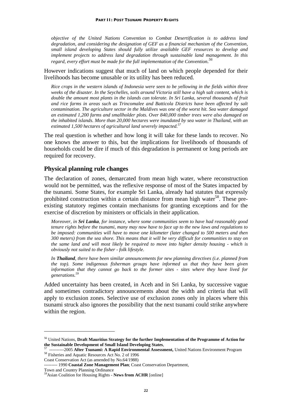*objective of the United Nations Convention to Combat Desertification is to address land degradation, and considering the designation of GEF as a financial mechanism of the Convention, small island developing States should fully utilize available GEF resources to develop and implement projects to address land degradation through sustainable land management. In this regard, every effort must be made for the full implementation of the Convention. 56*

However indications suggest that much of land on which people depended for their livelihoods has become unusable or its utility has been reduced.

*Rice crops in the western islands of Indonesia were seen to be yellowing in the fields within three weeks of the disaster. In the Seychelles, soils around Victoria still have a high salt content, which is double the amount most plants in the islands can tolerate. In Sri Lanka, several thousands of fruit and rice farms in areas such as Trincomalee and Batticola Districts have been affected by salt contamination. The agriculture sector in the Maldives was one of the worst hit. Sea water damaged an estimated 1,200 farms and smallholder plots. Over 840,000 timber trees were also damaged on the inhabited islands. More than 20,000 hectares were inundated by sea water in Thailand, with an estimated 1,500 hectares of agricultural land severely impacted.57*

The real question is whether and how long it will take for these lands to recover. No one knows the answer to this, but the implications for livelihoods of thousands of households could be dire if much of this degradation is permanent or long periods are required for recovery.

#### **Physical planning rule changes**

The declaration of zones, demarcated from mean high water, where reconstruction would not be permitted, was the reflexive response of most of the States impacted by the tsunami. Some States, for example Sri Lanka, already had statutes that expressly prohibited construction within a certain distance from mean high water<sup>58</sup>. These preexisting statutory regimes contain mechanisms for granting exceptions and for the exercise of discretion by ministers or officials in their application.

*Moreover, in Sri Lanka, for instance, where some communities seem to have had reasonably good tenure rights before the tsunami, many may now have to face up to the new laws and regulations to be imposed: communities will have to move one kilometer (later changed to 500 meters and then 300 meters) from the sea shore. This means that it will be very difficult for communities to stay on the same land and will most likely be required to move into higher density housing - which is obviously not suited to the fisher - folk lifestyle.* 

*In Thailand, there have been similar announcements for new planning directives (i.e. planned from the top). Some indigenous fisherman groups have informed us that they have been given information that they cannot go back to the former sites - sites where they have lived for generations.59*

Added uncertainty has been created, in Aceh and in Sri Lanka, by successive vague and sometimes contradictory announcements about the width and criteria that will apply to exclusion zones. Selective use of exclusion zones only in places where this tsunami struck also ignores the possibility that the next tsunami could strike anywhere within the region.

<sup>&</sup>lt;sup>56</sup> United Nations, **Draft Mauritius Strategy for the further Implementation of the Programme of Action for the Sustainable Development of Small Island Developing States,** 

 $^{57}$  ----------2005 After Tsunami: A Rapid Environmental Assessment, United Nations Environment Program  $^{58}$  Fisheries and Aquatic Resources Act No. 2 of 1996

Coast Conservation Act (as amended by No.64/1988)

<sup>--------- 1990</sup> **Coastal Zone Management Plan**; Coast Conservation Department,

Town and Country Planning Ordinance

*<sup>59</sup>*Asian Coalition for Housing Rights - **News from ACHR** [online]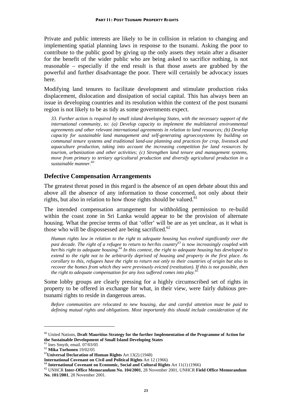Private and public interests are likely to be in collision in relation to changing and implementing spatial planning laws in response to the tsunami. Asking the poor to contribute to the public good by giving up the only assets they retain after a disaster for the benefit of the wider public who are being asked to sacrifice nothing, is not reasonable – especially if the end result is that those assets are grabbed by the powerful and further disadvantage the poor. There will certainly be advocacy issues here.

Modifying land tenures to facilitate development and stimulate production risks displacement, dislocation and dissipation of social capital. This has always been an issue in developing countries and its resolution within the context of the post tsunami region is not likely to be as tidy as some governments expect.

*33. Further action is required by small island developing States, with the necessary support of the international community, to: (a) Develop capacity to implement the multilateral environmental agreements and other relevant international agreements in relation to land resources; (b) Develop capacity for sustainable land management and self-generating agroecosystems by building on communal tenure systems and traditional land-use planning and practices for crop, livestock and aquaculture production, taking into account the increasing competition for land resources by tourism, urbanization and other activities; (c) Strengthen land tenure and management systems, move from primary to tertiary agricultural production and diversify agricultural production in a sustainable manner.60*

## **Defective Compensation Arrangements**

The greatest threat posed in this regard is the absence of an open debate about this and above all the absence of any information to those concerned, not only about their rights, but also in relation to how those rights should be valued.<sup>61</sup>

The intended compensation arrangement for withholding permission to re-build within the coast zone in Sri Lanka would appear to be the provision of alternate housing. What the precise terms of that 'offer' will be are as yet unclear, as it what is those who will be dispossessed are being sacrificed. $62$ 

*Human rights law in relation to the right to adequate housing has evolved significantly over the past decade. The right of a refugee to return to her/his country63 is now increasingly coupled with her/his right to adequate housing.64 In this context, the right to adequate housing has developed to extend to the right not to be arbitrarily deprived of housing and property in the first place. As corollary to this, refugees have the right to return not only to their countries of origin but also to recover the homes from which they were previously evicted (restitution). If this is not possible, then the right to adequate compensation for any loss suffered comes into play.<sup>65</sup>*

Some lobby groups are clearly pressing for a highly circumscribed set of rights in property to be offered in exchange for what, in their view, were fairly dubious pretsunami rights to reside in dangerous areas.

*Before communities are relocated to new housing, due and careful attention must be paid to defining mutual rights and obligations. Most importantly this should include consideration of the* 

<sup>60</sup> United Nations, **Draft Mauritius Strategy for the further Implementation of the Programme of Action for the Sustainable Development of Small Island Developing States**

 $^{61}$  Ines Smyth, email. 07/03/05<br> $^{62}$  Mika Torhonen 19/02/05

<sup>&</sup>lt;sup>63</sup> Universal Declaration of Human Rights Art 13(2) (1948)<br>International Covenant on Civil and Political Rights Art 12 (1966)

 $^{64}$  International Covenant on Economic, Social and Cultural Rights Art 11(1) (1966)<br> $^{65}$  UNHCR Inter-Office Memorandum No. 104/2001, 28 November 2001, UNHCR Field Office Memorandum **No. 101/2001**, 28 November 2001.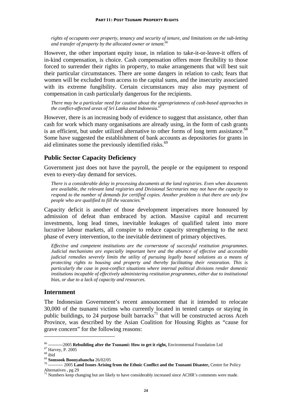*rights of occupants over property, tenancy and security of tenure, and limitations on the sub-letting and transfer of property by the allocated owner or tenant.66*

However, the other important equity issue, in relation to take-it-or-leave-it offers of in-kind compensation, is choice. Cash compensation offers more flexibility to those forced to surrender their rights in property, to make arrangements that will best suit their particular circumstances. There are some dangers in relation to cash; fears that women will be excluded from access to the capital sums, and the insecurity associated with its extreme fungibility. Certain circumstances may also may payment of compensation in cash particularly dangerous for the recipients.

*There may be a particular need for caution about the appropriateness of cash-based approaches in*  the conflict-affected areas of Sri Lanka and Indonesia.<sup>4</sup>

However, there is an increasing body of evidence to suggest that assistance, other than cash for work which many organisations are already using, in the form of cash grants is an efficient, but under utilized alternative to other forms of long term assistance.<sup>68</sup> Some have suggested the establishment of bank accounts as depositories for grants in aid eliminates some the previously identified risks.<sup>69</sup>

#### **Public Sector Capacity Deficiency**

Government just does not have the payroll, the people or the equipment to respond even to every-day demand for services.

*There is a considerable delay in processing documents at the land registries. Even when documents are available, the relevant land registries and Divisional Secretaries may not have the capacity to respond to the number of demands for certified copies. Another problem is that there are only few people who are qualified to fill the vacancies.<sup>70</sup>*

Capacity deficit is another of those development imperatives more honoured by admission of defeat than embraced by action. Massive capital and recurrent investments, long lead times, inevitable leakages of qualified talent into more lucrative labour markets, all conspire to reduce capacity strengthening to the next phase of every intervention, to the inevitable detriment of primary objectives.

*Effective and competent institutions are the cornerstone of successful restitution programmes. Judicial mechanisms are especially important here and the absence of effective and accessible judicial remedies severely limits the utility of pursuing legally based solutions as a means of protecting rights to housing and property and thereby facilitating their restoration. This is particularly the case in post-conflict situations where internal political divisions render domestic institutions incapable of effectively administering restitution programmes, either due to institutional bias, or due to a lack of capacity and resources.* 

#### **Internment**

The Indonesian Government's recent announcement that it intended to relocate 30,000 of the tsunami victims who currently located in tented camps or staying in public buildings, to 24 purpose built barracks<sup>71</sup> that will be constructed across Aceh Province, was described by the Asian Coalition for Housing Rights as "cause for grave concern" for the following reasons:

<sup>&</sup>lt;sup>66</sup> ----------2005 **Rebuilding after the Tsunami: How to get it right,** Environmental Foundation Ltd <sup>67</sup> Harvey, P. 2005<br><sup>68</sup> ibid<br><sup>69</sup> Somsook Boonyabancha 26/02/05

<sup>69</sup> **Somsook Boonyabancha** 26/02/05 70 ---------- 2005 **Land Issues Arising from the Ethnic Conflict and the Tsunami Disaster,** Centre for Policy Alternatives , pg 29  $\frac{71}{1}$  Numbers keep changing but are likely to have considerably increased since ACHR's comments were made.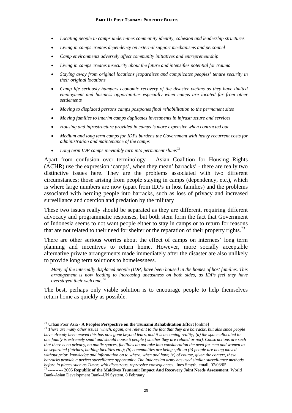- *Locating people in camps undermines community identity, cohesion and leadership structures*
- *Living in camps creates dependency on external support mechanisms and personnel*
- *Camp environments adversely affect community initiatives and entrepreneurship*
- *Living in camps creates insecurity about the future and intensifies potential for trauma*
- *Staying away from original locations jeopardizes and complicates peoples' tenure security in their original locations*
- *Camp life seriously hampers economic recovery of the disaster victims as they have limited employment and business opportunities especially when camps are located far from other settlements*
- *Moving to displaced persons camps postpones final rehabilitation to the permanent sites*
- *Moving families to interim camps duplicates investments in infrastructure and services*
- *Housing and infrastructure provided in camps is more expensive when contracted out*
- *Medium and long term camps for IDPs burdens the Government with heavy recurrent costs for administration and maintenance of the camps*
- *Long term IDP camps inevitably turn into permanent slums72*

Apart from confusion over terminology – Asian Coalition for Housing Rights (ACHR) use the expression 'camps', when they mean' barracks' - there are really two distinctive issues here. They are the problems associated with two different circumstances; those arising from people staying in camps (dependency, etc.), which is where large numbers are now (apart from IDPs in host families) and the problems associated with herding people into barracks, such as loss of privacy and increased surveillance and coercion and predation by the military

These two issues really should be separated as they are different, requiring different advocacy and programmatic responses, but both stem form the fact that Government of Indonesia seems to not want people either to stay in camps or to return for reasons that are not related to their need for shelter or the reparation of their property rights.<sup>73</sup>

There are other serious worries about the effect of camps on internees' long term planning and incentives to return home. However, more socially acceptable alternative private arrangements made immediately after the disaster are also unlikely to provide long term solutions to homelessness.

*Many of the internally displaced people (IDP) have been housed in the homes of host families. This arrangement is now leading to increasing uneasiness on both sides, as IDPs feel they have overstayed their welcome.74*

The best, perhaps only viable solution is to encourage people to help themselves return home as quickly as possible.

<u>.</u>

<sup>72</sup> Urban Poor Asia - **A Peoples Perspective on the Tsunami Rehabilitation Effort** [online] 73 *There are many other issues which, again, are relevant to the fact that they are barracks, but also since people have already been moved this has now gone beyond fears, and it is becoming reality; (a) the space allocated to one family is extremely small and should house 5 people (whether they are related or not). Constructions are such that there is no privacy, no public spaces, facilities do not take into consideration the need for men and women to be separated (latrines, bathing facilities etc.); (b) communities are being split up (b) people are being moved without prior knowledge and information on to where, when and how; (c) of course, given the context, these barracks provide a perfect surveillance opportunity. The Indonesian army has used similar surveillance methods* 

*before in places such as Timor, with disastrous, repressive consequences*. Ines Smyth, email, 07/03/05 74 ---------- 2005 **Republic of the Maldives Tsunami: Impact And Recovery Joint Needs Assessment,** World Bank-Asian Development Bank–UN System, 8 February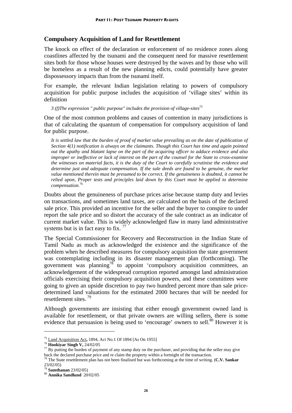## **Compulsory Acquisition of Land for Resettlement**

The knock on effect of the declaration or enforcement of no residence zones along coastlines affected by the tsunami and the consequent need for massive resettlement sites both for those whose houses were destroyed by the waves and by those who will be homeless as a result of the new planning edicts, could potentially have greater dispossessory impacts than from the tsunami itself.

For example, the relevant Indian legislation relating to powers of compulsory acquisition for public purpose includes the acquisition of 'village sites' within its definition

*3 (f)The expression " public purpose" includes the provision of village-sites75*

One of the most common problems and causes of contention in many jurisdictions is that of calculating the quantum of compensation for compulsory acquisition of land for public purpose.

It is settled law that the burden of proof of market value prevailing as on the date of publication of *Section 4(1) notification is always on the claimants. Though this Court has time and again pointed out the apathy and blatant lapse on the part of the acquiring officer to adduce evidence and also improper or ineffective or lack of interest on the part of the counsel for the State to cross-examine the witnesses on material facts, it is the duty of the Court to carefully scrutinise the evidence and determine just and adequate compensation. If the sale deeds are found to be genuine, the market value mentioned therein must be presumed to be correct. If the genuineness is doubted, it cannot be relied upon, Proper tests and principles laid down by this Court must be applied to determine compensation.*<sup>76</sup>

Doubts about the genuineness of purchase prices arise because stamp duty and levies on transactions, and sometimes land taxes, are calculated on the basis of the declared sale price. This provided an incentive for the seller and the buyer to conspire to under report the sale price and so distort the accuracy of the sale contract as an indicator of current market value. This is widely acknowledged flaw in many land administrative systems but is in fact easy to fix.  $^{77}$ 

The Special Commissioner for Recovery and Reconstruction in the Indian State of Tamil Nadu as much as acknowledged the existence and the significance of the problem when he described measures for compulsory acquisition the state government was contemplating including in its disaster management plan (forthcoming). The government was planning<sup>78</sup> to appoint 'compulsory acquisition committees, an acknowledgement of the widespread corruption reported amongst land administration officials exercising their compulsory acquisition powers, and these committees were going to given an upside discretion to pay two hundred percent more than sale pricedetermined land valuations for the estimated 2000 hectares that will be needed for resettlement sites. 79

Although governments are insisting that either enough government owned land is available for resettlement, or that private owners are willing sellers, there is some evidence that persuasion is being used to 'encourage' owners to sell. $80$  However it is

<sup>&</sup>lt;sup>75</sup> Land Acquisition Act, 1894, Act No.1 Of 1894 [As On 1955]<br><sup>76</sup> **Hookiyar Singh V,** 24/02/05<br><sup>77</sup> By putting the burden of payment of any stamp duty on the purchaser, and providing that the seller may give

back the declared purchase price and re claim the property within a fortnight of the transaction. 78 The State resettlement plan has not been finalised but was forthcoming at the time of writing. (**C.V. Sankar**  23/02/05)<br><sup>79</sup> **Samthanan** 23/02/05)

<sup>79</sup> **Samthanan** 23/02/05) 80 **Annika Sandlund** 20/02/05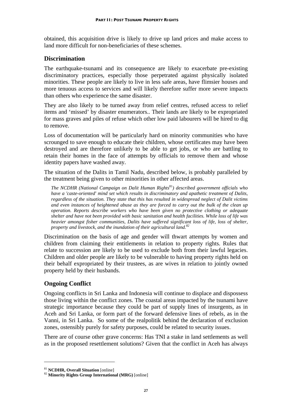obtained, this acquisition drive is likely to drive up land prices and make access to land more difficult for non-beneficiaries of these schemes.

#### **Discrimination**

The earthquake-tsunami and its consequence are likely to exacerbate pre-existing discriminatory practices, especially those perpetrated against physically isolated minorities. These people are likely to live in less safe areas, have flimsier houses and more tenuous access to services and will likely therefore suffer more severe impacts than others who experience the same disaster.

They are also likely to be turned away from relief centres, refused access to relief items and 'missed' by disaster enumerators.. Their lands are likely to be expropriated for mass graves and piles of refuse which other low paid labourers will be hired to dig to remove.

Loss of documentation will be particularly hard on minority communities who have scrounged to save enough to educate their children, whose certificates may have been destroyed and are therefore unlikely to be able to get jobs, or who are battling to retain their homes in the face of attempts by officials to remove them and whose identity papers have washed away.

The situation of the Dalits in Tamil Nadu, described below, is probably paralleled by the treatment being given to other minorities in other affected areas.

*The NCDHR (National Campaign on Dalit Human Rights*<sup>81</sup>*) described government officials who have a 'caste-oriented' mind set which results in discriminatory and apathetic treatment of Dalits, regardless of the situation. They state that this has resulted in widespread neglect of Dalit victims and even instances of heightened abuse as they are forced to carry out the bulk of the clean up operation. Reports describe workers who have been given no protective clothing or adequate shelter and have not been provided with basic sanitation and health facilities. While loss of life was heavier amongst fisher communities, Dalits have suffered significant loss of life, loss of shelter, property and livestock, and the inundation of their agricultural land.82*

Discrimination on the basis of age and gender will thwart attempts by women and children from claiming their entitlements in relation to property rights. Rules that relate to succession are likely to be used to exclude both from their lawful legacies. Children and older people are likely to be vulnerable to having property rights held on their behalf expropriated by their trustees, as are wives in relation to jointly owned property held by their husbands.

## **Ongoing Conflict**

Ongoing conflicts in Sri Lanka and Indonesia will continue to displace and dispossess those living within the conflict zones. The coastal areas impacted by the tsunami have strategic importance because they could be part of supply lines of insurgents, as in Aceh and Sri Lanka, or form part of the forward defensive lines of rebels, as in the Vanni, in Sri Lanka. So some of the realpolitik behind the declaration of exclusion zones, ostensibly purely for safety purposes, could be related to security issues.

There are of course other grave concerns: Has TNI a stake in land settlements as well as in the proposed resettlement solutions? Given that the conflict in Aceh has always

<sup>81</sup> **NCDHR, Overall Situation** [online] 82 **Minority Rights Group International (MRG)** [online]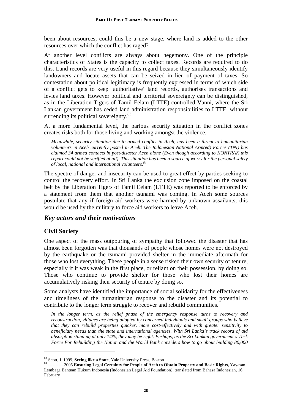been about resources, could this be a new stage, where land is added to the other resources over which the conflict has raged?

At another level conflicts are always about hegemony. One of the principle characteristics of States is the capacity to collect taxes. Records are required to do this. Land records are very useful in this regard because they simultaneously identify landowners and locate assets that can be seized in lieu of payment of taxes. So contestation about political legitimacy is frequently expressed in terms of which side of a conflict gets to keep 'authoritative' land records, authorises transactions and levies land taxes. However political and territorial sovereignty can be distinguished, as in the Liberation Tigers of Tamil Eelam (LTTE) controlled Vanni, where the Sri Lankan government has ceded land administration responsibilities to LTTE, without surrending its political sovereignty. $83$ 

At a more fundamental level, the parlous security situation in the conflict zones creates risks both for those living and working amongst the violence.

*Meanwhile, security situation due to armed conflict in Aceh, has been a threat to humanitarian volunteers in Aceh currently posted in Aceh. The Indonesian National Arm(ed) Forces (TNI) has claimed 34 armed contacts in post-disaster Aceh alone (Even though according to KONTRAK this report could not be verified at all). This situation has been a source of worry for the personal safety of local, national and international volunteers.84*

The spectre of danger and insecurity can be used to great effect by parties seeking to control the recovery effort. In Sri Lanka the exclusion zone imposed on the coastal belt by the Liberation Tigers of Tamil Eelam (LTTE) was reported to be enforced by a statement from them that another tsunami was coming. In Aceh some sources postulate that any if foreign aid workers were harmed by unknown assailants, this would be used by the military to force aid workers to leave Aceh.

#### *Key actors and their motivations*

#### **Civil Society**

1

One aspect of the mass outpouring of sympathy that followed the disaster that has almost been forgotten was that thousands of people whose homes were not destroyed by the earthquake or the tsunami provided shelter in the immediate aftermath for those who lost everything. These people in a sense risked their own security of tenure, especially if it was weak in the first place, or reliant on their possession, by doing so. Those who continue to provide shelter for those who lost their homes are accumulatively risking their security of tenure by doing so.

Some analysts have identified the importance of social solidarity for the effectiveness and timeliness of the humanitarian response to the disaster and its potential to contribute to the longer term struggle to recover and rebuild communities.

*In the longer term, as the relief phase of the emergency response turns to recovery and reconstruction, villages are being adopted by concerned individuals and small groups who believe that they can rebuild properties quicker, more cost-effectively and with greater sensitivity to beneficiary needs than the state and international agencies. With Sri Lanka's track record of aid absorption standing at only 14%, they may be right. Perhaps, as the Sri Lankan government's Task Force For Rebuilding the Nation and the World Bank considers how to go about building 80,000* 

<sup>&</sup>lt;sup>83</sup> Scott, J. 1999, **Seeing like a State**, Yale University Press, Boston **84 ---------** 2005 **Ensuring Legal Certainty for People of Aceh to Obtain Property and Basic Rights, Yayasan** Lembaga Bantuan Hukum Indonesia (Indonesian Legal Aid Foundation)**,** translated from Bahasa Indonesian, 16 February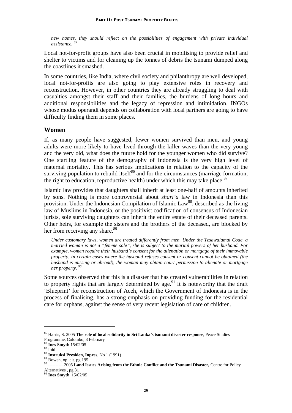*new homes, they should reflect on the possibilities of engagement with private individual assistance. 85*

Local not-for-profit groups have also been crucial in mobilising to provide relief and shelter to victims and for cleaning up the tonnes of debris the tsunami dumped along the coastlines it smashed.

In some countries, like India, where civil society and philanthropy are well developed, local not-for-profits are also going to play extensive roles in recovery and reconstruction. However, in other countries they are already struggling to deal with casualties amongst their staff and their families, the burdens of long hours and additional responsibilities and the legacy of repression and intimidation. INGOs whose modus operandi depends on collaboration with local partners are going to have difficulty finding them in some places.

#### **Women**

If, as many people have suggested, fewer women survived than men, and young adults were more likely to have lived through the killer waves than the very young and the very old, what does the future hold for the younger women who did survive? One startling feature of the demography of Indonesia is the very high level of maternal mortality. This has serious implications in relation to the capacity of the surviving population to rebuild itself<sup>86</sup> and for the circumstances (marriage formation, the right to education, reproductive health) under which this may take place. $87$ 

Islamic law provides that daughters shall inherit at least one-half of amounts inherited by sons. Nothing is more controversial about *shari'a* law in Indonesia than this provision. Under the Indonesian Compilation of Islamic  $Law^{88}$ , described as the living law of Muslims in Indonesia, or the positivist codification of consensus of Indonesian jurists, sole surviving daughters can inherit the entire estate of their deceased parents. Other heirs, for example the sisters and the brothers of the deceased, are blocked by her from receiving any share.<sup>89</sup>

*Under customary laws, women are treated differently from men. Under the Tesawalamai Code, a married woman is not a "femme sole", she is subject to the marital powers of her husband. For example, women require their husband's consent for the alienation or mortgage of their immovable property. In certain cases where the husband refuses consent or consent cannot be obtained (the husband is missing or abroad), the woman may obtain court permission to alienate or mortgage her property. 90*

Some sources observed that this is a disaster that has created vulnerabilities in relation to property rights that are largely determined by age.<sup>91</sup> It is noteworthy that the draft 'Blueprint' for reconstruction of Aceh, which the Government of Indonesia is in the process of finalising, has a strong emphasis on providing funding for the residential care for orphans, against the sense of very recent legislation of care of children.

<sup>85</sup> Harris, S. 2005 **The role of local solidarity in Sri Lanka's tsunami disaster response**, Peace Studies Programme, Colombo, 3 February

<sup>86</sup> **Ines Smyth** 15/02/05 87 Ibid

<sup>88</sup> **Instruksi Presiden, Inpres**, No 1 (1991)<br><sup>89</sup> Bowen, op. cit. pg 195

<sup>90 ---------- 2005</sup> **Land Issues Arising from the Ethnic Conflict and the Tsunami Disaster,** Centre for Policy Alternatives , pg 31

<sup>&</sup>lt;sup>91</sup> Ines Smyth 15/02/05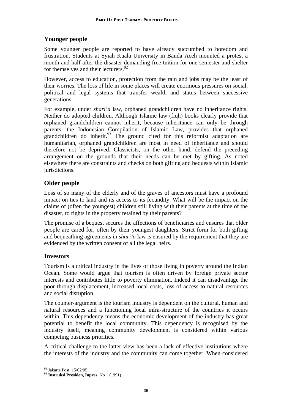## **Younger people**

Some younger people are reported to have already succumbed to boredom and frustration. Students at Syiah Kuala University in Banda Aceh mounted a protest a month and half after the disaster demanding free tuition for one semester and shelter for themselves and their lecturers.  $92$ 

However, access to education, protection from the rain and jobs may be the least of their worries. The loss of life in some places will create enormous pressures on social, political and legal systems that transfer wealth and status between successive generations.

For example, under *shari'a* law, orphaned grandchildren have no inheritance rights. Neither do adopted children. Although Islamic law (fiqh) books clearly provide that orphaned grandchildren cannot inherit, because inheritance can only be through parents, the Indonesian Compilation of Islamic Law, provides that orphaned grandchildren do inherit.<sup>93</sup> The ground cited for this reformist adaptation are humanitarian, orphaned grandchildren are most in need of inheritance and should therefore not be deprived. Classicists, on the other hand, defend the preceding arrangement on the grounds that their needs can be met by gifting. As noted elsewhere there are constraints and checks on both gifting and bequests within Islamic jurisdictions.

## **Older people**

Loss of so many of the elderly and of the graves of ancestors must have a profound impact on ties to land and its access to its fecundity. What will be the impact on the claims of (often the youngest) children still living with their parents at the time of the disaster, to rights in the property retained by their parents?

The promise of a bequest secures the affections of beneficiaries and ensures that older people are cared for, often by their youngest daughters. Strict form for both gifting and bequeathing agreements in *shari'a* law is ensured by the requirement that they are evidenced by the written consent of all the legal heirs.

## **Investors**

Tourism is a critical industry in the lives of those living in poverty around the Indian Ocean. Some would argue that tourism is often driven by foreign private sector interests and contributes little to poverty elimination. Indeed it can disadvantage the poor through displacement, increased local costs, loss of access to natural resources and social disruption.

The counter-argument is the tourism industry is dependent on the cultural, human and natural resources and a functioning local infra-structure of the countries it occurs within. This dependency means the economic development of the industry has great potential to benefit the local community. This dependency is recognised by the industry itself, meaning community development is considered within various competing business priorities.

A critical challenge to the latter view has been a lack of effective institutions where the interests of the industry and the community can come together. When considered

<sup>92</sup> Jakarta Post, 15/02/05

<sup>93</sup> **Instruksi Presiden, Inpres**, No 1 (1991)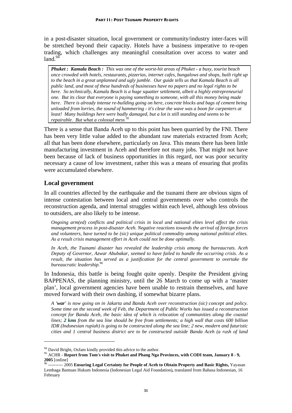in a post-disaster situation, local government or community/industry inter-faces will be stretched beyond their capacity. Hotels have a business imperative to re-open trading, which challenges any meaningful consultation over access to water and  $land.<sup>94</sup>$ 

*Phuket : Kamala Beach : This was one of the worst-hit areas of Phuket - a busy, tourist beach once crowded with hotels, restaurants, pizzerias, internet cafes, bungalows and shops, built right up to the beach in a great unplanned and ugly jumble. Our guide tells us that Kamala Beach is all public land, and most of these hundreds of businesses have no papers and no legal rights to be here. So technically, Kamala Beach is a huge squatter settlement, albeit a highly entrepreneurial one. But its clear that everyone is paying something to someone, with all this money being made here. There is already intense re-building going on here, concrete blocks and bags of cement being unloaded from lorries, the sound of hammering - it's clear the wave was a boon for carpenters at least! Many buildings here were badly damaged, but a lot is still standing and seems to be repairable. But what a colossal mess <sup>95</sup>*

There is a sense that Banda Aceh up to this point has been quarried by the FNI. There has been very little value added to the abundant raw materials extracted from Aceh; all that has been done elsewhere, particularly on Java. This means there has been little manufacturing investment in Aceh and therefore not many jobs. That might not have been because of lack of business opportunities in this regard, nor was poor security necessary a cause of low investment, rather this was a means of ensuring that profits were accumulated elsewhere.

#### **Local government**

<u>.</u>

In all countries affected by the earthquake and the tsunami there are obvious signs of intense contestation between local and central governments over who controls the reconstruction agenda, and internal struggles within each level, although less obvious to outsiders, are also likely to be intense.

*Ongoing arm(ed) conflicts and political crisis in local and national elites level affect the crisis management process in post-disaster Aceh. Negative reactions towards the arrival of foreign forces and volunteers, have turned to be (sic) unique political commodity among national political elites. As a result crisis management effort in Aceh could not be done optimally.* 

*In Aceh, the Tsunami disaster has revealed the leadership crisis among the bureaucrats. Aceh Deputy of Governor, Azwar Abubakar, seemed to have failed to handle the occurring crisis. As a result, the situation has served as a justification for the central government to overtake the bureaucratic leadership.96*

In Indonesia, this battle is being fought quite openly. Despite the President giving BAPPENAS, the planning ministry, until the 26 March to come up with a 'master plan', local government agencies have been unable to restrain themselves, and have moved forward with their own dashing, if somewhat bizarre plans.

*A 'war' is now going on in Jakarta and Banda Aceh over reconstruction (sic) concept and policy. Some time on the second week of Feb, the Department of Public Works has issued a reconstruction concept for Banda Aceh, the basic idea of which is relocation of communities along the coastal lines; 2 kms from the sea line should be free from settlements; a high wall that costs 600 billion IDR (Indonesian rupiah) is going to be constructed along the sea line; 2 new, modern and futuristic cities and 1 central business district are to be constructed outside Banda Aceh (a rush of land* 

<sup>&</sup>lt;sup>94</sup> David Bright, Oxfam kindly provided this advice to the author.

<sup>95</sup> ACHR - **Report from Tom's visit to Phuket and Phang Nga Provinces, with CODI team, January 8 - 9,<br>2005 [online]**<br><sup>96</sup> ---------- 2005 Ensuring Legal Certainty for People of Aceh to Obtain Property and Basic Pichts, Vaya

**<sup>2005</sup> Ensuring Legal Certainty for People of Aceh to Obtain Property and Basic Rights, Yayasan** Lembaga Bantuan Hukum Indonesia (Indonesian Legal Aid Foundation)**,** translated from Bahasa Indonesian, 16 February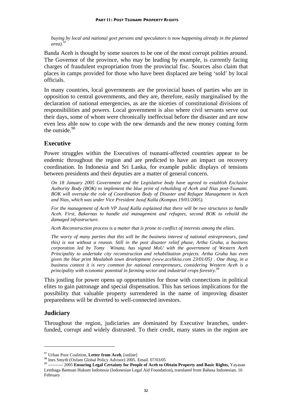*buying by local and national govt persons and speculators is now happening already in the planned area*).<sup>9</sup>

Banda Aceh is thought by some sources to be one of the most corrupt polities around. The Governor of the province, who may be leading by example, is currently facing charges of fraudulent expropriation from the provincial fisc. Sources also claim that places in camps provided for those who have been displaced are being 'sold' by local officials.

In many countries, local governments are the provincial bases of parties who are in opposition to central governments, and they are, therefore, easily marginalised by the declaration of national emergencies, as are the niceties of constitutional divisions of responsibilities and powers. Local government is also where civil servants serve out their days, some of whom were chronically ineffectual before the disaster and are now even less able now to cope with the new demands and the new money coming form the outside.<sup>98</sup>

#### **Executive**

Power struggles within the Executives of tsunami-affected countries appear to be endemic throughout the region and are predicted to have an impact on recovery coordination. In Indonesia and Sri Lanka, for example public displays of tensions between presidents and their deputies are a matter of general concern.

*On 18 January 2005 Government and the Legislative body have agreed to establish Exclusive Authority Body (BOK) to implement the blue print of rebuilding of Aceh and Nias post-Tsunami. BOK will overtake the role of Coordination Body of Disaster and Refugee Management in Aceh and Nias, which was under Vice President Jusuf Kalla (Kompas 19/01/2005).* 

*For the management of Aceh VP Jusuf Kalla explained that there will be two structures to handle Aceh. First, Bakornas to handle aid management and refugees, second BOK to rebuild the damaged infrastructure.* 

*Aceh Reconstruction process is a matter that is prone to conflict of interests among the elites.* 

*The worry of many parties that this will be the business interest of national entrepreneurs, (and this) is not without a reason. Still in the post disaster relief phase, Artha Graha, a business corporation led by Tomy Winata, has signed MoU with the government of Western Aceh Principality to undertake city reconstruction and rehabilitation projects. Artha Graha has even given the blue print Meulaboh town development (www.acehkita.com 23/01/05) . One thing, in a business context it is very common for national entrepreneurs, considering Western Aceh is a principality with economic potential in farming sector and industrial crops forestry.99*

This jostling for power opens up opportunities for those with connections in political elites to gain patronage and special dispensation. This has serious implications for the possibility that valuable property surrendered in the name of improving disaster preparedness will be diverted to well-connected investors.

#### **Judiciary**

1

Throughout the region, judiciaries are dominated by Executive branches, underfunded, corrupt and widely distrusted. To their credit, many states in the region are

<sup>&</sup>lt;sup>97</sup> Urban Poor Coalition, Letter from Aceh, [online]<br><sup>98</sup> Ines Smyth (Oxfam Global Policy Advisor) 2005. Email. 07/03/05<br><sup>99</sup> ---------- 2005 Ensuring Legal Certainty for People of Aceh to Obtain Property and Basic Right Lembaga Bantuan Hukum Indonesia (Indonesian Legal Aid Foundation)**,** translated from Bahasa Indonesian, 16 February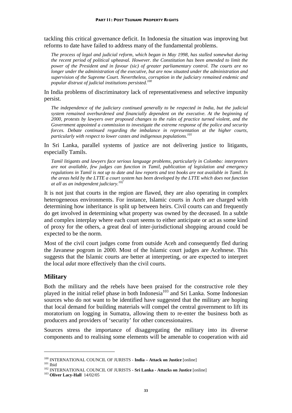tackling this critical governance deficit. In Indonesia the situation was improving but reforms to date have failed to address many of the fundamental problems.

*The process of legal and judicial reform, which began in May 1998, has stalled somewhat during the recent period of political upheaval. However. the Constitution has been amended to limit the power of the President and in favour (sic) of greater parliamentary control. The courts are no longer under the administration of the executive, but are now situated under the administration and supervision of the Supreme Court. Nevertheless, corruption in the judiciary remained endemic and popular distrust of judicial institutions persisted.100*

In India problems of discriminatory lack of representativeness and selective impunity persist.

*The independence of the judiciary continued generally to be respected in India, but the judicial system remained overburdened and financially dependent on the executive. At the beginning of 2000, protests by lawyers over proposed changes to the rules of practice turned violent, and the Government appointed a commission to investigate the extreme response of the police and security forces. Debate continued regarding the imbalance in representation at the higher courts, particularly with respect to lower castes and indigenous populations.101*

In Sri Lanka, parallel systems of justice are not delivering justice to litigants, especially Tamils.

*Tamil litigants and lawyers face serious language problems, particularly in Colombo: interpreters are not available, few judges can function in Tamil, publication of legislation and emergency regulations in Tamil is not up to date and law reports and text books are not available in Tamil. In the areas held by the LTTE a court system has been developed by the LTTE which does not function at all as an independent judiciary.102*

It is not just that courts in the region are flawed, they are also operating in complex heterogeneous environments. For instance, Islamic courts in Aceh are charged with determining how inheritance is split up between heirs. Civil courts can and frequently do get involved in determining what property was owned by the deceased. In a subtle and complex interplay where each court seems to either anticipate or act as some kind of proxy for the others, a great deal of inter-jurisdictional shopping around could be expected to be the norm.

Most of the civil court judges come from outside Aceh and consequently fled during the Javanese pogrom in 2000. Most of the Islamic court judges are Acehnese. This suggests that the Islamic courts are better at interpreting, or are expected to interpret the local *adat* more effectively than the civil courts.

#### **Military**

Both the military and the rebels have been praised for the constructive role they played in the initial relief phase in both Indonesia<sup>103</sup> and Sri Lanka. Some Indonesian sources who do not want to be identified have suggested that the military are hoping that local demand for building materials will compel the central government to lift its moratorium on logging in Sumatra, allowing them to re-enter the business both as producers and providers of 'security' for other concessionaires.

Sources stress the importance of disaggregating the military into its diverse components and to realising some elements will be amenable to cooperation with aid

<sup>&</sup>lt;sup>100</sup> INTERNATIONAL COUNCIL OF JURISTS - **India – Attack on Justice** [online]<br><sup>101</sup> Ibid<br><sup>102</sup> INTERNATIONAL COUNCIL OF JURISTS - **Sri Lanka - Attacks on Justice** [online]<br><sup>103</sup> **Oliver Lacy-Hall** 14/02/05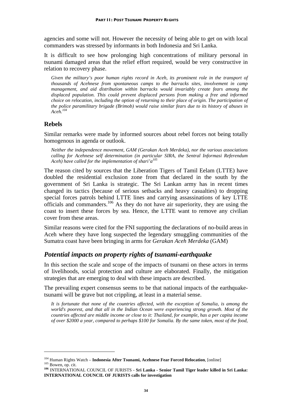agencies and some will not. However the necessity of being able to get on with local commanders was stressed by informants in both Indonesia and Sri Lanka.

It is difficult to see how prolonging high concentrations of military personal in tsunami damaged areas that the relief effort required, would be very constructive in relation to recovery phase.

*Given the military's poor human rights record in Aceh, its prominent role in the transport of thousands of Acehnese from spontaneous camps to the barracks sites, involvement in camp management, and aid distribution within barracks would invariably create fears among the displaced population. This could prevent displaced persons from making a free and informed choice on relocation, including the option of returning to their place of origin. The participation of the police paramilitary brigade (Brimob) would raise similar fears due to its history of abuses in Aceh.104*

## **Rebels**

1

Similar remarks were made by informed sources about rebel forces not being totally homogenous in agenda or outlook.

*Neither the independence movement, GAM (Gerakan Aceh Merdeka), nor the various associations calling for Acehnese self determination (in particular SIRA, the Sentral Informasi Referendum Aceh) have called for the implementation of shari'a105*

The reason cited by sources that the Liberation Tigers of Tamil Eelam (LTTE) have doubled the residential exclusion zone from that declared in the south by the government of Sri Lanka is strategic. The Sri Lankan army has in recent times changed its tactics (because of serious setbacks and heavy casualties) to dropping special forces patrols behind LTTE lines and carrying assassinations of key LTTE officials and commanders.<sup>106</sup> As they do not have air superiority, they are using the coast to insert these forces by sea. Hence, the LTTE want to remove any civilian cover from these areas.

Similar reasons were cited for the FNI supporting the declarations of no-build areas in Aceh where they have long suspected the legendary smuggling communities of the Sumatra coast have been bringing in arms for *Gerakan Aceh Merdeka* (GAM)

## *Potential impacts on property rights of tsunami-earthquake*

In this section the scale and scope of the impacts of tsunami on these actors in terms of livelihoods, social protection and culture are elaborated. Finally, the mitigation strategies that are emerging to deal with these impacts are described.

The prevailing expert consensus seems to be that national impacts of the earthquaketsunami will be grave but not crippling, at least in a material sense.

*It is fortunate that none of the countries affected, with the exception of Somalia, is among the world's poorest, and that all in the Indian Ocean were experiencing strong growth. Most of the countries affected are middle income or close to it: Thailand, for example, has a per capita income of over \$2000 a year, compared to perhaps \$100 for Somalia. By the same token, most of the food,* 

<sup>&</sup>lt;sup>104</sup> Human Rights Watch – **Indonesia After Tsunami, Acehnese Fear Forced Relocation**, [online]<br><sup>105</sup> Bowen, op. cit.<br><sup>106</sup> INTERNATIONAL COUNCIL OF JURISTS - Sri Lanka - Senior Tamil Tiger leader killed in Sri Lanka:

**INTERNATIONAL COUNCIL OF JURISTS calls for investigation**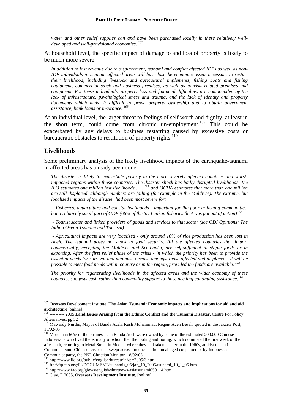*water and other relief supplies can and have been purchased locally in these relatively welldeveloped and well-provisioned economies. 107*

At household level, the specific impact of damage to and loss of property is likely to be much more severe.

*In addition to lost revenue due to displacement, tsunami and conflict affected IDPs as well as non-IDP individuals in tsunami affected areas will have lost the economic assets necessary to restart their livelihood, including livestock and agricultural implements, fishing boats and fishing equipment, commercial stock and business premises, as well as tourism-related premises and equipment. For these individuals, property loss and financial difficulties are compounded by the lack of infrastructure, psychological stress and trauma, and the lack of identity and property*  documents which make it difficult to prove property ownership and to obtain government *assistance, bank loans or insurance. 108*

At an individual level, the larger threat to feelings of self worth and dignity, at least in the short term, could come from chronic un-employment.<sup>109</sup> This could be exacerbated by any delays to business restarting caused by excessive costs or bureaucratic obstacles to restitution of property rights.<sup>110</sup>

#### **Livelihoods**

1

Some preliminary analysis of the likely livelihood impacts of the earthquake-tsunami in affected areas has already been done.

*The disaster is likely to exacerbate poverty in the more severely affected countries and worstimpacted regions within those countries. The disaster shock has badly disrupted livelihoods: the ILO estimates one million lost livelihoods ….. 111 and OCHA estimates that more than one million are still displaced, although numbers are falling (for example in the Maldives). The extreme, but localised impacts of the disaster had been most severe for:* 

 *- Fisheries, aquaculture and coastal livelihoods - important for the poor in fishing communities, but a relatively small part of GDP (66% of the Sri Lankan fisheries fleet was put out of action)112*

 *- Tourist sector and linked providers of goods and services to that sector (see ODI Opinions: The Indian Ocean Tsunami and Tourism).* 

 *- Agricultural impacts are very localised - only around 10% of rice production has been lost in Aceh. The tsunami poses no shock to food security. All the affected countries that import commercially, excepting the Maldives and Sri Lanka, are self-sufficient in staple foods or in exporting. After the first relief phase of the crisis - in which the priority has been to provide the essential needs for survival and minimise disease amongst those affected and displaced - it will be possible to meet food needs within country or in the region, provided the funds are available. 113*

*The priority for regenerating livelihoods in the affected areas and the wider economy of these countries suggests cash rather than commodity support to those needing continuing assistance.*<sup>11</sup>

<sup>&</sup>lt;sup>107</sup> Overseas Development Institute, **The Asian Tsunami: Economic impacts and implications for aid and aid architecture** [online]

**architecture** [online] 108 ---------- 2005 **Land Issues Arising from the Ethnic Conflict and the Tsunami Disaster,** Centre For Policy Alternatives, pg 32<br><sup>109</sup> Mawardy Nurdin, Mayor of Banda Aceh, Rusli Muhammad, Regent Aceh Besah, quoted in the Jakarta Post,

<sup>15/02/05</sup> 

<sup>&</sup>lt;sup>110</sup> More than 60% of the businesses in Banda Aceh were owned by some of the estimated 200,000 Chinese-Indonesians who lived there, many of whom fled the looting and rioting, which dominated the first week of the aftermath, returning to Metal Street in Medan, where they had taken shelter in the 1960s, amidst the anti-Communist/anti-Chinese fervor that swept across Indonesia after an alleged coup attempt by Indonesia's Communist party, the PKI. Christian Monitor, 18/02/05<br>
<sup>111</sup> http://www.ilo.org/public/english/bureau/inf/pr/2005/3.htm<br>
<sup>112</sup> ftp://ftp.fao.org/FI/DOCUMENT/tsunamis\_05/jan\_10\_2005/tsunami\_10\_1\_05.htm<br>
<sup>113</sup> http://www.fao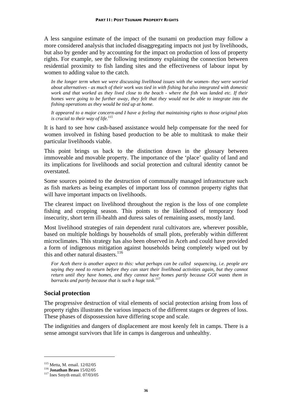A less sanguine estimate of the impact of the tsunami on production may follow a more considered analysis that included disaggregating impacts not just by livelihoods, but also by gender and by accounting for the impact on production of loss of property rights. For example, see the following testimony explaining the connection between residential proximity to fish landing sites and the effectiveness of labour input by women to adding value to the catch.

*In the longer term when we were discussing livelihood issues with the women- they were worried about alternatives - as much of their work was tied in with fishing but also integrated with domestic work and that worked as they lived close to the beach - where the fish was landed etc. If their homes were going to be further away, they felt that they would not be able to integrate into the fishing operations as they would be tied up at home.* 

*It appeared to a major concern-and I have a feeling that maintaining rights to those original plots is crucial to their way of life.*<sup>115</sup>

It is hard to see how cash-based assistance would help compensate for the need for women involved in fishing based production to be able to multitask to make their particular livelihoods viable.

This point brings us back to the distinction drawn in the glossary between immoveable and movable property. The importance of the 'place' quality of land and its implications for livelihoods and social protection and cultural identity cannot be overstated.

Some sources pointed to the destruction of communally managed infrastructure such as fish markets as being examples of important loss of common property rights that will have important impacts on livelihoods.

The clearest impact on livelihood throughout the region is the loss of one complete fishing and cropping season. This points to the likelihood of temporary food insecurity, short term ill-health and duress sales of remaining assets, mostly land.

Most livelihood strategies of rain dependent rural cultivators are, wherever possible, based on multiple holdings by households of small plots, preferably within different microclimates. This strategy has also been observed in Aceh and could have provided a form of indigenous mitigation against households being completely wiped out by this and other natural disasters.<sup>116</sup>

*For Aceh there is another aspect to this: what perhaps can be called sequencing, i.e. people are saying they need to return before they can start their livelihood activities again, but they cannot return until they have homes, and they cannot have homes partly because GOI wants them in barracks and partly because that is such a huge task.117*

## **Social protection**

The progressive destruction of vital elements of social protection arising from loss of property rights illustrates the various impacts of the different stages or degrees of loss. These phases of dispossession have differing scope and scale.

The indignities and dangers of displacement are most keenly felt in camps. There is a sense amongst survivors that life in camps is dangerous and unhealthy.

<u>.</u>

<sup>115</sup> Metta, M. email. 12/02/05 116 **Jonathan Brass** 15/02/05 117 Ines Smyth email. 07/03/05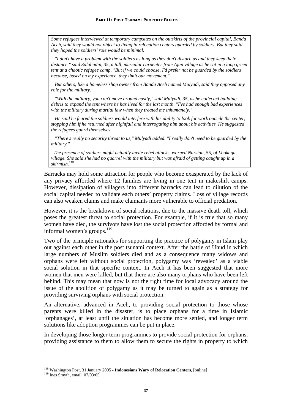*Some refugees interviewed at temporary campsites on the outskirts of the provincial capital, Banda Aceh, said they would not object to living in relocation centers guarded by soldiers. But they said they hoped the soldiers' role would be minimal.* 

 *"I don't have a problem with the soldiers as long as they don't disturb us and they keep their distance," said Salahudin, 35, a tall, muscular carpenter from Ajun village as he sat in a long green tent at a chaotic refugee camp. "But if we could choose, I'd prefer not be guarded by the soldiers because, based on my experience, they limit our movement."* 

 *But others, like a homeless shop owner from Banda Aceh named Mulyadi, said they opposed any role for the military.* 

 *"With the military, you can't move around easily," said Mulyadi, 35, as he collected building debris to expand the tent where he has lived for the last month. "I've had enough bad experiences with the military during martial law when they treated me inhumanely."* 

 *He said he feared the soldiers would interfere with his ability to look for work outside the center, stopping him if he returned after nightfall and interrogating him about his activities. He suggested the refugees guard themselves.* 

 *"There's really no security threat to us," Mulyadi added. "I really don't need to be guarded by the military."* 

 *The presence of soldiers might actually invite rebel attacks, warned Nursiah, 55, of Lhoknga village. She said she had no quarrel with the military but was afraid of getting caught up in a skirmish.118* 

Barracks may hold some attraction for people who become exasperated by the lack of any privacy afforded where 12 families are living in one tent in makeshift camps. However, dissipation of villagers into different barracks can lead to dilution of the social capital needed to validate each others' property claims. Loss of village records can also weaken claims and make claimants more vulnerable to official predation.

However, it is the breakdown of social relations, due to the massive death toll, which poses the greatest threat to social protection. For example, if it is true that so many women have died, the survivors have lost the social protection afforded by formal and informal women's groups. $^{119}$ 

Two of the principle rationales for supporting the practice of polygamy in Islam play out against each other in the post tsunami context. After the battle of Uhud in which large numbers of Muslim soldiers died and as a consequence many widows and orphans were left without social protection, polygamy was 'revealed' as a viable social solution in that specific context. In Aceh it has been suggested that more women that men were killed, but that there are also many orphans who have been left behind. This may mean that now is not the right time for local advocacy around the issue of the abolition of polygamy as it may be turned to again as a strategy for providing surviving orphans with social protection.

An alternative, advanced in Aceh, to providing social protection to those whose parents were killed in the disaster, is to place orphans for a time in Islamic 'orphanages', at least until the situation has become more settled, and longer term solutions like adoption programmes can be put in place.

In developing those longer term programmes to provide social protection for orphans, providing assistance to them to allow them to secure the rights in property to which

<sup>118</sup> Washington Post, 31 January 2005 - **Indonesians Wary of Relocation Centers,** [online] 119 Ines Smyth, email. 07/03/05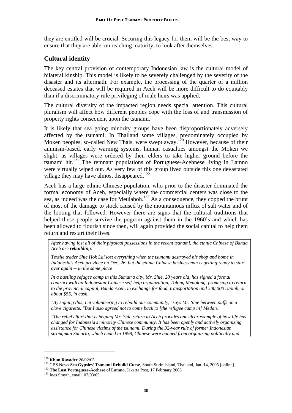they are entitled will be crucial. Securing this legacy for them will be the best way to ensure that they are able, on reaching maturity, to look after themselves.

## **Cultural identity**

The key central provision of contemporary Indonesian law is the cultural model of bilateral kinship. This model is likely to be severely challenged by the severity of the disaster and its aftermath. For example, the processing of the quarter of a million deceased estates that will be required in Aceh will be more difficult to do equitably than if a discriminatory rule privileging of male heirs was applied.

The cultural diversity of the impacted region needs special attention. This cultural pluralism will affect how different peoples cope with the loss of and transmission of property rights consequent upon the tsunami.

It is likely that sea going minority groups have been disproportionately adversely affected by the tsunami. In Thailand some villages, predominately occupied by Moken peoples, so-called New Thais, were swept away.<sup>120</sup> However, because of their animism-based, early warning systems, human casualties amongst the Moken we slight, as villages were ordered by their elders to take higher ground before the tsunami hit.<sup>121</sup> The remnant populations of Portuguese-Acehnese living in Lamno were virtually wiped out. As very few of this group lived outside this one devastated village they may have almost disappeared.<sup>122</sup>

Aceh has a large ethnic Chinese population, who prior to the disaster dominated the formal economy of Aceh, especially where the commercial centers was close to the sea, as indeed was the case for Meulaboh.<sup>123</sup> As a consequence, they copped the brunt of most of the damage to stock caused by the mountainous influx of salt water and of the looting that followed. However there are signs that the cultural traditions that helped these people survive the pogrom against them in the 1960's and which has been allowed to flourish since then, will again provided the social capital to help them return and restart their lives.

*After having lost all of their physical possessions in the recent tsunami, the ethnic Chinese of Banda Aceh are rebuilding:* 

*Textile trader Shie Hok Lai lost everything when the tsunami destroyed his shop and home in Indonesia's Aceh province on Dec. 26, but the ethnic Chinese businessman is getting ready to start over again -- in the same place* 

*In a bustling refugee camp in this Sumatra city, Mr. Shie, 28 years old, has signed a formal contract with an Indonesian-Chinese self-help organization, Tolong Menolong, promising to return to the provincial capital, Banda Aceh, in exchange for food, transportation and 500,000 rupiah, or about \$55, in cash.* 

*"By signing this, I'm volunteering to rebuild our community," says Mr. Shie between puffs on a clove cigarette. "But I also agreed not to come back to [the refugee camp in] Medan.* 

*"The relief effort that is helping Mr. Shie return to Aceh provides one clear example of how life has changed for Indonesia's minority Chinese community. It has been openly and actively organizing assistance for Chinese victims of the tsunami. During the 32-year rule of former Indonesian strongman Suharto, which ended in 1998, Chinese were banned from organizing politically and* 

<sup>&</sup>lt;sup>120</sup> Khun Ravadee 26/02/05<br><sup>121</sup> CBS News Sea Gypsies' Tsunami Rebuild Curse, South Surin Island, Thailand, Jan. 14, 2005 [online]<br><sup>122</sup> The Last Portuguese-Acehese of Lamno, Jakarta Post, 17 February 2005<br><sup>123</sup> Ines Smy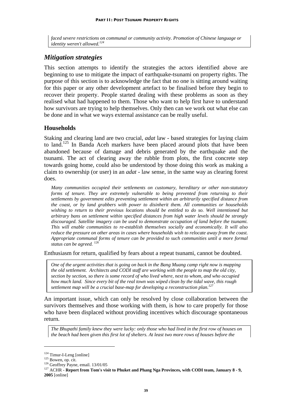*faced severe restrictions on communal or community activity. Promotion of Chinese language or identity weren't allowed.124*

## *Mitigation strategies*

This section attempts to identify the strategies the actors identified above are beginning to use to mitigate the impact of earthquake-tsunami on property rights. The purpose of this section is to acknowledge the fact that no one is sitting around waiting for this paper or any other development artefact to be finalised before they begin to recover their property. People started dealing with these problems as soon as they realised what had happened to them. Those who want to help first have to understand how survivors are trying to help themselves. Only then can we work out what else can be done and in what we ways external assistance can be really useful.

## **Households**

Staking and clearing land are two crucial, *adat* law - based strategies for laying claim to land.<sup>125</sup> In Banda Aceh markers have been placed around plots that have been abandoned because of damage and debris generated by the earthquake and the tsunami. The act of clearing away the rubble from plots, the first concrete step towards going home, could also be understood by those doing this work as making a claim to ownership (or user) in an *adat* - law sense, in the same way as clearing forest does.

*Many communities occupied their settlements on customary, hereditary or other non-statutory*  forms of tenure. They are extremely vulnerable to being prevented from returning to their *settlements by government edits preventing settlement within an arbitrarily specified distance from the coast, or by land grabbers with power to disinherit them. All communities or households wishing to return to their previous locations should be entitled to do so. Well intentioned but arbitrary bans on settlement within specified distances from high water levels should be strongly discouraged. Satellite imagery can be used to demonstrate occupation of land before the tsunami. This will enable communities to re-establish themselves socially and economically. It will also reduce the pressure on other areas in cases where households wish to relocate away from the coast. Appropriate communal forms of tenure can be provided to such communities until a more formal status can be agreed. 126*

Enthusiasm for return, qualified by fears about a repeat tsunami, cannot be doubted.

*One of the urgent activities that is going on back in the Bang Muang camp right now is mapping the old settlement. Architects and CODI staff are working with the people to map the old city, section by section, so there is some record of who lived where, next to whom, and who occupied how much land. Since every bit of the real town was wiped clean by the tidal wave, this rough settlement map will be a crucial base-map for developing a reconstruction plan.127*

An important issue, which can only be resolved by close collaboration between the survivors themselves and those working with them, is how to care properly for those who have been displaced without providing incentives which discourage spontaneous return.

*The Bhupathi family knew they were lucky: only those who had lived in the first row of houses on the beach had been given this first lot of shelters. At least two more rows of houses before the* 

<sup>&</sup>lt;sup>124</sup> Timur-I-Leng [online]<br><sup>125</sup> Bowen, op. cit.<br><sup>126</sup> Geoffrey Payne, email. 13/01/05<br><sup>127</sup> ACHR - **Report from Tom's visit to Phuket and Phang Nga Provinces, with CODI team, January 8 - 9, 2005** [online]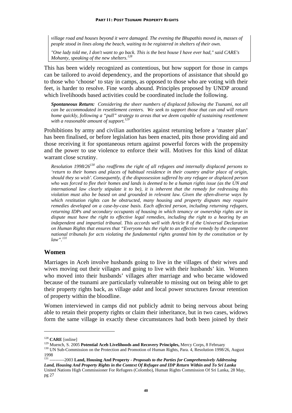*village road and houses beyond it were damaged. The evening the Bhupathis moved in, masses of people stood in lines along the beach, waiting to be registered in shelters of their own.* 

*"One lady told me, I don't want to go back. This is the best house I have ever had," said CARE's Mohanty, speaking of the new shelters.128* 

This has been widely recognized as contentious, but how support for those in camps can be tailored to avoid dependency, and the proportions of assistance that should go to those who 'choose' to stay in camps, as opposed to those who are voting with their feet, is harder to resolve. Fine words abound. Principles proposed by UNDP around which livelihoods based activities could be coordinated include the following.

*Spontaneous Return: Considering the sheer numbers of displaced following the Tsunami, not all can be accommodated in resettlement centers. We seek to support those that can and will return home quickly, following a "pull" strategy to areas that we deem capable of sustaining resettlement with a reasonable amount of support.129* 

Prohibitions by army and civilian authorities against returning before a 'master plan' has been finalised, or before legislation has been enacted, pits those providing aid and those receiving it for spontaneous return against powerful forces with the propensity and the power to use violence to enforce their will. Motives for this kind of diktat warrant close scrutiny.

*Resolution 1998/26130 also reaffirms the right of all refugees and internally displaced persons to 'return to their homes and places of habitual residence in their country and/or place of origin, should they so wish'.Consequently, if the dispossession suffered by any refugee or displaced person who was forced to flee their homes and lands is deemed to be a human rights issue (as the UN and international law clearly stipulate it to be), it is inherent that the remedy for redressing this violation must also be based on and grounded in relevant law. Given the often-diverse ways by which restitution rights can be obstructed, many housing and property disputes may require remedies developed on a case-by-case basis. Each affected person, including returning refugees, returning IDPs and secondary occupants of housing in which tenancy or ownership rights are in dispute must have the right to effective legal remedies, including the right to a hearing by an independent and impartial tribunal. This accords well with Article 8 of the Universal Declaration on Human Rights that ensures that "Everyone has the right to an effective remedy by the competent national tribunals for acts violating the fundamental rights granted him by the constitution or by law".131*

#### **Women**

Marriages in Aceh involve husbands going to live in the villages of their wives and wives moving out their villages and going to live with their husbands' kin. Women who moved into their husbands' villages after marriage and who became widowed because of the tsunami are particularly vulnerable to missing out on being able to get their property rights back, as village *adat* and local power structures favour retention of property within the bloodline.

Women interviewed in camps did not publicly admit to being nervous about being able to retain their property rights or claim their inheritance, but in two cases, widows form the same village in exactly these circumstances had both been joined by their

<sup>&</sup>lt;sup>128</sup> CARE [online]<br><sup>129</sup> Muench, S. 2005 **Potential Aceh Livelihoods and Recovery Principles,** Mercy Corps, 8 February<br><sup>129</sup> UN Sub-Commission on the Protection and Promotion of Human Rights, Para. 4, Resolution 1998/26, 1998

<sup>131 ----------2003</sup> **Land, Housing And Property -** *Proposals to the Parties for Comprehensively Addressing Land, Housing And Property Rights in the Context Of Refugee and IDP Return Within and To Sri Lanka* United Nations High Commissioner For Refugees (Colombo), Human Rights Commission Of Sri Lanka, 28 May, pg 27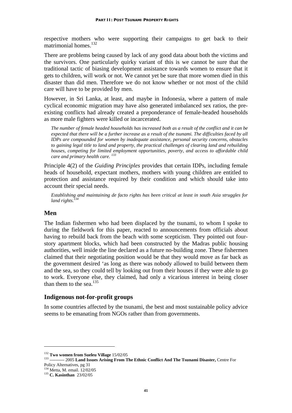respective mothers who were supporting their campaigns to get back to their matrimonial homes.<sup>132</sup>

There are problems being caused by lack of any good data about both the victims and the survivors. One particularly quirky variant of this is we cannot be sure that the traditional tactic of biasing development assistance towards women to ensure that it gets to children, will work or not. We cannot yet be sure that more women died in this disaster than did men. Therefore we do not know whether or not most of the child care will have to be provided by men.

However, in Sri Lanka, at least, and maybe in Indonesia, where a pattern of male cyclical economic migration may have also generated imbalanced sex ratios, the preexisting conflicts had already created a preponderance of female-headed households as more male fighters were killed or incarcerated.

*The number of female headed households has increased both as a result of the conflict and it can be expected that there will be a further increase as a result of the tsunami. The difficulties faced by all IDPs are compounded for women by inadequate assistance, personal security concerns, obstacles to gaining legal title to land and property, the practical challenges of clearing land and rebuilding houses, competing for limited employment opportunities, poverty, and access to affordable child care and primary health care. 133*

Principle 4(2) of the *Guiding Principles* provides that certain IDPs, including female heads of household, expectant mothers, mothers with young children are entitled to protection and assistance required by their condition and which should take into account their special needs.

*Establishing and maintaining de facto rights has been critical at least in south Asia struggles for land rights.134*

#### **Men**

The Indian fishermen who had been displaced by the tsunami, to whom I spoke to during the fieldwork for this paper, reacted to announcements from officials about having to rebuild back from the beach with some scepticism. They pointed out fourstory apartment blocks, which had been constructed by the Madras public housing authorities, well inside the line declared as a future no-building zone. These fishermen claimed that their negotiating position would be that they would move as far back as the government desired 'as long as there was nobody allowed to build between them and the sea, so they could tell by looking out from their houses if they were able to go to work. Everyone else, they claimed, had only a vicarious interest in being closer than them to the sea.<sup>135</sup>

#### **Indigenous not-for-profit groups**

In some countries affected by the tsunami, the best and most sustainable policy advice seems to be emanating from NGOs rather than from governments.

<sup>&</sup>lt;sup>132</sup> Two women from Sueleu Village 15/02/05<br><sup>133</sup> ---------- 2005 Land Issues Arising From The Ethnic Conflict And The Tsunami Disaster, Centre For Policy Alternatives, pg 31

<sup>134</sup> Metta, M. email. 12/02/05 135 **C. Kasinthan** 23/02/05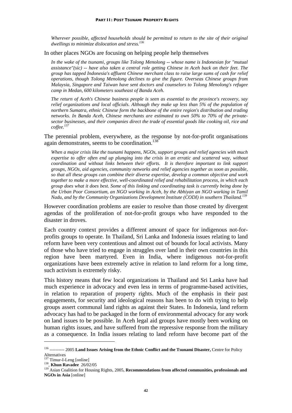*Wherever possible, affected households should be permitted to return to the site of their original dwellings to minimize dislocation and stress.136*

In other places NGOs are focusing on helping people help themselves

*In the wake of the tsunami, groups like Tolong Menolong -- whose name is Indonesian for "mutual assistance"(sic) -- have also taken a central role getting Chinese in Aceh back on their feet. The group has tapped Indonesia's affluent Chinese merchant class to raise large sums of cash for relief operations, though Tolong Menolong declines to give the figure. Overseas Chinese groups from Malaysia, Singapore and Taiwan have sent doctors and counselors to Tolong Menolong's refugee camp in Medan, 600 kilometers southeast of Banda Aceh.* 

*The return of Aceh's Chinese business people is seen as essential to the province's recovery, say relief organizations and local officials. Although they make up less than 5% of the population of northern Sumatra, ethnic Chinese form the backbone of the entire region's distribution and trading networks. In Banda Aceh, Chinese merchants are estimated to own 50% to 70% of the privatesector businesses, and their companies direct the trade of essential goods like cooking oil, rice and coffee.<sup>137</sup>*

The perennial problem, everywhere, as the response by not-for-profit organisations again demonstrates, seems to be coordination.<sup>138</sup>

*When a major crisis like the tsunami happens, NGOs, support groups and relief agencies with much expertise to offer often end up plunging into the crisis in an erratic and scattered way, without coordination and without links between their efforts. It is therefore important to link support groups, NGOs, aid agencies, community networks and relief agencies together as soon as possible, so that all these groups can combine their diverse expertise, develop a common objective and work together to make a more effective, well-coordinated relief and rehabilitation process, in which each group does what it does best. Some of this linking and coordinating task is currently being done by the Urban Poor Consortium, an NGO working in Aceh, by the Abhiyan an NGO working in Tamil Nadu, and by the Community Organizations Development Institute (CODI) in southern Thailand.139*

However coordination problems are easier to resolve than those created by divergent agendas of the proliferation of not-for-profit groups who have responded to the disaster in droves.

Each country context provides a different amount of space for indigenous not-forprofits groups to operate. In Thailand, Sri Lanka and Indonesia issues relating to land reform have been very contentious and almost out of bounds for local activists. Many of those who have tried to engage in struggles over land in their own countries in this region have been martyred. Even in India, where indigenous not-for-profit organizations have been extremely active in relation to land reform for a long time, such activism is extremely risky.

This history means that few local organizations in Thailand and Sri Lanka have had much experience in advocacy and even less in terms of programme-based activities, in relation to reparation of property rights. Much of the emphasis in their past engagements, for security and ideological reasons has been to do with trying to help groups assert communal land rights as against their States. In Indonesia, land reform advocacy has had to be packaged in the form of environmental advocacy for any work on land issues to be possible. In Aceh legal aid groups have mostly been working on human rights issues, and have suffered from the repressive response from the military as a consequence. In India issues relating to land reform have become part of the

<u>.</u>

<sup>136 ---------- 2005</sup> **Land Issues Arising from the Ethnic Conflict and the Tsunami Disaster,** Centre for Policy Alternatives<br><sup>137</sup> Timur-I-Leng [online]

<sup>137</sup> Timur-I-Leng [online] 138, **Khun Ravadee** 26/02/05 139 Asian Coalition for Housing Rights, 2005, **Recommendations from affected communities, professionals and NGOs in Asia** [online]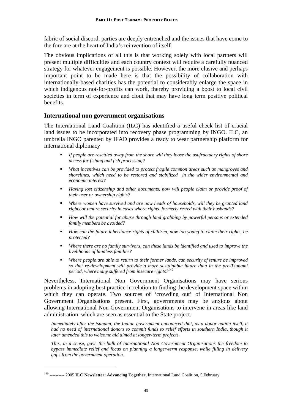fabric of social discord, parties are deeply entrenched and the issues that have come to the fore are at the heart of India's reinvention of itself.

The obvious implications of all this is that working solely with local partners will present multiple difficulties and each country context will require a carefully nuanced strategy for whatever engagement is possible. However, the more elusive and perhaps important point to be made here is that the possibility of collaboration with internationally-based charities has the potential to considerably enlarge the space in which indigenous not-for-profits can work, thereby providing a boost to local civil societies in term of experience and clout that may have long term positive political benefits.

#### **International non government organisations**

The International Land Coalition (ILC) has identified a useful check list of crucial land issues to be incorporated into recovery phase programming by INGO. ILC, an umbrella INGO parented by IFAD provides a ready to wear partnership platform for international diplomacy

- *If people are resettled away from the shore will they loose the usufructuary rights of shore access for fishing and fish processing?*
- *What incentives can be provided to protect fragile common areas such as mangroves and shorelines, which need to be restored and stabilized in the wider environmental and economic interest?*
- *Having lost citizenship and other documents, how will people claim or provide proof of their user or ownership rights?*
- *Where women have survived and are now heads of households, will they be granted land rights or tenure security in cases where rights formerly rested with their husbands?*
- *How will the potential for abuse through land grabbing by powerful persons or extended family members be avoided?*
- *How can the future inheritance rights of children, now too young to claim their rights, be protected?*
- *Where there are no family survivors, can these lands be identified and used to improve the livelihoods of landless families?*
- *Where people are able to return to their former lands, can security of tenure be improved so that re-development will provide a more sustainable future than in the pre-Tsunami period, where many suffered from insecure rights?<sup>140</sup>*

Nevertheless, International Non Government Organisations may have serious problems in adopting best practice in relation to finding the development space within which they can operate. Two sources of 'crowding out' of International Non Government Organisations present. First, governments may be anxious about allowing International Non Government Organisations to intervene in areas like land administration, which are seen as essential to the State project.

*Immediately after the tsunami, the Indian government announced that, as a donor nation itself, it had no need of international donors to commit funds to relief efforts in southern India, though it later amended this to welcome aid aimed at longer-term projects.* 

*This, in a sense, gave the bulk of International Non Government Organisations the freedom to bypass immediate relief and focus on planning a longer-term response, while filling in delivery gaps from the government operation.* 

<u>.</u>

<sup>140 ---------- 2005</sup> **ILC Newsletter: Advancing Together,** International Land Coalition, 5 February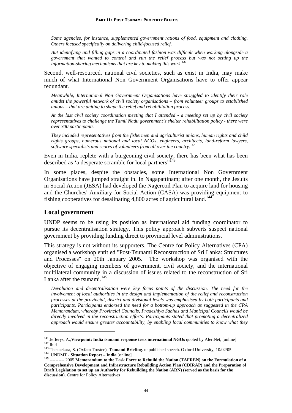*Some agencies, for instance, supplemented government rations of food, equipment and clothing. Others focused specifically on delivering child-focused relief.* 

*But identifying and filling gaps in a coordinated fashion was difficult when working alongside a government that wanted to control and run the relief process but was not setting up the information-sharing mechanisms that are key to making this work.141*

Second, well-resourced, national civil societies, such as exist in India, may make much of what International Non Government Organisations have to offer appear redundant.

*Meanwhile, International Non Government Organisations have struggled to identify their role amidst the powerful network of civil society organisations – from volunteer groups to established unions – that are uniting to shape the relief and rehabilitation process.* 

*At the last civil society coordination meeting that I attended - a meeting set up by civil society representatives to challenge the Tamil Nadu government's shelter rehabilitation policy - there were over 300 participants.* 

*They included representatives from the fishermen and agriculturist unions, human rights and child rights groups, numerous national and local NGOs, engineers, architects, land-reform lawyers, software specialists and scores of volunteers from all over the country.142* 

Even in India, replete with a burgeoning civil society, there has been what has been described as 'a desperate scramble for local partners"<sup>143</sup>

In some places, despite the obstacles, some International Non Government Organisations have jumped straight in. In Nagapattinam; after one month, the Jesuits in Social Action (JESA) had developed the Nagercoil Plan to acquire land for housing and the Churches' Auxiliary for Social Action (CASA) was providing equipment to fishing cooperatives for desalinating  $4,800$  acres of agricultural land.<sup>144</sup>

#### **Local government**

1

UNDP seems to be using its position as international aid funding coordinator to pursue its decentralisation strategy. This policy approach subverts suspect national government by providing funding direct to provincial level administrations.

This strategy is not without its supporters. The Centre for Policy Alternatives (CPA) organised a workshop entitled "Post-Tsunami Reconstruction of Sri Lanka: Structures and Processes" on 20th January 2005. The workshop was organised with the objective of engaging members of government, civil society, and the international multilateral community in a discussion of issues related to the reconstruction of Sri Lanka after the tsunami.<sup>145</sup>

*Devolution and decentralisation were key focus points of the discussion. The need for the involvement of local authorities in the design and implementation of the relief and reconstruction processes at the provincial, district and divisional levels was emphasised by both participants and participants. Participants endorsed the need for a bottom-up approach as suggested in the CPA Memorandum, whereby Provincial Councils, Pradeshiya Sabhas and Municipal Councils would be directly involved in the reconstruction efforts. Participants stated that promoting a decentralized approach would ensure greater accountability, by enabling local communities to know what they* 

<sup>&</sup>lt;sup>141</sup> Jefferys, A., **Viewpoint: India tsunami response tests international NGOs** quoted by AlertNet, [online]<br><sup>142</sup> Ibid<br><sup>143</sup> Thekaekara, S. (Oxfam Trustee). **Tsunami Briefing**. unpublished speech. Oxford University, 10/

**Comprehensive Development and Infrastructure Rebuilding Action Plan (CDIRAP) and the Preparation of Draft Legislation to set up an Authority for Rebuilding the Nation (ARN) (served as the basis for the discussion**). Centre for Policy Alternatives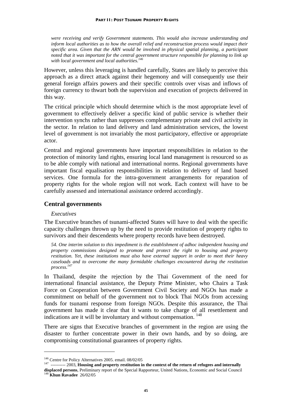*were receiving and verify Government statements. This would also increase understanding and inform local authorities as to how the overall relief and reconstruction process would impact their specific area. Given that the ARN would be involved in physical spatial planning, a participant noted that it was important for the central government structure responsible for planning to link up with local government and local authorities.146*

However, unless this leveraging is handled carefully, States are likely to perceive this approach as a direct attack against their hegemony and will consequently use their general foreign affairs powers and their specific controls over visas and inflows of foreign currency to thwart both the supervision and execution of projects delivered in this way.

The critical principle which should determine which is the most appropriate level of government to effectively deliver a specific kind of public service is whether their intervention synchs rather than suppresses complementary private and civil activity in the sector. In relation to land delivery and land administration services, the lowest level of government is not invariably the most participatory, effective or appropriate actor.

Central and regional governments have important responsibilities in relation to the protection of minority land rights, ensuring local land management is resourced so as to be able comply with national and international norms. Regional governments have important fiscal equalisation responsibilities in relation to delivery of land based services. One formula for the intra-government arrangements for reparation of property rights for the whole region will not work. Each context will have to be carefully assessed and international assistance ordered accordingly.

#### **Central governments**

#### *Executives*

The Executive branches of tsunami-affected States will have to deal with the specific capacity challenges thrown up by the need to provide restitution of property rights to survivors and their descendents where property records have been destroyed.

*54. One interim solution to this impediment is the establishment of adhoc independent housing and property commissions designed to promote and protect the right to housing and property restitution. Yet, these institutions must also have external support in order to meet their heavy caseloads and to overcome the many formidable challenges encountered during the restitution process.147*

In Thailand, despite the rejection by the Thai Government of the need for international financial assistance, the Deputy Prime Minister, who Chairs a Task Force on Cooperation between Government Civil Society and NGOs has made a commitment on behalf of the government not to block Thai NGOs from accessing funds for tsunami response from foreign NGOs. Despite this assurance, the Thai government has made it clear that it wants to take charge of all resettlement and indications are it will be involuntary and without compensation.<sup>148</sup>

There are signs that Executive branches of government in the region are using the disaster to further concentrate power in their own hands, and by so doing, are compromising constitutional guarantees of property rights.

<sup>&</sup>lt;sup>146</sup> Centre for Policy Alternatives 2005. email. 08/02/05<br><sup>147</sup> ----------- 2003, **Housing and property restitution in the context of the return of refugees and internally displaced persons**, Preliminary report of the Special Rapporteur, United Nations, Economic and Social Council 148 **Khun Ravadee** 26/02/05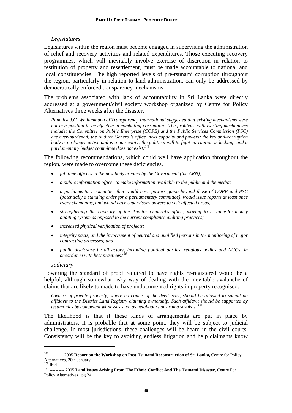#### *Legislatures*

Legislatures within the region must become engaged in supervising the administration of relief and recovery activities and related expenditures. Those executing recovery programmes, which will inevitably involve exercise of discretion in relation to restitution of property and resettlement, must be made accountable to national and local constituencies. The high reported levels of pre-tsunami corruption throughout the region, particularly in relation to land administration, can only be addressed by democratically enforced transparency mechanisms.

The problems associated with lack of accountability in Sri Lanka were directly addressed at a government/civil society workshop organized by Centre for Policy Alternatives three weeks after the disaster.

*Panellist J.C. Weliammuna of Transparency International suggested that existing mechanisms were not in a position to be effective in combating corruption. The problems with existing mechanisms include: the Committee on Public Enterprise (COPE) and the Public Services Commission (PSC) are over-burdened; the Auditor General's office lacks capacity and powers; the key anti-corruption body is no longer active and is a non-entity; the political will to fight corruption is lacking; and a parliamentary budget committee does not exist.<sup>149</sup>*

The following recommendations, which could well have application throughout the region, were made to overcome these deficiencies.

- *full time officers in the new body created by the Government (the ARN);*
- *a public information officer to make information available to the public and the media;*
- *a parliamentary committee that would have powers going beyond those of COPE and PSC (potentially a standing order for a parliamentary committee), would issue reports at least once every six months, and would have supervisory powers to visit affected areas;*
- *strengthening the capacity of the Auditor General's office; moving to a value-for-money auditing system as opposed to the current compliance auditing practices;*
- *increased physical verification of projects;*
- *integrity pacts, and the involvement of neutral and qualified persons in the monitoring of major contracting processes; and*
- *public disclosure by all actors, including political parties, religious bodies and NGOs, in accordance with best practices.<sup>150</sup>*

#### *Judiciary*

1

Lowering the standard of proof required to have rights re-registered would be a helpful, although somewhat risky way of dealing with the inevitable avalanche of claims that are likely to made to have undocumented rights in property recognised.

*Owners of private property, where no copies of the deed exist, should be allowed to submit an affidavit to the District Land Registry claiming ownership. Such affidavit should be supported by testimonies by competent witnesses such as neighbours or grama sevakas. 151*

The likelihood is that if these kinds of arrangements are put in place by administrators, it is probable that at some point, they will be subject to judicial challenge. In most jurisdictions, these challenges will be heard in the civil courts. Consistency will be the key to avoiding endless litigation and help claimants know

<sup>149---------- 2005</sup> **Report on the Workshop on Post-Tsunami Reconstruction of Sri Lanka,** Centre for Policy Alternatives, 20th January<br><sup>150</sup> Ibid

<sup>150</sup> Ibid 151 ---------- 2005 **Land Issues Arising From The Ethnic Conflict And The Tsunami Disaster,** Centre For Policy Alternatives , pg 24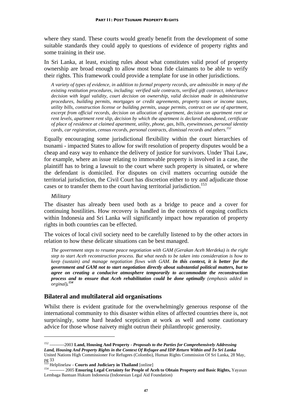where they stand. These courts would greatly benefit from the development of some suitable standards they could apply to questions of evidence of property rights and some training in their use.

In Sri Lanka, at least, existing rules about what constitutes valid proof of property ownership are broad enough to allow most bona fide claimants to be able to verify their rights. This framework could provide a template for use in other jurisdictions.

*A variety of types of evidence, in addition to formal property records, are admissible in many of the existing restitution procedures, including: verified sale contracts, verified gift contract, inheritance decision with legal validity, court decision on ownership, valid decision made in administrative procedures, building permits, mortgages or credit agreements, property taxes or income taxes, utility bills, construction license or building permits, usage permits, contract on use of apartment, excerpt from official records, decision on allocation of apartment, decision on apartment rent or rent levels, apartment rent slip, decision by which the apartment is declared abandoned, certificate of place of residence at claimed apartment, utility, phone, gas, bills, eyewitnesses, personal identity cards, car registration, census records, personal contracts, dismissal records and others.152*

Equally encouraging some jurisdictional flexibility within the court hierarchies of tsunami - impacted States to allow for swift resolution of property disputes would be a cheap and easy way to enhance the delivery of justice for survivors. Under Thai Law, for example, where an issue relating to immovable property is involved in a case, the plaintiff has to bring a lawsuit to the court where such property is situated, or where the defendant is domiciled. For disputes on civil matters occurring outside the territorial jurisdiction, the Civil Court has discretion either to try and adjudicate those cases or to transfer them to the court having territorial jurisdiction.<sup>153</sup>

#### *Military*

1

The disaster has already been used both as a bridge to peace and a cover for continuing hostilities. How recovery is handled in the contexts of ongoing conflicts within Indonesia and Sri Lanka will significantly impact how reparation of property rights in both countries can be effected.

The voices of local civil society need to be carefully listened to by the other actors in relation to how these delicate situations can be best managed.

*The government steps to resume peace negotiation with GAM (Gerakan Aceh Merdeka) is the right step to start Aceh reconstruction process. But what needs to be taken into consideration is how to keep (sustain) and manage negotiation flows with GAM. In this context, it is better for the government and GAM not to start negotiation directly about substantial political matters, but to agree on creating a conducive atmosphere temporarily to accommodate the reconstruction process and to ensure that Aceh rehabilitation could be done optimally (emphasis added in orginal). 154*

## **Bilateral and multilateral aid organisations**

Whilst there is evident gratitude for the overwhelmingly generous response of the international community to this disaster within elites of affected countries there is, not surprisingly, some hard headed scepticism at work as well and some cautionary advice for those whose naivety might outrun their philanthropic generosity.

<sup>152 ----------2003</sup> **Land, Housing And Property -** *Proposals to the Parties for Comprehensively Addressing Land, Housing And Property Rights in the Context Of Refugee and IDP Return Within and To Sri Lanka* United Nations High Commissioner For Refugees (Colombo), Human Rights Commission Of Sri Lanka, 28 May, pg 33<br><sup>153</sup> Helplinelaw - **Courts and Judiciary in Thailand** [online]

<sup>153</sup> Helplinelaw - **Courts and Judiciary in Thailand** [online] 154 ---------- 2005 **Ensuring Legal Certainty for People of Aceh to Obtain Property and Basic Rights,** Yayasan Lembaga Bantuan Hukum Indonesia (Indonesian Legal Aid Foundation)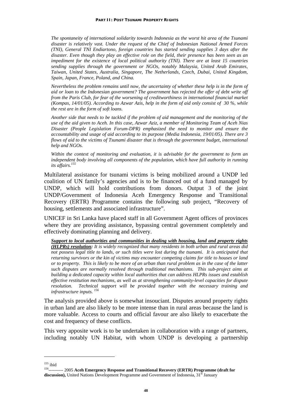*The spontaneity of international solidarity towards Indonesia as the worst hit area of the Tsunami disaster is relatively vast. Under the request of the Chief of Indonesian National Armed Forces (TNI), General TNI Endiartono, foreign countries has started sending supplies 3 days after the disaster. Even though they play an effective role on the field, their presence has been seen as an impediment for the existence of local political authority (TNI). There are at least 15 countries sending supplies through the government or NGOs, notably Malaysia, United Arab Emirates, Taiwan, United States, Australia, Singapore, The Netherlands, Czech, Dubai, United Kingdom, Spain, Japan, France, Poland, and China.* 

*Nevertheless the problem remains until now, the uncertainty of whether these help is in the form of aid or loan to the Indonesian government? The government has rejected the offer of debt write off from the Paris Club, for fear of the worsening of creditworthiness in international financial market (Kompas, 14/01/05). According to Azwar Azis, help in the form of aid only consist of 30 %, while the rest are in the form of soft loans.* 

*Another side that needs to be tackled if the problem of aid management and the monitoring of the use of the aid given to Aceh. In this case, Azwar Aziz, a member of Monitoring Team of Aceh Nias Disaster (People Legislation Forum-DPR) emphasized the need to monitor and ensure the accountability and usage of aid according to its purpose (Media Indonesia, 19/01/05). There are 3 flows of aid to the victims of Tsunami disaster that is through the government budget, international help and NGOs.* 

*Within the context of monitoring and evaluation, it is advisable for the government to form an independent body involving all components of the population, which have full authority in running its affairs.155*

Multilateral assistance for tsunami victims is being mobilized around a UNDP led coalition of UN family's agencies and is to be financed out of a fund managed by UNDP, which will hold contributions from donors. Output 3 of the joint UNDP/Government of Indonesia Aceh Emergency Response and Transitional Recovery (ERTR) Programme contains the following sub project, "Recovery of housing, settlements and associated infrastructure".

UNICEF in Sri Lanka have placed staff in all Government Agent offices of provinces where they are providing assistance, bypassing central government completely and effectively dominating planning and delivery.

*Support to local authorities and communities in dealing with housing, land and property rights (HLPRs) resolution: It is widely recognized that many residents in both urban and rural areas did not possess legal title to lands, or such titles were lost during the tsunami. It is anticipated that returning survivors or the kin of victims may encounter competing claims for title to houses or land or to property. This is likely to be more of an urban than rural problem as in the case of the latter such disputes are normally resolved through traditional mechanisms. This sub-project aims at building a dedicated capacity within local authorities that can address HLPRs issues and establish effective restitution mechanisms, as well as at strengthening community-level capacities for dispute resolution. Technical support will be provided together with the necessary training and infrastructure inputs. 156*

The analysis provided above is somewhat insouciant. Disputes around property rights in urban land are also likely to be more intense than in rural areas because the land is more valuable. Access to courts and official favour are also likely to exacerbate the cost and frequency of these conflicts.

This very apposite work is to be undertaken in collaboration with a range of partners, including notably UN Habitat, with whom UNDP is developing a partnership

<u>.</u>

<sup>&</sup>lt;sup>155</sup> ibid<br><sup>156</sup>---------- 2005 Aceh Emergency Response and Transitional Recovery (ERTR) Programme (draft for **discussion),** United Nations Development Programme and Government of Indonesia, 31<sup>st</sup> January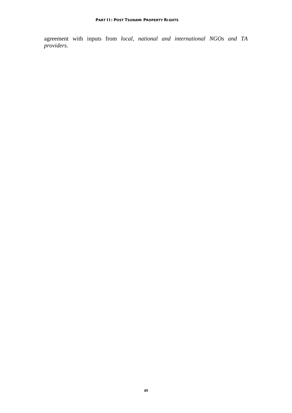agreement with inputs from *local, national and international NGOs and TA providers.*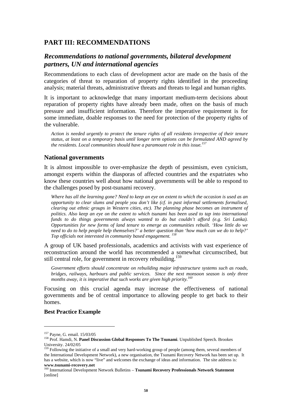## **PART III: RECOMMENDATIONS**

## *Recommendations to national governments, bilateral development partners, UN and international agencies*

Recommendations to each class of development actor are made on the basis of the categories of threat to reparation of property rights identified in the proceeding analysis; material threats, administrative threats and threats to legal and human rights.

It is important to acknowledge that many important medium-term decisions about reparation of property rights have already been made, often on the basis of much pressure and insufficient information. Therefore the imperative requirement is for some immediate, doable responses to the need for protection of the property rights of the vulnerable.

*Action is needed urgently to protect the tenure rights of all residents irrespective of their tenure status, at least on a temporary basis until longer term options can be formulated AND agreed by the residents. Local communities should have a paramount role in this issue.157*

#### **National governments**

It is almost impossible to over-emphasize the depth of pessimism, even cynicism, amongst experts within the diasporas of affected countries and the expatriates who know these countries well about how national governments will be able to respond to the challenges posed by post-tsunami recovery.

*Where has all the learning gone? Need to keep an eye on extent to which the occasion is used as an opportunity to clear slums and people you don't like (cf. in past informal settlements formalised, clearing out ethnic groups in Western cities, etc). The planning phase becomes an instrument of politics. Also keep an eye on the extent to which tsunami has been used to tap into international funds to do things governments always wanted to do but couldn't afford (e.g. Sri Lanka). Opportunities for new forms of land tenure to emerge as communities rebuilt. 'How little do we need to do to help people help themselves?' a better question than 'how much can we do to help?' Top officials not interested in community based engagement. 158*

A group of UK based professionals, academics and activists with vast experience of reconstruction around the world has recommended a somewhat circumscribed, but still central role, for government in recovery rebuilding.<sup>159</sup>

*Government efforts should concentrate on rebuilding major infrastructure systems such as roads, bridges, railways, harbours and public services. Since the next monsoon season is only three months away, it is imperative that such works are given high priority.160*

Focusing on this crucial agenda may increase the effectiveness of national governments and be of central importance to allowing people to get back to their homes.

#### **Best Practice Example**

<sup>&</sup>lt;sup>157</sup> Payne, G. email. 15/03/05<br><sup>158</sup> Prof. Hamdi, N. **Panel Discussion Global Responses To The Tsunami**. Unpublished Speech. Brookes University. 24/02/05

<sup>&</sup>lt;sup>159</sup> Following the initiative of a small and very hard-working group of people (among them, several members of the International Development Network), a new organisation, the Tsunami Recovery Network has been set up. It has a website, which is now "live" and welcomes the exchange of ideas and information. The site address is: **www.tsunami-recovery.net**

<sup>160</sup> International Development Network Bulletins – **Tsunami Recovery Professionals Network Statement**  [online]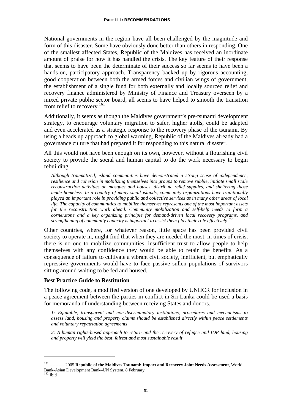National governments in the region have all been challenged by the magnitude and form of this disaster. Some have obviously done better than others in responding. One of the smallest affected States, Republic of the Maldives has received an inordinate amount of praise for how it has handled the crisis. The key feature of their response that seems to have been the determinate of their success so far seems to have been a hands-on, participatory approach. Transparency backed up by rigorous accounting, good cooperation between both the armed forces and civilian wings of government, the establishment of a single fund for both externally and locally sourced relief and recovery finance administered by Ministry of Finance and Treasury overseen by a mixed private public sector board, all seems to have helped to smooth the transition from relief to recovery.<sup>161</sup>

Additionally, it seems as though the Maldives government's pre-tsunami development strategy, to encourage voluntary migration to safer, higher atolls, could be adapted and even accelerated as a strategic response to the recovery phase of the tsunami. By using a heads up approach to global warming, Republic of the Maldives already had a governance culture that had prepared it for responding to this natural disaster.

All this would not have been enough on its own, however, without a flourishing civil society to provide the social and human capital to do the work necessary to begin rebuilding.

*Although traumatized, island communities have demonstrated a strong sense of independence, resilience and cohesion in mobilizing themselves into groups to remove rubble, initiate small scale reconstruction activities on mosques and houses, distribute relief supplies, and sheltering those made homeless. In a country of many small islands, community organizations have traditionally played an important role in providing public and collective services as in many other areas of local life. The capacity of communities to mobilize themselves represents one of the most important assets for the reconstruction work ahead. Community mobilization and self-help needs to form a cornerstone and a key organizing principle for demand-driven local recovery programs, and strengthening of community capacity is important to assist them play their role effectively.162*

Other countries, where, for whatever reason, little space has been provided civil society to operate in, might find that when they are needed the most, in times of crisis, there is no one to mobilize communities, insufficient trust to allow people to help themselves with any confidence they would be able to retain the benefits. As a consequence of failure to cultivate a vibrant civil society, inefficient, but emphatically repressive governments would have to face passive sullen populations of survivors sitting around waiting to be fed and housed.

#### **Best Practice Guide to Restitution**

<u>.</u>

The following code, a modified version of one developed by UNHCR for inclusion in a peace agreement between the parties in conflict in Sri Lanka could be used a basis for memoranda of understanding between receiving States and donors.

*1: Equitable, transparent and non-discriminatory institutions, procedures and mechanisms to assess land, housing and property claims should be established directly within peace settlements and voluntary repatriation agreements*

*2: A human rights-based approach to return and the recovery of refugee and IDP land, housing and property will yield the best, fairest and most sustainable result* 

<sup>161 ---------- 2005</sup> **Republic of the Maldives Tsunami: Impact and Recovery Joint Needs Assessment**, World Bank-Asian Development Bank–UN System, 8 February  $162$  Ibid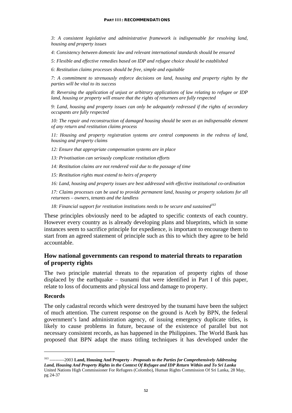#### **PART III: RECOMMENDATIONS**

*3: A consistent legislative and administrative framework is indispensable for resolving land, housing and property issues*

*4: Consistency between domestic law and relevant international standards should be ensured*

*5: Flexible and effective remedies based on IDP and refugee choice should be established* 

*6: Restitution claims processes should be free, simple and equitable* 

*7: A commitment to strenuously enforce decisions on land, housing and property rights by the parties will be vital to its success*

*8: Reversing the application of unjust or arbitrary applications of law relating to refugee or IDP land, housing or property will ensure that the rights of returnees are fully respected*

*9: Land, housing and property issues can only be adequately redressed if the rights of secondary occupants are fully respected*

10: The repair and reconstruction of damaged housing should be seen as an indispensable element *of any return and restitution claims process*

*11: Housing and property registration systems are central components in the redress of land, housing and property claims*

*12: Ensure that appropriate compensation systems are in place*

*13: Privatisation can seriously complicate restitution efforts*

*14: Restitution claims are not rendered void due to the passage of time*

*15: Restitution rights must extend to heirs of property* 

*16: Land, housing and property issues are best addressed with effective institutional co-ordination* 

*17: Claims processes can be used to provide permanent land, housing or property solutions for all returnees – owners, tenants and the landless*

18: Financial support for restitution institutions needs to be secure and sustained<sup>163</sup>

These principles obviously need to be adapted to specific contexts of each country. However every country as is already developing plans and blueprints, which in some instances seem to sacrifice principle for expedience, is important to encourage them to start from an agreed statement of principle such as this to which they agree to be held accountable.

#### **How national governments can respond to material threats to reparation of property rights**

The two principle material threats to the reparation of property rights of those displaced by the earthquake – tsunami that were identified in Part I of this paper, relate to loss of documents and physical loss and damage to property.

#### **Records**

1

The only cadastral records which were destroyed by the tsunami have been the subject of much attention. The current response on the ground is Aceh by BPN, the federal government's land administration agency, of issuing emergency duplicate titles, is likely to cause problems in future, because of the existence of parallel but not necessary consistent records, as has happened in the Philippines. The World Bank has proposed that BPN adapt the mass titling techniques it has developed under the

<sup>163 ----------2003</sup> **Land, Housing And Property -** *Proposals to the Parties for Comprehensively Addressing Land, Housing And Property Rights in the Context Of Refugee and IDP Return Within and To Sri Lanka* United Nations High Commissioner For Refugees (Colombo), Human Rights Commission Of Sri Lanka, 28 May, pg 24-37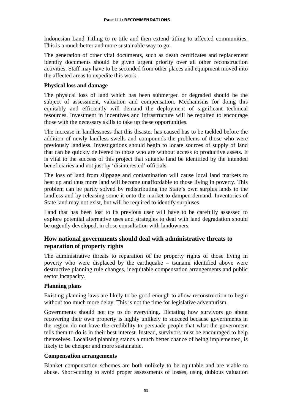Indonesian Land Titling to re-title and then extend titling to affected communities. This is a much better and more sustainable way to go.

The generation of other vital documents, such as death certificates and replacement identity documents should be given urgent priority over all other reconstruction activities. Staff may have to be seconded from other places and equipment moved into the affected areas to expedite this work.

#### **Physical loss and damage**

The physical loss of land which has been submerged or degraded should be the subject of assessment, valuation and compensation. Mechanisms for doing this equitably and efficiently will demand the deployment of significant technical resources. Investment in incentives and infrastructure will be required to encourage those with the necessary skills to take up these opportunities.

The increase in landlessness that this disaster has caused has to be tackled before the addition of newly landless swells and compounds the problems of those who were previously landless. Investigations should begin to locate sources of supply of land that can be quickly delivered to those who are without access to productive assets. It is vital to the success of this project that suitable land be identified by the intended beneficiaries and not just by 'disinterested' officials.

The loss of land from slippage and contamination will cause local land markets to heat up and thus more land will become unaffordable to those living in poverty. This problem can be partly solved by redistributing the State's own surplus lands to the landless and by releasing some it onto the market to dampen demand. Inventories of State land may not exist, but will be required to identify surpluses.

Land that has been lost to its previous user will have to be carefully assessed to explore potential alternative uses and strategies to deal with land degradation should be urgently developed, in close consultation with landowners.

## **How national governments should deal with administrative threats to reparation of property rights**

The administrative threats to reparation of the property rights of those living in poverty who were displaced by the earthquake – tsunami identified above were destructive planning rule changes, inequitable compensation arrangements and public sector incapacity.

## **Planning plans**

Existing planning laws are likely to be good enough to allow reconstruction to begin without too much more delay. This is not the time for legislative adventurism.

Governments should not try to do everything. Dictating how survivors go about recovering their own property is highly unlikely to succeed because governments in the region do not have the credibility to persuade people that what the government tells them to do is in their best interest. Instead, survivors must be encouraged to help themselves. Localised planning stands a much better chance of being implemented, is likely to be cheaper and more sustainable.

#### **Compensation arrangements**

Blanket compensation schemes are both unlikely to be equitable and are viable to abuse. Short-cutting to avoid proper assessments of losses, using dubious valuation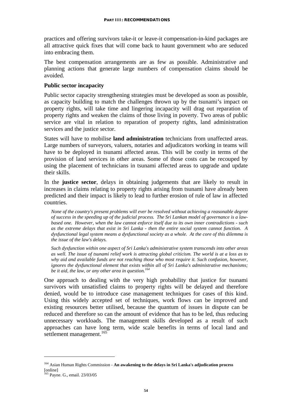practices and offering survivors take-it or leave-it compensation-in-kind packages are all attractive quick fixes that will come back to haunt government who are seduced into embracing them.

The best compensation arrangements are as few as possible. Administrative and planning actions that generate large numbers of compensation claims should be avoided.

#### **Public sector incapacity**

Public sector capacity strengthening strategies must be developed as soon as possible, as capacity building to match the challenges thrown up by the tsunami's impact on property rights, will take time and lingering incapacity will drag out reparation of property rights and weaken the claims of those living in poverty. Two areas of public service are vital in relation to reparation of property rights, land administration services and the justice sector.

States will have to mobilise **land administration** technicians from unaffected areas. Large numbers of surveyors, valuers, notaries and adjudicators working in teams will have to be deployed in tsunami affected areas. This will be costly in terms of the provision of land services in other areas. Some of those costs can be recouped by using the placement of technicians in tsunami affected areas to upgrade and update their skills.

In the **justice sector**, delays in obtaining judgements that are likely to result in increases in claims relating to property rights arising from tsunami have already been predicted and their impact is likely to lead to further erosion of rule of law in affected countries.

*None of the country's present problems will ever be resolved without achieving a reasonable degree of success in the speeding up of the judicial process. The Sri Lankan model of governance is a lawbased one. However, when the law cannot enforce itself due to its own inner contradictions - such as the extreme delays that exist in Sri Lanka - then the entire social system cannot function. A dysfunctional legal system means a dysfunctional society as a whole. At the core of this dilemma is the issue of the law's delays.* 

*Such dysfunction within one aspect of Sri Lanka's administrative system transcends into other areas as well. The issue of tsunami relief work is attracting global criticism. The world is at a loss as to why aid and available funds are not reaching those who most require it. Such confusion, however, ignores the dysfunctional element that exists within all of Sri Lanka's administrative mechanisms;*  be it aid, the law, or any other area in question.<sup>164</sup>

One approach to dealing with the very high probability that justice for tsunami survivors with unsatisfied claims to property rights will be delayed and therefore denied, would be to introduce case management techniques for cases of this kind. Using this widely accepted set of techniques, work flows can be improved and existing resources better utilised, because the quantum of issues in dispute can be reduced and therefore so can the amount of evidence that has to be led, thus reducing unnecessary workloads. The management skills developed as a result of such approaches can have long term, wide scale benefits in terms of local land and settlement management.<sup>165</sup>

<u>.</u>

<sup>164</sup> Asian Human Rights Commission - **An awakening to the delays in Sri Lanka's adjudication process**  [online]

<sup>&</sup>lt;sup>165</sup> Payne. G., email. 23/03/05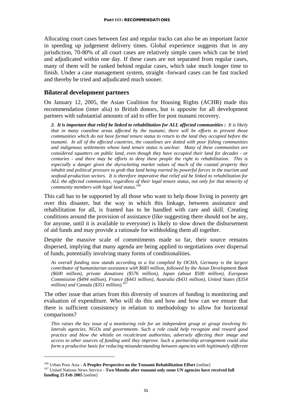Allocating court cases between fast and regular tracks can also be an important factor in speeding up judgement delivery times. Global experience suggests that in any jurisdiction, 70-80% of all court cases are relatively simple cases which can be tried and adjudicated within one day. If these cases are not separated from regular cases, many of them will be ranked behind regular cases, which take much longer time to finish. Under a case management system, straight -forward cases can be fast tracked and thereby be tried and adjudicated much sooner.

#### **Bilateral development partners**

On January 12, 2005, the Asian Coalition for Housing Rights (ACHR) made this recommendation (inter alia) to British donors, but is apposite for all development partners with substantial amounts of aid to offer for post tsunami recovery.

*2. It is important that relief be linked to rehabilitation for ALL affected communities : It is likely that in many coastline areas affected by the tsunami, there will be efforts to prevent those communities which do not have formal tenure status to return to the land they occupied before the tsunami. In all of the affected countries, the coastlines are dotted with poor fishing communities and indigenous settlements whose land tenure status is unclear. Many of these communities are considered squatters on public land, even though they have occupied their land for decades - or centuries - and there may be efforts to deny these people the right to rehabilitation. This is especially a danger given the skyrocketing market values of much of the coastal property they inhabit and political pressure to grab that land being exerted by powerful forces in the tourism and seafood-production sectors. It is therefore imperative that relief aid be linked to rehabilitation for ALL the affected communities, regardless of their legal tenure status, not only for that minority of community members with legal land status.166*

This call has to be supported by all those who want to help those living in poverty get over this disaster, but the way in which this linkage, between assistance and rehabilitation for all, is framed has to be handled with care and skill. Creating conditions around the provision of assistance (like suggesting there should not be any, for anyone, until it is available to everyone) is likely to slow down the disbursement of aid funds and may provide a rationale for withholding them all together.

Despite the massive scale of commitments made so far, their source remains dispersed, implying that many agenda are being applied to negotiations over dispersal of funds, potentially involving many forms of conditionalities.

*As overall funding now stands according to a list complied by OCHA, Germany is the largest contributor of humanitarian assistance with \$683 million, followed by the Asian Development Bank (\$600 million), private donations (\$576 million), Japan (about \$500 million), European Commission (\$494 million), France (\$443 million), Australia (\$431 million), United States (\$354 million) and Canada (\$351 million).<sup>167</sup>*

The other issue that arises from this diversity of sources of funding is monitoring and evaluation of expenditure. Who will do this and how and how can we ensure that there is sufficient consistency in relation to methodology to allow for horizontal comparisons?

*This raises the key issue of a monitoring role for an independent group or group involving bilaterals agencies, NGOs and governments. Such a role could help recognize and reward good practice and blow the whistle on recalcitrant authorities, adversely affecting their image and access to other sources of funding until they improve. Such a partnership arrangement could also form a productive basis for reducing misunderstanding between agencies with legitimately different* 

<u>.</u>

<sup>&</sup>lt;sup>166</sup> Urban Poor Asia - **A Peoples Perspective on the Tsunami Rehabilitation Effort** [online]<br><sup>167</sup> United Nations News Service - **Two Months after tsunami only some UN agencies have received full funding 25 Feb 2005** [online]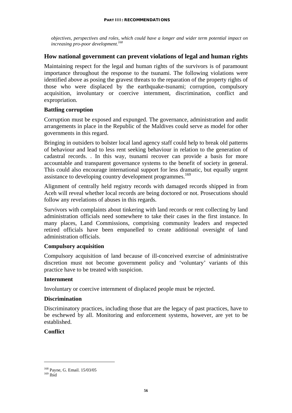*objectives, perspectives and roles, which could have a longer and wider term potential impact on increasing pro-poor development.168*

## **How national government can prevent violations of legal and human rights**

Maintaining respect for the legal and human rights of the survivors is of paramount importance throughout the response to the tsunami. The following violations were identified above as posing the gravest threats to the reparation of the property rights of those who were displaced by the earthquake-tsunami; corruption, compulsory acquisition, involuntary or coercive internment, discrimination, conflict and expropriation.

#### **Battling corruption**

Corruption must be exposed and expunged. The governance, administration and audit arrangements in place in the Republic of the Maldives could serve as model for other governments in this regard.

Bringing in outsiders to bolster local land agency staff could help to break old patterns of behaviour and lead to less rent seeking behaviour in relation to the generation of cadastral records. . In this way, tsunami recover can provide a basis for more accountable and transparent governance systems to the benefit of society in general. This could also encourage international support for less dramatic, but equally urgent assistance to developing country development programmes.<sup>169</sup>

Alignment of centrally held registry records with damaged records shipped in from Aceh will reveal whether local records are being doctored or not. Prosecutions should follow any revelations of abuses in this regards.

Survivors with complaints about tinkering with land records or rent collecting by land administration officials need somewhere to take their cases in the first instance. In many places, Land Commissions, comprising community leaders and respected retired officials have been empanelled to create additional oversight of land administration officials.

#### **Compulsory acquisition**

Compulsory acquisition of land because of ill-conceived exercise of administrative discretion must not become government policy and 'voluntary' variants of this practice have to be treated with suspicion.

#### **Internment**

Involuntary or coercive internment of displaced people must be rejected.

#### **Discrimination**

Discriminatory practices, including those that are the legacy of past practices, have to be eschewed by all. Monitoring and enforcement systems, however, are yet to be established.

## **Conflict**

<sup>&</sup>lt;sup>168</sup> Payne, G. Email. 15/03/05<br><sup>169</sup> Ibid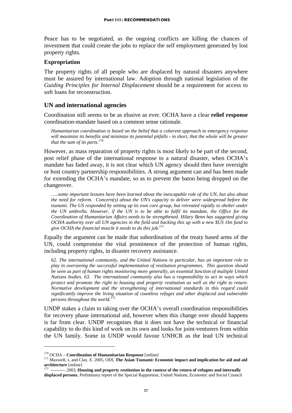Peace has to be negotiated, as the ongoing conflicts are killing the chances of investment that could create the jobs to replace the self employment generated by lost property rights.

#### **Expropriation**

The property rights of all people who are displaced by natural disasters anywhere must be assured by international law. Adoption through national legislation of the *Guiding Principles for Internal Displacement* should be a requirement for access to soft loans for reconstruction.

## **UN and international agencies**

Coordination still seems to be as elusive as ever. OCHA have a clear **relief response** coordination-mandate based on a common sense rationale.

*Humanitarian coordination is based on the belief that a coherent approach to emergency response will maximize its benefits and minimize its potential pitfalls - in short, that the whole will be greater that the sum of its parts.170*

However, as mass reparation of property rights is most likely to be part of the second, post relief phase of the international response to a natural disaster, when OCHA's mandate has faded away, it is not clear which UN agency should then have oversight or host country partnership responsibilities. A strong argument can and has been made for extending the OCHA's mandate, so as to prevent the baton being dropped on the changeover.

*…..some important lessons have been learned about the inescapable role of the UN, but also about the need for reform. Concern(s) about the UN's capacity to deliver were widespread before the tsunami. The US responded by setting up its own core group, but retreated rapidly to shelter under the UN umbrella. However, if the UN is to be able to fulfil its mandate, the Office for the Coordination of Humanitarian Affairs needs to be strengthened. Hilary Benn has suggested giving OCHA authority over all UN agencies in the field and backing this up with a new \$US 1bn fund to give OCHA the financial muscle it needs to do this job.171* 

Equally the argument can be made that subordination of the treaty based arms of the UN, could compromise the vital prominence of the protection of human rights, including property rights, in disaster recovery assistance.

*62. The international community, and the United Nations in particular, has an important role to play in overseeing the successful implementation of restitution programmes. This question should be seen as part of human rights monitoring more generally, an essential function of multiple United Nations bodies. 63. The international community also has a responsibility to act in ways which protect and promote the right to housing and property restitution as well as the right to return. Normative development and the strengthening of international standards in this regard could significantly improve the living situation of countless refuges and other displaced and vulnerable persons throughout the world.172* 

UNDP stakes a claim to taking over the OCHA's overall coordination responsibilities for recovery phase international aid, however when this change over should happens is far from clear. UNDP recognises that it does not have the technical or financial capability to do this kind of work on its own and looks for joint-venturers from within the UN family. Some in UNDP would favour UNHCR as the lead UN technical

<sup>170</sup> OCHA – **Coordination of Humanitarian Response** [online] 171 Maxwell, s. and Clay, E. 2005, ODI, **The Asian Tsunami: Economic impact and implication for aid and aid** 

**architecture** [online] 172 ---------- 2003, **Housing and property restitution in the context of the return of refugees and internally displaced persons**, Preliminary report of the Special Rapporteur, United Nations, Economic and Social Council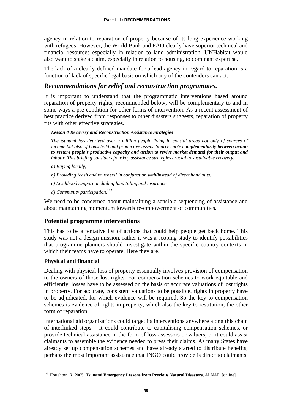agency in relation to reparation of property because of its long experience working with refugees. However, the World Bank and FAO clearly have superior technical and financial resources especially in relation to land administration. UNHabitat would also want to stake a claim, especially in relation to housing, to dominant expertise.

The lack of a clearly defined mandate for a lead agency in regard to reparation is a function of lack of specific legal basis on which any of the contenders can act.

## *Recommendations for relief and reconstruction programmes.*

It is important to understand that the programmatic interventions based around reparation of property rights, recommended below, will be complementary to and in some ways a pre-condition for other forms of intervention. As a recent assessment of best practice derived from responses to other disasters suggests, reparation of property fits with other effective strategies.

#### *Lesson 4 Recovery and Reconstruction Assistance Strategies*

*The tsunami has deprived over a million people living in coastal areas not only of sources of income but also of household and productive assets. Sources note complementarity between action to restore people's productive capacity and action to revive market demand for their output and labour. This briefing considers four key assistance strategies crucial to sustainable recovery:* 

- *a) Buying locally;*
- *b) Providing 'cash and vouchers' in conjunction with/instead of direct hand outs;*
- *c) Livelihood support, including land titling and insurance;*
- *d) Community participation.173*

We need to be concerned about maintaining a sensible sequencing of assistance and about maintaining momentum towards re-empowerment of communities.

## **Potential programme interventions**

This has to be a tentative list of actions that could help people get back home. This study was not a design mission, rather it was a scoping study to identify possibilities that programme planners should investigate within the specific country contexts in which their teams have to operate. Here they are.

#### **Physical and financial**

<u>.</u>

Dealing with physical loss of property essentially involves provision of compensation to the owners of those lost rights. For compensation schemes to work equitable and efficiently, losses have to be assessed on the basis of accurate valuations of lost rights in property. For accurate, consistent valuations to be possible, rights in property have to be adjudicated, for which evidence will be required. So the key to compensation schemes is evidence of rights in property, which also the key to restitution, the other form of reparation.

International aid organisations could target its interventions anywhere along this chain of interlinked steps – it could contribute to capitalising compensation schemes, or provide technical assistance in the form of loss assessors or valuers, or it could assist claimants to assemble the evidence needed to press their claims. As many States have already set up compensation schemes and have already started to distribute benefits, perhaps the most important assistance that INGO could provide is direct to claimants.

<sup>173</sup> Houghton, R. 2005, **Tsunami Emergency Lessons from Previous Natural Disasters,** ALNAP, [online]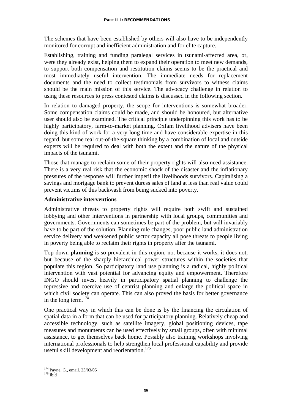The schemes that have been established by others will also have to be independently monitored for corrupt and inefficient administration and for elite capture.

Establishing, training and funding paralegal services in tsunami-affected area, or, were they already exist, helping them to expand their operation to meet new demands, to support both compensation and restitution claims seems to be the practical and most immediately useful intervention. The immediate needs for replacement documents and the need to collect testimonials from survivors to witness claims should be the main mission of this service. The advocacy challenge in relation to using these resources to press contested claims is discussed in the following section.

In relation to damaged property, the scope for interventions is somewhat broader. Some compensation claims could be made, and should be honoured, but alternative user should also be examined. The critical principle underpinning this work has to be highly participatory, farm-to-market planning. Oxfam livelihood advisers have been doing this kind of work for a very long time and have considerable expertise in this regard, but some real out-of-the-square thinking by a combination of local and outside experts will be required to deal with both the extent and the nature of the physical impacts of the tsunami.

Those that manage to reclaim some of their property rights will also need assistance. There is a very real risk that the economic shock of the disaster and the inflationary pressures of the response will further imperil the livelihoods survivors. Capitalising a savings and mortgage bank to prevent duress sales of land at less than real value could prevent victims of this backwash from being sucked into poverty.

#### **Administrative interventions**

Administrative threats to property rights will require both swift and sustained lobbying and other interventions in partnership with local groups, communities and governments. Governments can sometimes be part of the problem, but will invariably have to be part of the solution. Planning rule changes, poor public land administration service delivery and weakened public sector capacity all pose threats to people living in poverty being able to reclaim their rights in property after the tsunami.

Top down **planning** is so prevalent in this region, not because it works, it does not, but because of the sharply hierarchical power structures within the societies that populate this region. So participatory land use planning is a radical, highly political intervention with vast potential for advancing equity and empowerment. Therefore INGO should invest heavily in participatory spatial planning to challenge the repressive and coercive use of centrist planning and enlarge the political space in which civil society can operate. This can also proved the basis for better governance in the long term.  $174$ 

One practical way in which this can be done is by the financing the circulation of spatial data in a form that can be used for participatory planning. Relatively cheap and accessible technology, such as satellite imagery, global positioning devices, tape measures and monuments can be used effectively by small groups, often with minimal assistance, to get themselves back home. Possibly also training workshops involving international professionals to help strengthen local professional capability and provide useful skill development and reorientation.<sup>175</sup>

 $174$  Payne, G., email. 23/03/05<br> $175$  Ibid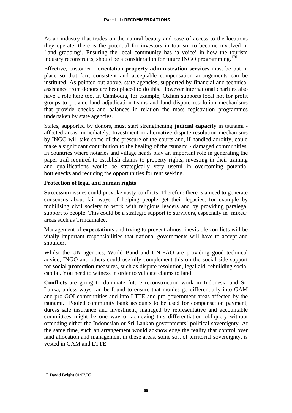As an industry that trades on the natural beauty and ease of access to the locations they operate, there is the potential for investors in tourism to become involved in 'land grabbing'. Ensuring the local community has 'a voice' in how the tourism industry reconstructs, should be a consideration for future INGO programming.<sup>176</sup>

Effective, customer - orientation **property administration services** must be put in place so that fair, consistent and acceptable compensation arrangements can be instituted. As pointed out above, state agencies, supported by financial and technical assistance from donors are best placed to do this. However international charities also have a role here too. In Cambodia, for example, Oxfam supports local not for profit groups to provide land adjudication teams and land dispute resolution mechanisms that provide checks and balances in relation the mass registration programmes undertaken by state agencies.

States, supported by donors, must start strengthening **judicial capacity** in tsunami affected areas immediately. Investment in alternative dispute resolution mechanisms by INGO will take some of the pressure of the courts and, if handled adroitly, could make a significant contribution to the healing of the tsunami - damaged communities. In countries where notaries and village heads play an important role in generating the paper trail required to establish claims to property rights, investing in their training and qualifications would be strategically very useful in overcoming potential bottlenecks and reducing the opportunities for rent seeking.

#### **Protection of legal and human rights**

**Succession** issues could provoke nasty conflicts. Therefore there is a need to generate consensus about fair ways of helping people get their legacies, for example by mobilising civil society to work with religious leaders and by providing paralegal support to people. This could be a strategic support to survivors, especially in 'mixed' areas such as Trincamalee.

Management of **expectations** and trying to prevent almost inevitable conflicts will be vitally important responsibilities that national governments will have to accept and shoulder.

Whilst the UN agencies, World Band and UN-FAO are providing good technical advice, INGO and others could usefully complement this on the social side support for **social protection** measures, such as dispute resolution, legal aid, rebuilding social capital. You need to witness in order to validate claims to land.

**Conflicts** are going to dominate future reconstruction work in Indonesia and Sri Lanka, unless ways can be found to ensure that monies go differentially into GAM and pro-GOI communities and into LTTE and pro-government areas affected by the tsunami. Pooled community bank accounts to be used for compensation payment, duress sale insurance and investment, managed by representative and accountable committees might be one way of achieving this differentiation obliquely without offending either the Indonesian or Sri Lankan governments' political sovereignty. At the same time, such an arrangement would acknowledge the reality that control over land allocation and management in these areas, some sort of territorial sovereignty, is vested in GAM and LTTE.

<u>.</u>

<sup>176</sup> **David Bright** 01/03/05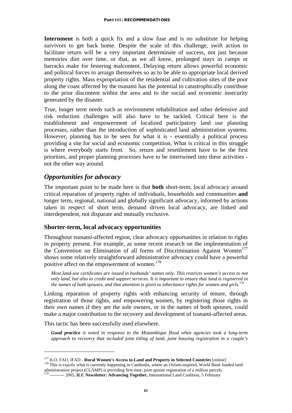**Internment** is both a quick fix and a slow fuse and is no substitute for helping survivors to get back home. Despite the scale of this challenge, swift action to facilitate return will be a very important determinate of success, not just because memories dim over time, or that, as we all know, prolonged stays in camps or barracks make for festering malcontent. Delaying return allows powerful economic and political forces to arraign themselves so as to be able to appropriate local derived property rights. Mass expropriation of the residential and cultivation sites of the poor along the coast affected by the tsunami has the potential to catastrophically contribute to the prior discontent within the area and to the social and economic insecurity generated by the disaster.

True, longer term needs such as environment rehabilitation and other defensive and risk reduction challenges will also have to be tackled. Critical here is the establishment and empowerment of localized participatory land use planning processes, rather than the introduction of sophisticated land administration systems. However, planning has to be seen for what it is - essentially a political process providing a site for social and economic competition. What is critical in this struggle is where everybody starts from. So, return and resettlement have to be the first priorities, and proper planning processes have to be intertwined into these activities not the other way around.

## *Opportunities for advocacy*

The important point to be made here is that **both** short-term, local advocacy around critical reparation of property rights of individuals, households and communities **and** longer term, regional, national and globally significant advocacy, informed by actions taken in respect of short term, demand driven local advocacy, are linked and interdependent, not disparate and mutually exclusive.

#### **Shorter-term, local advocacy opportunities**

Throughout tsunami-affected region, clear advocacy opportunities in relation to rights in property present. For example, as some recent research on the implementation of the Convention on Elimination of all forms of Discrimination Against Women<sup>177</sup> shows some relatively straightforward administrative advocacy could have a powerful positive affect on the empowerment of women.<sup>178</sup>

*Most land-use certificates are issued in husbands' names only. This restricts women's access to not only land, but also to credit and support services. It is important to ensure that land is registered in the names of both spouses, and that attention is given to inheritance rights for women and girls.*<sup>1</sup>

Linking reparation of property rights with enhancing security of tenure, through registration of those rights, and empowering women, by registering those rights in their own names if they are the sole owners, or in the names of both spouses, could make a major contribution to the recovery and development of tsunami-affected areas.

This tactic has been successfully used elsewhere.

1

*Good practice is noted in response to the Mozambique flood when agencies took a long-term approach to recovery that included joint titling of land, joint housing registration in a couple's* 

<sup>&</sup>lt;sup>177</sup> ILO, FAO, IFAD - **Rural Women's Access to Land and Property in Selected Countries** [online]<br><sup>178</sup> This is exactly what is currently happening in Cambodia, where an Oxfam-inspired, World Bank funded land

administration project (CLAMP) is providing first time, joint spouse registration of a million parcels. 179 ---------- 2005, **ILC Newsletter: Advancing Together,** International Land Coalition, 5 February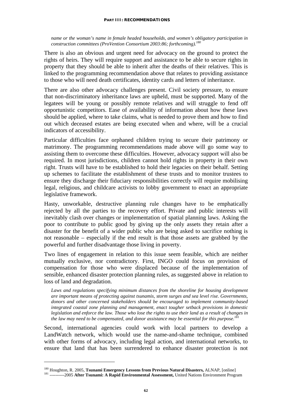#### **PART III: RECOMMENDATIONS**

*name or the woman's name in female headed households, and women's obligatory participation in construction committees (ProVention Consortium 2003:86; forthcoming).180* 

There is also an obvious and urgent need for advocacy on the ground to protect the rights of heirs. They will require support and assistance to be able to secure rights in property that they should be able to inherit after the deaths of their relatives. This is linked to the programming recommendation above that relates to providing assistance to those who will need death certificates, identity cards and letters of inheritance.

There are also other advocacy challenges present. Civil society pressure, to ensure that non-discriminatory inheritance laws are upheld, must be supported. Many of the legatees will be young or possibly remote relatives and will struggle to fend off opportunistic competitors. Ease of availability of information about how these laws should be applied, where to take claims, what is needed to prove them and how to find out which deceased estates are being executed when and where, will be a crucial indicators of accessibility.

Particular difficulties face orphaned children trying to secure their patrimony or matrimony. The programming recommendations made above will go some way to assisting them to overcome these difficulties. However, advocacy support will also be required. In most jurisdictions, children cannot hold rights in property in their own right. Trusts will have to be established to hold their legacies on their behalf. Setting up schemes to facilitate the establishment of these trusts and to monitor trustees to ensure they discharge their fiduciary responsibilities correctly will require mobilising legal, religious, and childcare activists to lobby government to enact an appropriate legislative framework.

Hasty, unworkable, destructive planning rule changes have to be emphatically rejected by all the parties to the recovery effort. Private and public interests will inevitably clash over changes or implementation of spatial planning laws. Asking the poor to contribute to public good by giving up the only assets they retain after a disaster for the benefit of a wider public who are being asked to sacrifice nothing is not reasonable – especially if the end result is that those assets are grabbed by the powerful and further disadvantage those living in poverty.

Two lines of engagement in relation to this issue seem feasible, which are neither mutually exclusive, nor contradictory. First, INGO could focus on provision of compensation for those who were displaced because of the implementation of sensible, enhanced disaster protection planning rules, as suggested above in relation to loss of land and degradation.

*Laws and regulations specifying minimum distances from the shoreline for housing development are important means of protecting against tsunamis, storm surges and sea level rise. Governments, donors and other concerned stakeholders should be encouraged to implement community-based integrated coastal zone planning and management, enact tougher setback provisions in domestic legislation and enforce the law. Those who lose the rights to use their land as a result of changes in the law may need to be compensated, and donor assistance may be essential for this purpose.*<sup>1</sup>

Second, international agencies could work with local partners to develop a LandWatch network, which would use the name-and-shame technique, combined with other forms of advocacy, including legal action, and international networks, to ensure that land that has been surrendered to enhance disaster protection is not

<sup>&</sup>lt;sup>180</sup> Houghton, R. 2005, **Tsunami Emergency Lessons from Previous Natural Disasters,** ALNAP, [online] <sup>181</sup> ----------2005 **After Tsunami: A Rapid Environmental Assessment,** United Nations Environment Program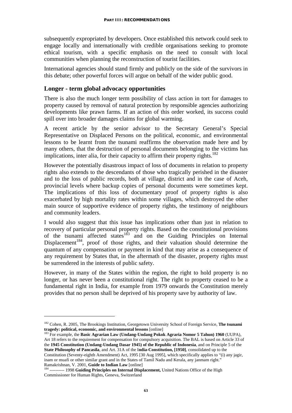subsequently expropriated by developers. Once established this network could seek to engage locally and internationally with credible organisations seeking to promote ethical tourism, with a specific emphasis on the need to consult with local communities when planning the reconstruction of tourist facilities.

International agencies should stand firmly and publicly on the side of the survivors in this debate; other powerful forces will argue on behalf of the wider public good.

## **Longer - term global advocacy opportunities**

There is also the much longer term possibility of class action in tort for damages to property caused by removal of natural protection by responsible agencies authorizing developments like prawn farms. If an action of this order worked, its success could spill over into broader damages claims for global warming.

A recent article by the senior advisor to the Secretary General's Special Representative on Displaced Persons on the political, economic, and environmental lessons to be learnt from the tsunami reaffirms the observation made here and by many others, that the destruction of personal documents belonging to the victims has implications, inter alia, for their capacity to affirm their property rights.<sup>182</sup>

However the potentially disastrous impact of loss of documents in relation to property rights also extends to the descendants of those who tragically perished in the disaster and to the loss of public records, both at village, district and in the case of Aceh, provincial levels where backup copies of personal documents were sometimes kept. The implications of this loss of documentary proof of property rights is also exacerbated by high mortality rates within some villages, which destroyed the other main source of supportive evidence of property rights, the testimony of neighbours and community leaders.

I would also suggest that this issue has implications other than just in relation to recovery of particular personal property rights. Based on the constitutional provisions of the tsunami affected states<sup>183</sup> and on the Guiding Principles on Internal Displacement<sup>184</sup>, proof of those rights, and their valuation should determine the quantum of any compensation or payment in kind that may arise as a consequence of any requirement by States that, in the aftermath of the disaster, property rights must be surrendered in the interests of public safety.

However, in many of the States within the region, the right to hold property is no longer, or has never been a constitutional right. The right to property ceased to be a fundamental right in India, for example from 1979 onwards the Constitution merely provides that no person shall be deprived of his property save by authority of law.

**tragedy: political, economic, and environmental lessons** [online] 183 For example, the **Basic Agrarian Law (Undang-Undang Pokok Agraria Nomor 5 Tahun) 1960** (UUPA), Art 18 refers to the requirement for compensation for compulsory acquisition. The BAL is based on Article 33 of the **1945 Constitution (Undang-Undang Dasar 1945) of the Republic of Indonesia**, and on Principle 5 of the **State Philosophy of Pancasila**, and Art. 31A of the I**ndia-Constitution, [1950]**, consolidated up to the Constitution (Seventy-eighth Amendment) Act, 1995 [30 Aug 1995], which specifically applies to "(i) any jagir, inam or muafi or other similar grant and in the States of Tamil Nadu and Kerala, any janmam right."

<u>.</u>

<sup>&</sup>lt;sup>182</sup> Cohen, R. 2005, The Brookings Institution, Georgetown University School of Foreign Service, **The tsunami tragedy:** political, economic, and environmental lessons [online]

Ramakrishnan, V. 2001, **Guide to Indian Law** [online]<br><sup>184</sup> ---------- 1998 **Guiding Principles on Internal Displacement**, United Nations Office of the High Commissioner for Human Rights, Geneva, Switzerland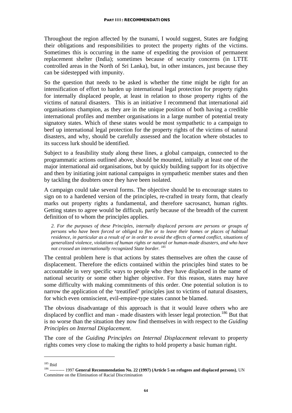Throughout the region affected by the tsunami, I would suggest, States are fudging their obligations and responsibilities to protect the property rights of the victims. Sometimes this is occurring in the name of expediting the provision of permanent replacement shelter (India); sometimes because of security concerns (in LTTE controlled areas in the North of Sri Lanka), but, in other instances, just because they can be sidestepped with impunity.

So the question that needs to be asked is whether the time might be right for an intensification of effort to harden up international legal protection for property rights for internally displaced people, at least in relation to those property rights of the victims of natural disasters. This is an initiative I recommend that international aid organisations champion, as they are in the unique position of both having a credible international profiles and member organisations in a large number of potential treaty signatory states. Which of these states would be most sympathetic to a campaign to beef up international legal protection for the property rights of the victims of natural disasters, and why, should be carefully assessed and the location where obstacles to its success lurk should be identified.

Subject to a feasibility study along these lines, a global campaign, connected to the programmatic actions outlined above, should be mounted, initially at least one of the major international aid organisations, but by quickly building support for its objective and then by initiating joint national campaigns in sympathetic member states and then by tackling the doubters once they have been isolated.

A campaign could take several forms. The objective should be to encourage states to sign on to a hardened version of the principles, re-crafted in treaty form, that clearly marks out property rights a fundamental, and therefore sacrosanct, human rights. Getting states to agree would be difficult, partly because of the breadth of the current definition of to whom the principles applies.

*2. For the purposes of these Principles, internally displaced persons are persons or groups of persons who have been forced or obliged to flee or to leave their homes or places of habitual residence, in particular as a result of or in order to avoid the effects of armed conflict, situations of generalized violence, violations of human rights or natural or human-made disasters, and who have not crossed an internationally recognized State border. 185* 

The central problem here is that actions by states themselves are often the cause of displacement. Therefore the edicts contained within the principles bind states to be accountable in very specific ways to people who they have displaced in the name of national security or some other higher objective. For this reason, states may have some difficulty with making commitments of this order. One potential solution is to narrow the application of the 'treatified' principles just to victims of natural disasters, for which even omniscient, evil-empire-type states cannot be blamed.

The obvious disadvantage of this approach is that it would leave others who are displaced by conflict and man - made disasters with lesser legal protection.<sup>186</sup> But that is no worse than the situation they now find themselves in with respect to the *Guiding Principles on Internal Displacement*.

The core of the *Guiding Principles on Internal Displacement* relevant to property rights comes very close to making the rights to hold property a basic human right.

<u>.</u>

<sup>&</sup>lt;sup>185</sup> Ibid<br><sup>186</sup> ---------- 1997 **General Recommendation No. 22 (1997) (Article 5 on refugees and displaced persons), UN** Committee on the Elimination of Racial Discrimination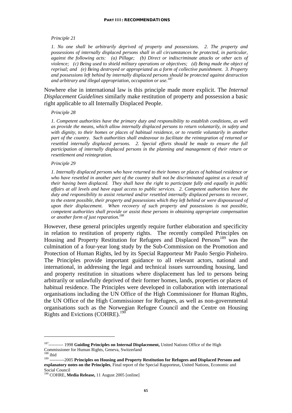#### *Principle 21*

*1. No one shall be arbitrarily deprived of property and possessions. 2. The property and possessions of internally displaced persons shall in all circumstances be protected, in particular, against the following acts: (a) Pillage; (b) Direct or indiscriminate attacks or other acts of violence; (c) Being used to shield military operations or objectives; (d) Being made the object of reprisal; and (e) Being destroyed or appropriated as a form of collective punishment. 3. Property and possessions left behind by internally displaced persons should be protected against destruction and arbitrary and illegal appropriation, occupation or use.187* 

Nowhere else in international law is this principle made more explicit. The *Internal Displacement Guidelines* similarly make restitution of property and possession a basic right applicable to all Internally Displaced People.

#### *Principle 28*

*1. Competent authorities have the primary duty and responsibility to establish conditions, as well as provide the means, which allow internally displaced persons to return voluntarily, in safety and with dignity, to their homes or places of habitual residence, or to resettle voluntarily in another part of the country. Such authorities shall endeavour to facilitate the reintegration of returned or resettled internally displaced persons. 2. Special efforts should be made to ensure the full participation of internally displaced persons in the planning and management of their return or resettlement and reintegration.* 

#### *Principle 29*

*1. Internally displaced persons who have returned to their homes or places of habitual residence or who have resettled in another part of the country shall not be discriminated against as a result of their having been displaced. They shall have the right to participate fully and equally in public affairs at all levels and have equal access to public services. 2. Competent authorities have the duty and responsibility to assist returned and/or resettled internally displaced persons to recover, to the extent possible, their property and possessions which they left behind or were dispossessed of upon their displacement. When recovery of such property and possessions is not possible, competent authorities shall provide or assist these persons in obtaining appropriate compensation or another form of just reparation.188* 

However, these general principles urgently require further elaboration and specificity in relation to restitution of property rights. The recently compiled Principles on Housing and Property Restitution for Refugees and Displaced Persons<sup>189</sup> was the culmination of a four-year long study by the Sub-Commission on the Promotion and Protection of Human Rights, led by its Special Rapporteur Mr Paulo Sergio Pinheiro. The Principles provide important guidance to all relevant actors, national and international, in addressing the legal and technical issues surrounding housing, land and property restitution in situations where displacement has led to persons being arbitrarily or unlawfully deprived of their former homes, lands, properties or places of habitual residence. The Principles were developed in collaboration with international organisations including the UN Office of the High Commissioner for Human Rights, the UN Office of the High Commissioner for Refugees, as well as non-governmental organisations such as the Norwegian Refugee Council and the Centre on Housing Rights and Evictions (COHRE).<sup>190</sup>

<sup>187---------- 1998</sup> **Guiding Principles on Internal Displacement,** United Nations Office of the High Commissioner for Human Rights, Geneva, Switzerland<br>
<sup>188</sup> ibid<br>
<sup>189</sup> ----------2005 **Principles on Housing and Property Restitution for Refugees and Displaced Persons and** 

**explanatory notes on the Principles**, Final report of the Special Rapporteur**,** United Nations, Economic and Social Council

<sup>190</sup> COHRE, **Media Release,** 11 August 2005 [online]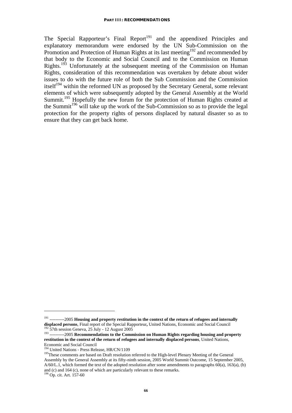The Special Rapporteur's Final Report<sup>191</sup> and the appendixed Principles and explanatory memorandum were endorsed by the UN Sub-Commission on the Promotion and Protection of Human Rights at its last meeting<sup>192</sup> and recommended by that body to the Economic and Social Council and to the Commission on Human Rights.<sup>193</sup> Unfortunately at the subsequent meeting of the Commission on Human Rights, consideration of this recommendation was overtaken by debate about wider issues to do with the future role of both the Sub Commission and the Commission itself<sup>194</sup> within the reformed UN as proposed by the Secretary General, some relevant elements of which were subsequently adopted by the General Assembly at the World Summit.<sup>195</sup> Hopefully the new forum for the protection of Human Rights created at the Summit<sup>196</sup> will take up the work of the Sub-Commission so as to provide the legal protection for the property rights of persons displaced by natural disaster so as to ensure that they can get back home.

<sup>&</sup>lt;sup>191</sup> ----------2005 **Housing and property restitution in the context of the return of refugees and internally displaced persons, Final report of the Special Rapporteur, United Nations, Economic and Social Council** 

<sup>&</sup>lt;sup>192</sup> 57th session Geneva, 25 July - 12 August 2005<br><sup>193</sup> -----------2005 Recommendations to the Commission on Human Rights regarding housing and property **restitution in the context of the return of refugees and internally displaced persons**, United Nations,

Economic and Social Council<br><sup>194</sup> United Nations - Press Release, HR/CN/1109

<sup>&</sup>lt;sup>195</sup>These comments are based on Draft resolution referred to the High-level Plenary Meeting of the General Assembly by the General Assembly at its fifty-ninth session, 2005 World Summit Outcome, 15 September 2005, A/60/L.1, which formed the text of the adopted resolution after some amendments to paragraphs 60(a), 163(a), (b) and (c) and 164 (c), none of which are particularly relevant to these remarks. 196 Op. cit. Art. 157-60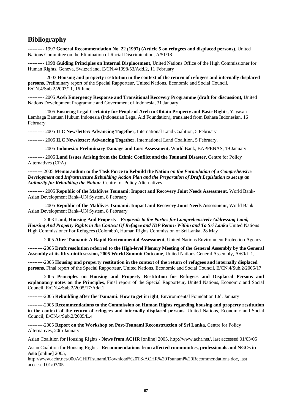## **Bibliography**

---------- 1997 **General Recommendation No. 22 (1997) (Article 5 on refugees and displaced persons)**, United Nations Committee on the Elimination of Racial Discrimination, A/51/18

---------- 1998 **Guiding Principles on Internal Displacement,** United Nations Office of the High Commissioner for Human Rights, Geneva, Switzerland, E/CN.4/1998/53/Add.2, 11 February

 ---------- 2003 **Housing and property restitution in the context of the return of refugees and internally displaced persons**, Preliminary report of the Special Rapporteur, United Nations, Economic and Social Council, E/CN.4/Sub.2/2003/11, 16 June

---------- 2005 **Aceh Emergency Response and Transitional Recovery Programme (draft for discussion),** United Nations Development Programme and Government of Indonesia, 31 January

---------- 2005 **Ensuring Legal Certainty for People of Aceh to Obtain Property and Basic Rights,** Yayasan Lembaga Bantuan Hukum Indonesia (Indonesian Legal Aid Foundation)**,** translated from Bahasa Indonesian, 16 February

---------- 2005 **ILC Newsletter: Advancing Together,** International Land Coalition, 5 February

---------- 2005 **ILC Newsletter: Advancing Together,** International Land Coalition, 5 February.

---------- 2005 **Indonesia: Preliminary Damage and Loss Assessment,** World Bank, BAPPENAS, 19 January

---------- 2005 **Land Issues Arising from the Ethnic Conflict and the Tsunami Disaster,** Centre for Policy Alternatives (CPA)

--------- 2005 **Memorandum to the Task Force to Rebuild the Nation** *on the Formulation of a Comprehensive Development and Infrastructure Rebuilding Action Plan and the Preparation of Draft Legislation to set up an Authority for Rebuilding the Nation*. Centre for Policy Alternatives

---------- 2005 **Republic of the Maldives Tsunami: Impact and Recovery Joint Needs Assessment**, World Bank-Asian Development Bank–UN System, 8 February

---------- 2005 **Republic of the Maldives Tsunami: Impact and Recovery Joint Needs Assessment**, World Bank-Asian Development Bank–UN System, 8 February

----------2003 **Land, Housing And Property -** *Proposals to the Parties for Comprehensively Addressing Land, Housing And Property Rights in the Context Of Refugee and IDP Return Within and To Sri Lanka* United Nations High Commissioner For Refugees (Colombo), Human Rights Commission of Sri Lanka, 28 May

----------2005 **After Tsunami: A Rapid Environmental Assessment,** United Nations Environment Protection Agency

----------2005 **Draft resolution referred to the High-level Plenary Meeting of the General Assembly by the General Assembly at its fifty-ninth session, 2005 World Summit Outcome**, United Nations General Assembly, A/60/L.1,

----------2005 **Housing and property restitution in the context of the return of refugees and internally displaced persons**, Final report of the Special Rapporteur**,** United Nations, Economic and Social Council, E/CN.4/Sub.2/2005/17

----------2005 **Principles on Housing and Property Restitution for Refugees and Displaced Persons and explanatory notes on the Principles**, Final report of the Special Rapporteur**,** United Nations, Economic and Social Council, E/CN.4/Sub.2/2005/17/Add.1

----------2005 **Rebuilding after the Tsunami: How to get it right**, Environmental Foundation Ltd, January

----------2005 **Recommendations to the Commission on Human Rights regarding housing and property restitution in the context of the return of refugees and internally displaced persons**, United Nations, Economic and Social Council, E/CN.4/Sub.2/2005/L.4

----------2005 **Report on the Workshop on Post-Tsunami Reconstruction of Sri Lanka,** Centre for Policy Alternatives, 20th January

Asian Coalition for Housing Rights **- News from ACHR** [online] 2005, http://www.achr.net/, last accessed 01/03/05

Asian Coalition for Housing Rights - **Recommendations from affected communities, professionals and NGOs in Asia** [online] 2005,

http://www.achr.net/000ACHRTsunami/Download%20TS/ACHR%20Tsunami%20Recommendations.doc, last accessed 01/03/05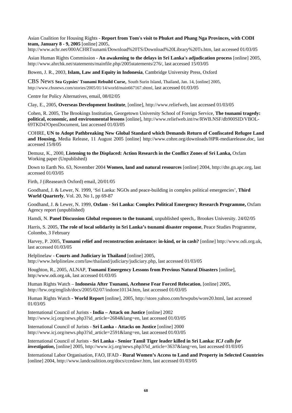Asian Coalition for Housing Rights - **Report from Tom's visit to Phuket and Phang Nga Provinces, with CODI team, January 8 - 9, 2005** [online] 2005,

http://www.achr.net/000ACHRTsunami/Download%20TS/Download%20Library%20Ts.htm, last accessed 01/03/05

Asian Human Rights Commission - **An awakening to the delays in Sri Lanka's adjudication process** [online] 2005, http://www.ahrchk.net/statements/mainfile.php/2005statements/276/, last accessed 15/03/05

Bowen, J. R., 2003, **Islam, Law and Equity in Indonesia**, Cambridge University Press, Oxford

CBS News **Sea Gypsies' Tsunami Rebuild Curse**, South Surin Island, Thailand, Jan. 14, [online] 2005, http://www.cbsnews.com/stories/2005/01/14/world/main667167.shtml, last accessed 01/03/05

Centre for Policy Alternatives, email, 08/02/05

Clay, E., 2005, **Overseas Development Institute**, [online], http://www.reliefweb, last accessed 01/03/05

Cohen, R. 2005, The Brookings Institution, Georgetown University School of Foreign Service, **The tsunami tragedy: political, economic, and environmental lessons** [online], http://www.reliefweb.int/rw/RWB.NSF/db900SID/VBOL-69TKD4?OpenDocument, last accessed 01/03/05

COHRE, **UN to Adopt Pathbreaking New Global Standard which Demands Return of Confiscated Refugee Land and Housing,** Media Release, 11 August 2005 [online] http://www.cohre.org/downloads/HPR-mediarelease.doc, last accessed 15/8/05

Demusz, K., 2000, **Listening to the Displaced: Action Research in the Conflict Zones of Sri Lanka,** Oxfam Working paper (Unpublished)

Down to Earth No. 63, November 2004 **Women, land and natural resources** [online] 2004, http://dte.gn.apc.org, last accessed 01/03/05

Firth, J (iReasearch Oxford) email, 20/01/05

Goodhand, J. & Lewer, N. 1999, 'Sri Lanka: NGOs and peace-building in complex political emergencies', **Third World Quarterly**, Vol. 20, No 1, pp 69-87

Goodhand, J. & Lewer, N. 1999, **Oxfam - Sri Lanka: Complex Political Emergency Research Programme,** Oxfam Agency report (unpublished)

Hamdi, N. **Panel Discussion Global responses to the tsunami**, unpublished speech,. Brookes University. 24/02/05

Harris, S. 2005, **The role of local solidarity in Sri Lanka's tsunami disaster response**, Peace Studies Programme, Colombo, 3 February

Harvey, P. 2005, **Tsunami relief and reconstruction assistance: in-kind, or in cash?** [online] http://www.odi.org.uk, last accessed 01/03/05

Helplinelaw - **Courts and Judiciary in Thailand** [online] 2005, http://www.helplinelaw.com/law/thailand/judiciary/judiciary.php, last accessed 01/03/05

Houghton, R., 2005, ALNAP, **Tsunami Emergency Lessons from Previous Natural Disasters** [online], http:/www.odi.org.uk, last accessed 01/03/05

Human Rights Watch – **Indonesia After Tsunami, Acehnese Fear Forced Relocation**, [online] 2005, http://hrw.org/english/docs/2005/02/07/indone10134.htm, last accessed 01/03/05

Human Rights Watch **- World Report** [online], 2005, http://store.yahoo.com/hrwpubs/wore20.html, last accessed 01/03/05

International Council of Jurists - **India – Attack on Justice** [online] 2002 http://www.icj.org/news.php3?id\_article=2684&lang=en, last accessed 01/03/05

International Council of Jurists - **Sri Lanka - Attacks on Justice** [online] 2000 http://www.icj.org/news.php3?id\_article=2591&lang=en, last accessed 01/03/05

International Council of Jurists - **Sri Lanka - Senior Tamil Tiger leader killed in Sri Lanka:** *ICJ calls for investigation***,** [online] 2005, http://www.icj.org/news.php3?id\_article=3637&lang=en, last accessed 01/03/05

International Labor Organisation, FAO, IFAD - **Rural Women's Access to Land and Property in Selected Countries** [online] 2004, http://www.landcoalition.org/docs/ccedawr.htm, last accessed 01/03/05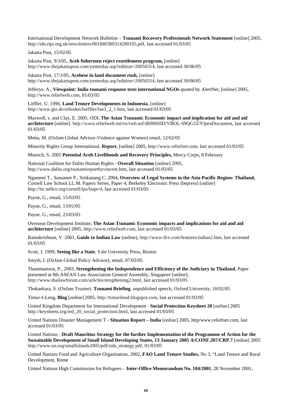International Development Network Bulletins – **Tsunami Recovery Professionals Network Statement** [online] 2005, http://idn.rtpi.org.uk/newsletters/001840380314280105.pdf, last accessed 01/03/05

Jakarta Post, 15/02/05

Jakarta Post, 9/3/05, **Aceh fishermen reject resettlement program,** [online] http://www.thejakartapost.com/yesterday.asp?edition=20050314, last accessed 30/06/05

Jakarta Post, 17/3/05, **Acehese in land document rush,** [online] http://www.thejakartapost.com/yesterday.asp?edition=20050314, last accessed 30/06/05

Jefferys, A., **Viewpoint: India tsunami response tests international NGOs** quoted by AlertNet, [online] 2005, http://www.reliefweb.com, 01/03/05

Löffler, U. 1996, **Land Tenure Developments in Indonesia**, [online] http://www.gtz.de/orboden/loeffler/loe3\_2\_1.htm, last accessed 01/03/05

Maxwell, s. and Clay, E. 2005, ODI, **The Asian Tsunami: Economic impact and implication for aid and aid architecture** [online]. http://www.reliefweb.int/rw/rwb.nsf/db900SID/VBOL-69QG5Z?OpenDocument, last accessed 01/03/05

Metta, M. (Oxfam Global Advisor-Violence against Women) email, 12/02/05

Minority Rights Group International, **Report**, [online] 2005, http://www.reliefnet.com, last accessed 01/03/05

Muench, S. 2005 **Potential Aceh Livelihoods and Recovery Principles,** Mercy Corps, 8 February

National Coalition for Dalits Human Rights - **Overall Situation** [online] 2005, http://www.dalits.org/tsunamireportbyvincent.htm, last accessed 01/03/05

Ngamnet T., Sansanee P., Sirikanang C. 2004, **Overview of Legal Systems in the Asia-Pacific Region: Thailand,**  Cornell Law School LL.M. Papers Series, Paper 4, Berkeley Electronic Press (bepress) [online] http://lsr.nellco.org/cornell/lps/lsapr/4, last accessed 01/03/05

Payne, G., email, 15/03/05

Payne, G., email, 13/01/05

Payne. G., email, 23/03/05

Overseas Development Institute, **The Asian Tsunami: Economic impacts and implications for aid and aid architecture** [online] 2005, http://www.reliefweb.com, last accessed 01/03/05

Ramakrishnan, V. 2001, **Guide to Indian Law** (online), http://www.llrx.com/features/indian2.htm, last accessed 01/03/05

Scott, J. 1999, **Seeing like a State**, Yale University Press, Boston

Smyth, I. (Oxfam Global Policy Advisor), email, 07/03/05

Thammanoon, P., 2003, **Strengthening the Independence and Efficiency of the Judiciary in Thailand**, Paper presented at 8th ASEAN Law Association General Assembly, Singapore [online]; http://www.thailawforum.com/articles/stregthening2.html, last accessed 01/03/05

Thekaekara, S. (Oxfam Trustee). **Tsunami Briefing**. unpublished speech, Oxford University, 10/02/05

Timur-I-Leng, **Blog** [online] 2005, http://timurilend.blogspot.com, last accessed 01/03/05

United Kingdom Department for International Development - **Social Protection Keysheet 20** [online] 2005 http://keysheets.org/red\_20\_social\_protection.html, last accessed 01/03/05

United Nations Disaster Management T - **Situation Report – India** [online] 2005, http/www.reliefnet.com, last accessed 01/03/05

United Nations - **Draft Mauritius Strategy for the further Implementation of the Programme of Action for the Sustainable Development of Small Island Developing States, 13 January 2005 A/CONF.207/CRP.7** [online] 2005 http://www.un.org/smallislands2005/pdf/sids\_strategy.pdf, 01/03/05

United Nations Food and Agriculture Organisation, 2002, **FAO Land Tenure Studies,** No 3, "Land Tenure and Rural Development, Rome

United Nations High Commission for Refugees - **Inter-Office Memorandum No. 104/2001**, 28 November 2001,